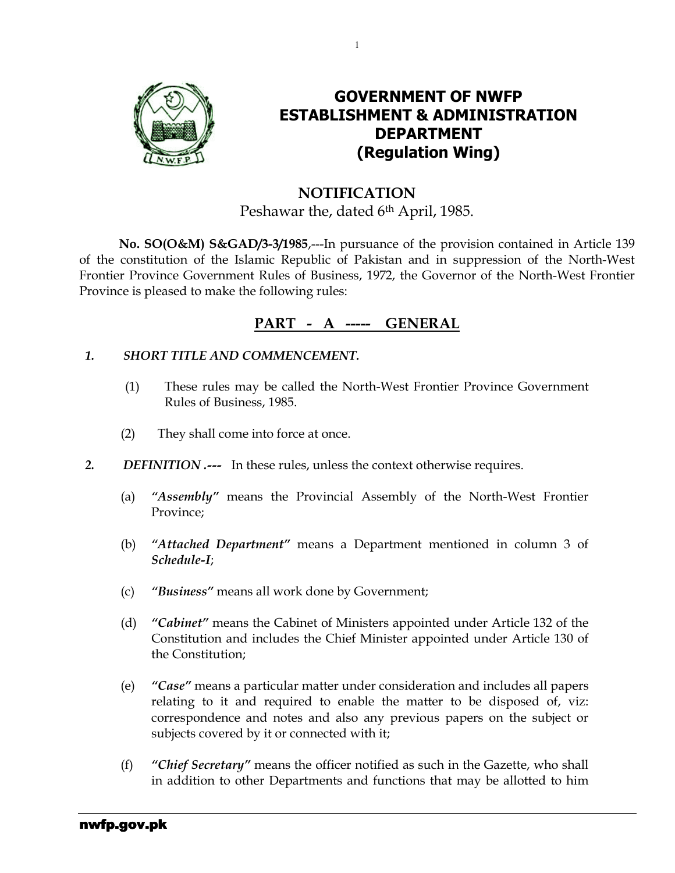

## GOVERNMENT OF NWFP ESTABLISHMENT & ADMINISTRATION DEPARTMENT (Regulation Wing)

## NOTIFICATION Peshawar the, dated 6<sup>th</sup> April, 1985.

1

No. SO(O&M) S&GAD/3-3/1985,---In pursuance of the provision contained in Article 139 of the constitution of the Islamic Republic of Pakistan and in suppression of the North-West Frontier Province Government Rules of Business, 1972, the Governor of the North-West Frontier Province is pleased to make the following rules:

## PART - A ----- GENERAL

### 1. SHORT TITLE AND COMMENCEMENT.

- (1) These rules may be called the North-West Frontier Province Government Rules of Business, 1985.
- (2) They shall come into force at once.
- 2. DEFINITION .--- In these rules, unless the context otherwise requires.
	- (a) "Assembly" means the Provincial Assembly of the North-West Frontier Province;
	- (b) "Attached Department" means a Department mentioned in column 3 of Schedule-I;
	- (c) "Business" means all work done by Government;
	- (d) "Cabinet" means the Cabinet of Ministers appointed under Article 132 of the Constitution and includes the Chief Minister appointed under Article 130 of the Constitution;
	- (e) "Case" means a particular matter under consideration and includes all papers relating to it and required to enable the matter to be disposed of, viz: correspondence and notes and also any previous papers on the subject or subjects covered by it or connected with it;
	- (f) "Chief Secretary" means the officer notified as such in the Gazette, who shall in addition to other Departments and functions that may be allotted to him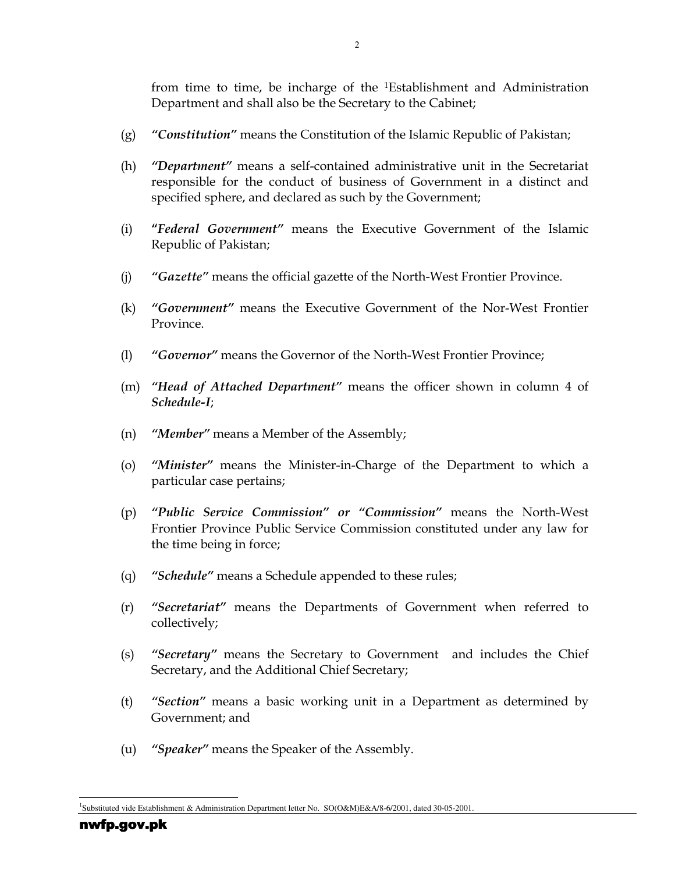from time to time, be incharge of the <sup>1</sup>Establishment and Administration Department and shall also be the Secretary to the Cabinet;

- (g) "Constitution" means the Constitution of the Islamic Republic of Pakistan;
- (h) "Department" means a self-contained administrative unit in the Secretariat responsible for the conduct of business of Government in a distinct and specified sphere, and declared as such by the Government;
- (i) "Federal Government" means the Executive Government of the Islamic Republic of Pakistan;
- (j) "Gazette" means the official gazette of the North-West Frontier Province.
- (k) "Government" means the Executive Government of the Nor-West Frontier Province.
- (l) "Governor" means the Governor of the North-West Frontier Province;
- (m) "Head of Attached Department" means the officer shown in column 4 of Schedule-I;
- (n) "Member" means a Member of the Assembly;
- (o) "Minister" means the Minister-in-Charge of the Department to which a particular case pertains;
- (p) "Public Service Commission" or "Commission" means the North-West Frontier Province Public Service Commission constituted under any law for the time being in force;
- (q) "Schedule" means a Schedule appended to these rules;
- (r) "Secretariat" means the Departments of Government when referred to collectively;
- (s) "Secretary" means the Secretary to Government and includes the Chief Secretary, and the Additional Chief Secretary;
- (t) "Section" means a basic working unit in a Department as determined by Government; and
- (u) "Speaker" means the Speaker of the Assembly.

l 1 Substituted vide Establishment & Administration Department letter No. SO(O&M)E&A/8-6/2001, dated 30-05-2001.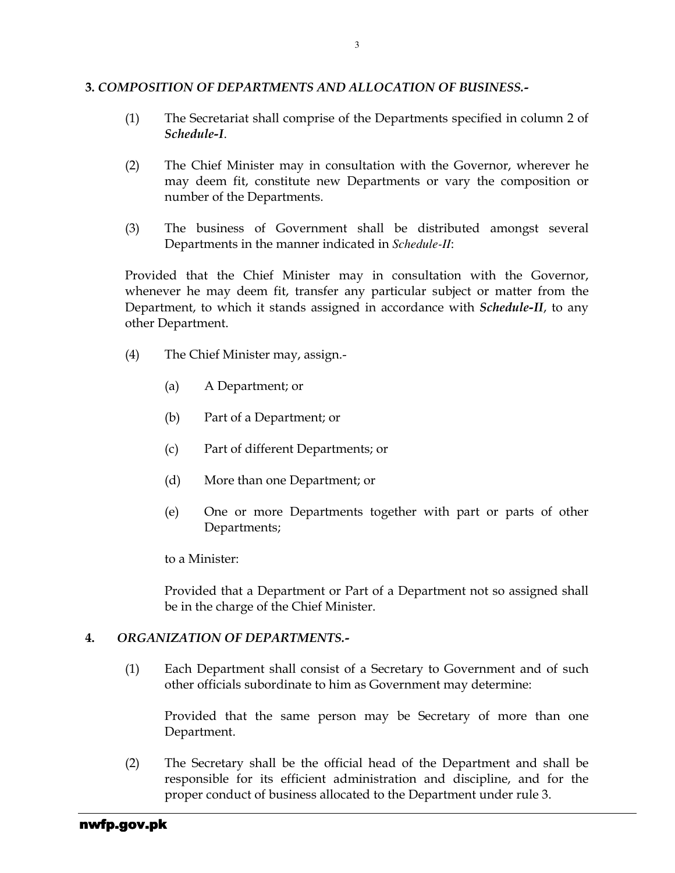#### 3. COMPOSITION OF DEPARTMENTS AND ALLOCATION OF BUSINESS.-

- (1) The Secretariat shall comprise of the Departments specified in column 2 of Schedule-I.
- (2) The Chief Minister may in consultation with the Governor, wherever he may deem fit, constitute new Departments or vary the composition or number of the Departments.
- (3) The business of Government shall be distributed amongst several Departments in the manner indicated in *Schedule-II*:

Provided that the Chief Minister may in consultation with the Governor, whenever he may deem fit, transfer any particular subject or matter from the Department, to which it stands assigned in accordance with *Schedule-II*, to any other Department.

- (4) The Chief Minister may, assign.-
	- (a) A Department; or
	- (b) Part of a Department; or
	- (c) Part of different Departments; or
	- (d) More than one Department; or
	- (e) One or more Departments together with part or parts of other Departments;

to a Minister:

Provided that a Department or Part of a Department not so assigned shall be in the charge of the Chief Minister.

#### 4. ORGANIZATION OF DEPARTMENTS.-

(1) Each Department shall consist of a Secretary to Government and of such other officials subordinate to him as Government may determine:

Provided that the same person may be Secretary of more than one Department.

(2) The Secretary shall be the official head of the Department and shall be responsible for its efficient administration and discipline, and for the proper conduct of business allocated to the Department under rule 3.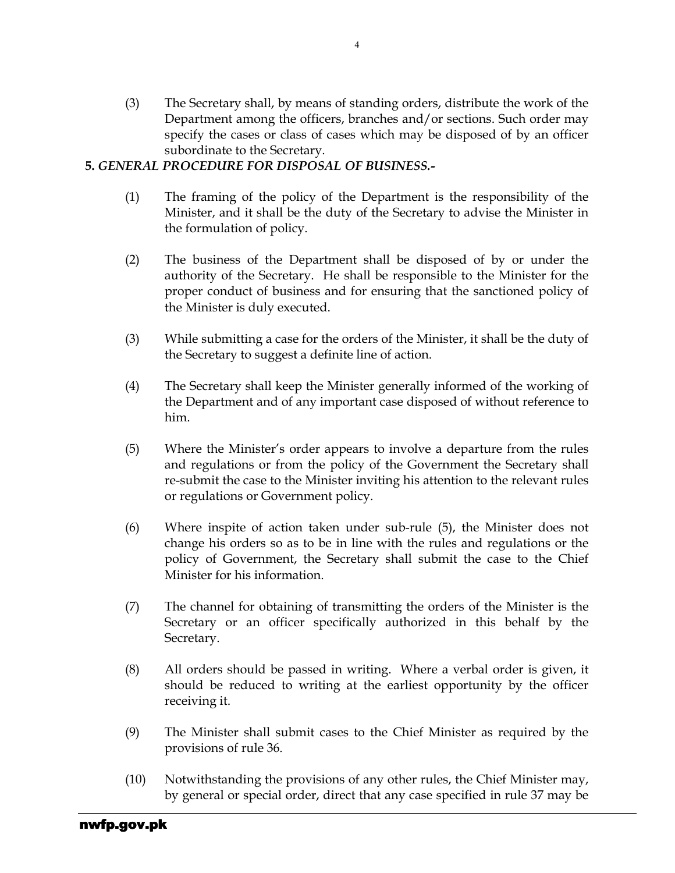(3) The Secretary shall, by means of standing orders, distribute the work of the Department among the officers, branches and/or sections. Such order may specify the cases or class of cases which may be disposed of by an officer subordinate to the Secretary.

### 5. GENERAL PROCEDURE FOR DISPOSAL OF BUSINESS.-

- (1) The framing of the policy of the Department is the responsibility of the Minister, and it shall be the duty of the Secretary to advise the Minister in the formulation of policy.
- (2) The business of the Department shall be disposed of by or under the authority of the Secretary. He shall be responsible to the Minister for the proper conduct of business and for ensuring that the sanctioned policy of the Minister is duly executed.
- (3) While submitting a case for the orders of the Minister, it shall be the duty of the Secretary to suggest a definite line of action.
- (4) The Secretary shall keep the Minister generally informed of the working of the Department and of any important case disposed of without reference to him.
- (5) Where the Minister's order appears to involve a departure from the rules and regulations or from the policy of the Government the Secretary shall re-submit the case to the Minister inviting his attention to the relevant rules or regulations or Government policy.
- (6) Where inspite of action taken under sub-rule (5), the Minister does not change his orders so as to be in line with the rules and regulations or the policy of Government, the Secretary shall submit the case to the Chief Minister for his information.
- (7) The channel for obtaining of transmitting the orders of the Minister is the Secretary or an officer specifically authorized in this behalf by the Secretary.
- (8) All orders should be passed in writing. Where a verbal order is given, it should be reduced to writing at the earliest opportunity by the officer receiving it.
- (9) The Minister shall submit cases to the Chief Minister as required by the provisions of rule 36.
- (10) Notwithstanding the provisions of any other rules, the Chief Minister may, by general or special order, direct that any case specified in rule 37 may be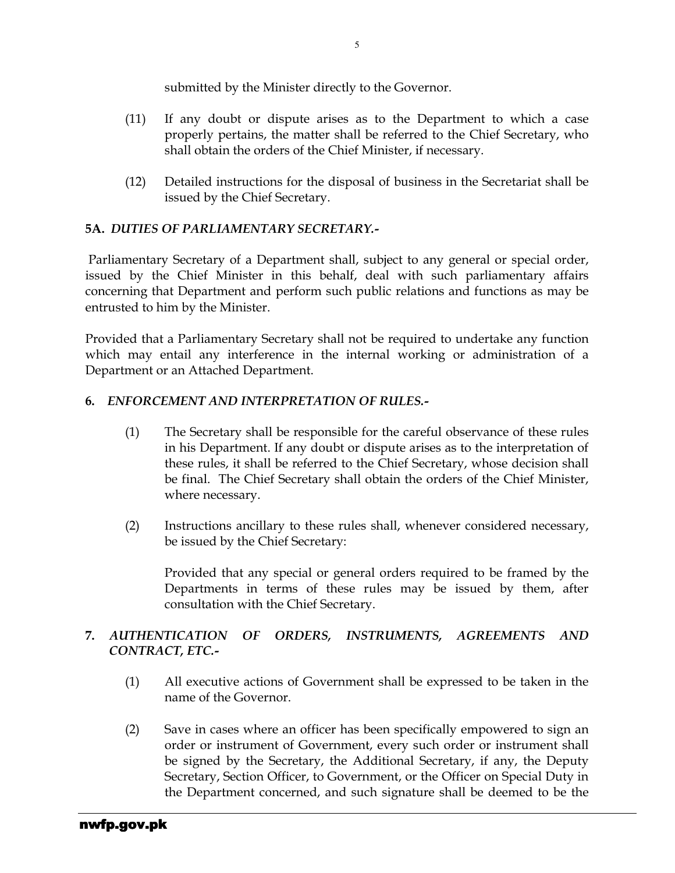submitted by the Minister directly to the Governor.

- (11) If any doubt or dispute arises as to the Department to which a case properly pertains, the matter shall be referred to the Chief Secretary, who shall obtain the orders of the Chief Minister, if necessary.
- (12) Detailed instructions for the disposal of business in the Secretariat shall be issued by the Chief Secretary.

### 5A. DUTIES OF PARLIAMENTARY SECRETARY.-

Parliamentary Secretary of a Department shall, subject to any general or special order, issued by the Chief Minister in this behalf, deal with such parliamentary affairs concerning that Department and perform such public relations and functions as may be entrusted to him by the Minister.

Provided that a Parliamentary Secretary shall not be required to undertake any function which may entail any interference in the internal working or administration of a Department or an Attached Department.

### 6. ENFORCEMENT AND INTERPRETATION OF RULES.-

- (1) The Secretary shall be responsible for the careful observance of these rules in his Department. If any doubt or dispute arises as to the interpretation of these rules, it shall be referred to the Chief Secretary, whose decision shall be final. The Chief Secretary shall obtain the orders of the Chief Minister, where necessary.
- (2) Instructions ancillary to these rules shall, whenever considered necessary, be issued by the Chief Secretary:

Provided that any special or general orders required to be framed by the Departments in terms of these rules may be issued by them, after consultation with the Chief Secretary.

### 7. AUTHENTICATION OF ORDERS, INSTRUMENTS, AGREEMENTS AND CONTRACT, ETC.-

- (1) All executive actions of Government shall be expressed to be taken in the name of the Governor.
- (2) Save in cases where an officer has been specifically empowered to sign an order or instrument of Government, every such order or instrument shall be signed by the Secretary, the Additional Secretary, if any, the Deputy Secretary, Section Officer, to Government, or the Officer on Special Duty in the Department concerned, and such signature shall be deemed to be the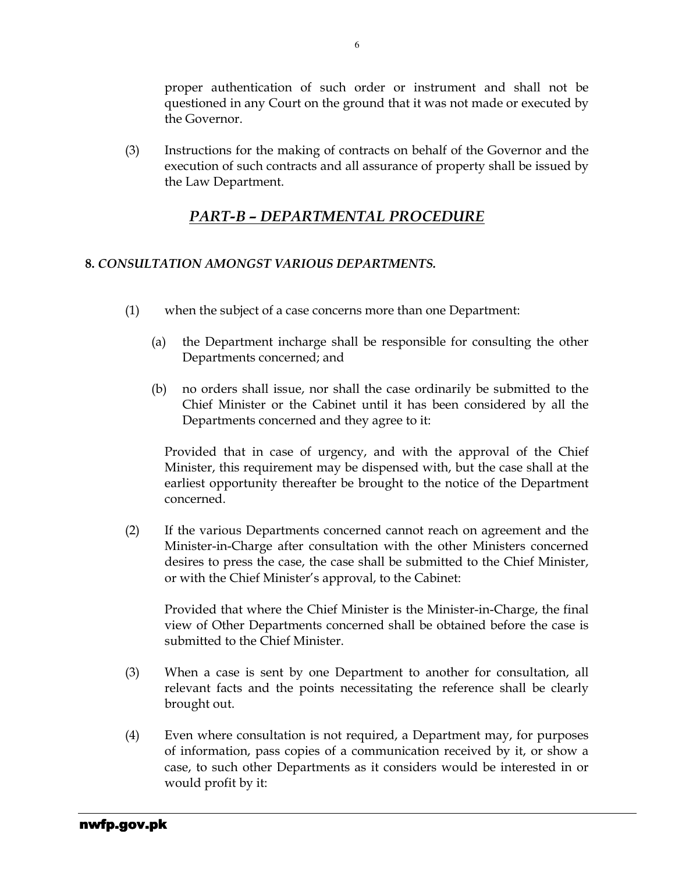proper authentication of such order or instrument and shall not be questioned in any Court on the ground that it was not made or executed by the Governor.

(3) Instructions for the making of contracts on behalf of the Governor and the execution of such contracts and all assurance of property shall be issued by the Law Department.

## PART-B – DEPARTMENTAL PROCEDURE

### 8. CONSULTATION AMONGST VARIOUS DEPARTMENTS.

- (1) when the subject of a case concerns more than one Department:
	- (a) the Department incharge shall be responsible for consulting the other Departments concerned; and
	- (b) no orders shall issue, nor shall the case ordinarily be submitted to the Chief Minister or the Cabinet until it has been considered by all the Departments concerned and they agree to it:

Provided that in case of urgency, and with the approval of the Chief Minister, this requirement may be dispensed with, but the case shall at the earliest opportunity thereafter be brought to the notice of the Department concerned.

(2) If the various Departments concerned cannot reach on agreement and the Minister-in-Charge after consultation with the other Ministers concerned desires to press the case, the case shall be submitted to the Chief Minister, or with the Chief Minister's approval, to the Cabinet:

Provided that where the Chief Minister is the Minister-in-Charge, the final view of Other Departments concerned shall be obtained before the case is submitted to the Chief Minister.

- (3) When a case is sent by one Department to another for consultation, all relevant facts and the points necessitating the reference shall be clearly brought out.
- (4) Even where consultation is not required, a Department may, for purposes of information, pass copies of a communication received by it, or show a case, to such other Departments as it considers would be interested in or would profit by it: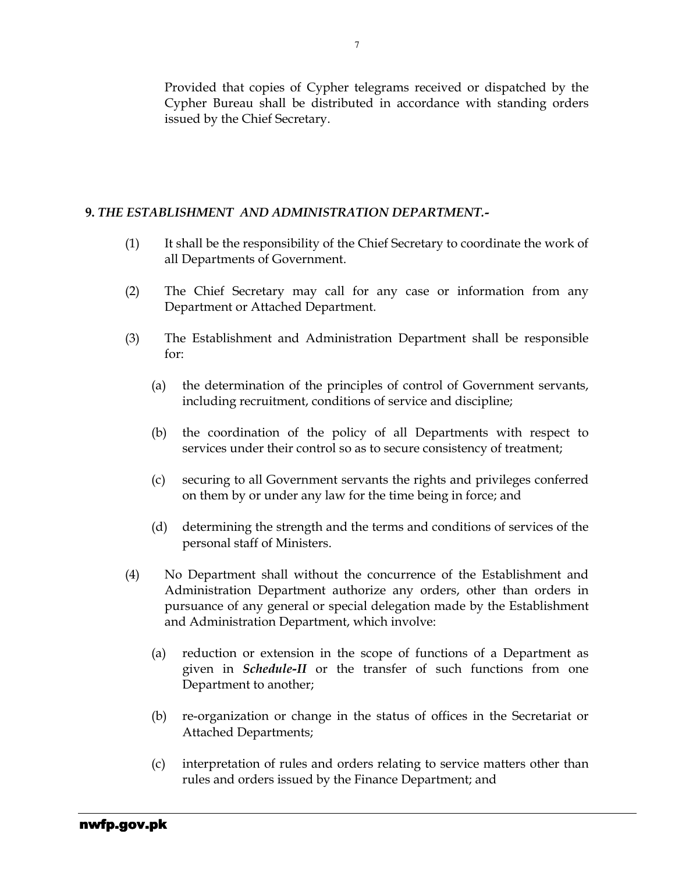Provided that copies of Cypher telegrams received or dispatched by the Cypher Bureau shall be distributed in accordance with standing orders issued by the Chief Secretary.

### 9. THE ESTABLISHMENT AND ADMINISTRATION DEPARTMENT.-

- (1) It shall be the responsibility of the Chief Secretary to coordinate the work of all Departments of Government.
- (2) The Chief Secretary may call for any case or information from any Department or Attached Department.
- (3) The Establishment and Administration Department shall be responsible for:
	- (a) the determination of the principles of control of Government servants, including recruitment, conditions of service and discipline;
	- (b) the coordination of the policy of all Departments with respect to services under their control so as to secure consistency of treatment;
	- (c) securing to all Government servants the rights and privileges conferred on them by or under any law for the time being in force; and
	- (d) determining the strength and the terms and conditions of services of the personal staff of Ministers.
- (4) No Department shall without the concurrence of the Establishment and Administration Department authorize any orders, other than orders in pursuance of any general or special delegation made by the Establishment and Administration Department, which involve:
	- (a) reduction or extension in the scope of functions of a Department as given in Schedule-II or the transfer of such functions from one Department to another;
	- (b) re-organization or change in the status of offices in the Secretariat or Attached Departments;
	- (c) interpretation of rules and orders relating to service matters other than rules and orders issued by the Finance Department; and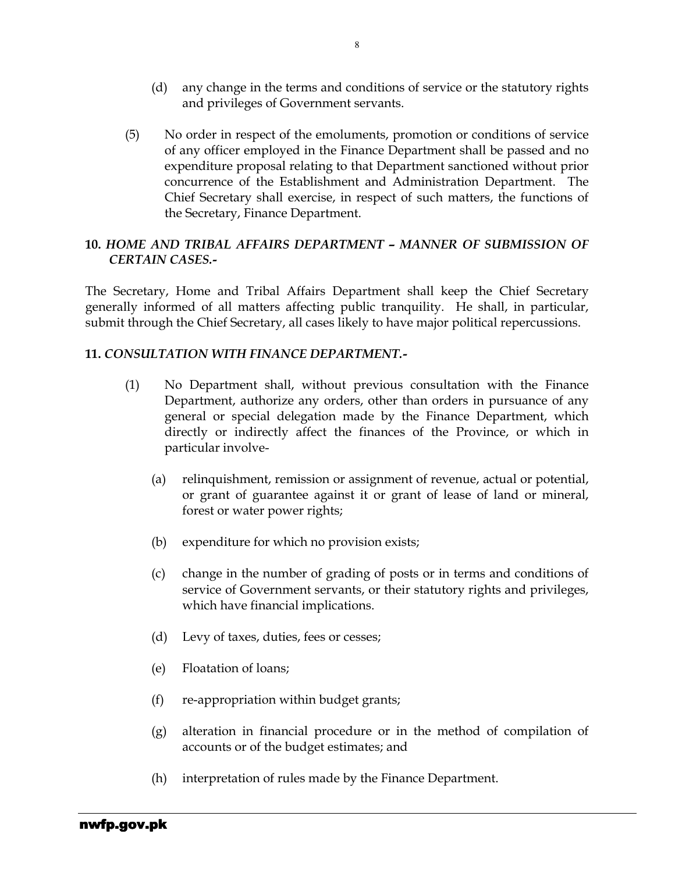- (d) any change in the terms and conditions of service or the statutory rights and privileges of Government servants.
- (5) No order in respect of the emoluments, promotion or conditions of service of any officer employed in the Finance Department shall be passed and no expenditure proposal relating to that Department sanctioned without prior concurrence of the Establishment and Administration Department. The Chief Secretary shall exercise, in respect of such matters, the functions of the Secretary, Finance Department.

### 10. HOME AND TRIBAL AFFAIRS DEPARTMENT – MANNER OF SUBMISSION OF CERTAIN CASES.-

The Secretary, Home and Tribal Affairs Department shall keep the Chief Secretary generally informed of all matters affecting public tranquility. He shall, in particular, submit through the Chief Secretary, all cases likely to have major political repercussions.

### 11. CONSULTATION WITH FINANCE DEPARTMENT.-

- (1) No Department shall, without previous consultation with the Finance Department, authorize any orders, other than orders in pursuance of any general or special delegation made by the Finance Department, which directly or indirectly affect the finances of the Province, or which in particular involve-
	- (a) relinquishment, remission or assignment of revenue, actual or potential, or grant of guarantee against it or grant of lease of land or mineral, forest or water power rights;
	- (b) expenditure for which no provision exists;
	- (c) change in the number of grading of posts or in terms and conditions of service of Government servants, or their statutory rights and privileges, which have financial implications.
	- (d) Levy of taxes, duties, fees or cesses;
	- (e) Floatation of loans;
	- (f) re-appropriation within budget grants;
	- (g) alteration in financial procedure or in the method of compilation of accounts or of the budget estimates; and
	- (h) interpretation of rules made by the Finance Department.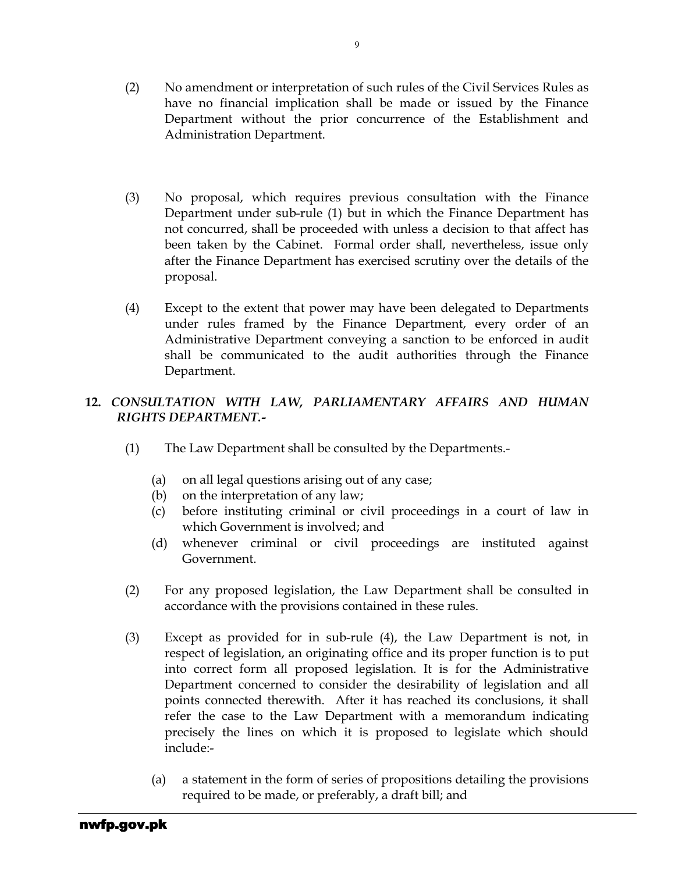- (2) No amendment or interpretation of such rules of the Civil Services Rules as have no financial implication shall be made or issued by the Finance Department without the prior concurrence of the Establishment and Administration Department.
- (3) No proposal, which requires previous consultation with the Finance Department under sub-rule (1) but in which the Finance Department has not concurred, shall be proceeded with unless a decision to that affect has been taken by the Cabinet. Formal order shall, nevertheless, issue only after the Finance Department has exercised scrutiny over the details of the proposal.
- (4) Except to the extent that power may have been delegated to Departments under rules framed by the Finance Department, every order of an Administrative Department conveying a sanction to be enforced in audit shall be communicated to the audit authorities through the Finance Department.

### 12. CONSULTATION WITH LAW, PARLIAMENTARY AFFAIRS AND HUMAN RIGHTS DEPARTMENT.-

- (1) The Law Department shall be consulted by the Departments.-
	- (a) on all legal questions arising out of any case;
	- (b) on the interpretation of any law;
	- (c) before instituting criminal or civil proceedings in a court of law in which Government is involved; and
	- (d) whenever criminal or civil proceedings are instituted against Government.
- (2) For any proposed legislation, the Law Department shall be consulted in accordance with the provisions contained in these rules.
- (3) Except as provided for in sub-rule (4), the Law Department is not, in respect of legislation, an originating office and its proper function is to put into correct form all proposed legislation. It is for the Administrative Department concerned to consider the desirability of legislation and all points connected therewith. After it has reached its conclusions, it shall refer the case to the Law Department with a memorandum indicating precisely the lines on which it is proposed to legislate which should include:-
	- (a) a statement in the form of series of propositions detailing the provisions required to be made, or preferably, a draft bill; and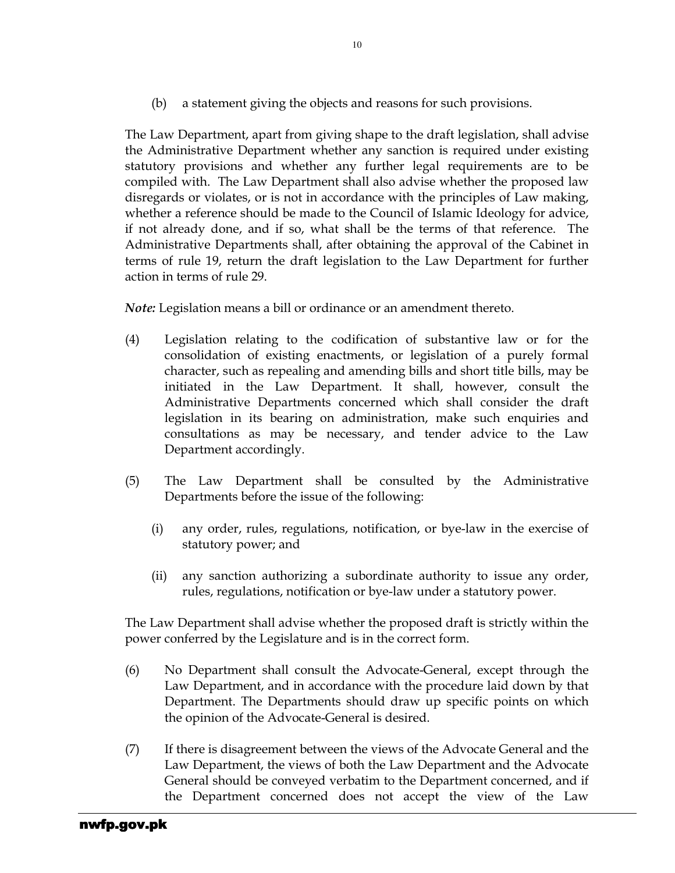(b) a statement giving the objects and reasons for such provisions.

The Law Department, apart from giving shape to the draft legislation, shall advise the Administrative Department whether any sanction is required under existing statutory provisions and whether any further legal requirements are to be compiled with. The Law Department shall also advise whether the proposed law disregards or violates, or is not in accordance with the principles of Law making, whether a reference should be made to the Council of Islamic Ideology for advice, if not already done, and if so, what shall be the terms of that reference. The Administrative Departments shall, after obtaining the approval of the Cabinet in terms of rule 19, return the draft legislation to the Law Department for further action in terms of rule 29.

Note: Legislation means a bill or ordinance or an amendment thereto.

- (4) Legislation relating to the codification of substantive law or for the consolidation of existing enactments, or legislation of a purely formal character, such as repealing and amending bills and short title bills, may be initiated in the Law Department. It shall, however, consult the Administrative Departments concerned which shall consider the draft legislation in its bearing on administration, make such enquiries and consultations as may be necessary, and tender advice to the Law Department accordingly.
- (5) The Law Department shall be consulted by the Administrative Departments before the issue of the following:
	- (i) any order, rules, regulations, notification, or bye-law in the exercise of statutory power; and
	- (ii) any sanction authorizing a subordinate authority to issue any order, rules, regulations, notification or bye-law under a statutory power.

The Law Department shall advise whether the proposed draft is strictly within the power conferred by the Legislature and is in the correct form.

- (6) No Department shall consult the Advocate-General, except through the Law Department, and in accordance with the procedure laid down by that Department. The Departments should draw up specific points on which the opinion of the Advocate-General is desired.
- (7) If there is disagreement between the views of the Advocate General and the Law Department, the views of both the Law Department and the Advocate General should be conveyed verbatim to the Department concerned, and if the Department concerned does not accept the view of the Law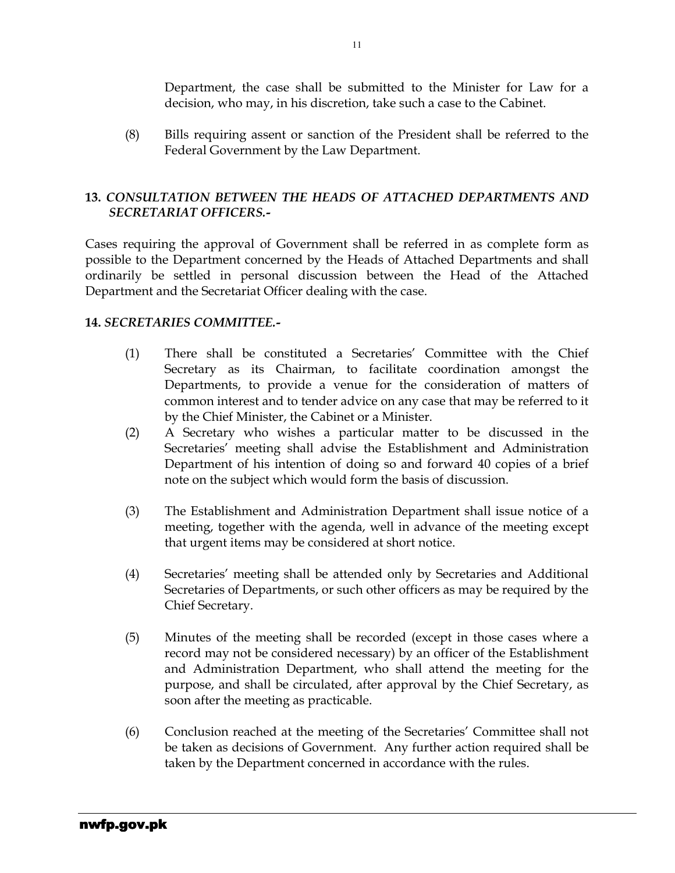Department, the case shall be submitted to the Minister for Law for a decision, who may, in his discretion, take such a case to the Cabinet.

(8) Bills requiring assent or sanction of the President shall be referred to the Federal Government by the Law Department.

### 13. CONSULTATION BETWEEN THE HEADS OF ATTACHED DEPARTMENTS AND SECRETARIAT OFFICERS.-

Cases requiring the approval of Government shall be referred in as complete form as possible to the Department concerned by the Heads of Attached Departments and shall ordinarily be settled in personal discussion between the Head of the Attached Department and the Secretariat Officer dealing with the case.

### 14. SECRETARIES COMMITTEE.-

- (1) There shall be constituted a Secretaries' Committee with the Chief Secretary as its Chairman, to facilitate coordination amongst the Departments, to provide a venue for the consideration of matters of common interest and to tender advice on any case that may be referred to it by the Chief Minister, the Cabinet or a Minister.
- (2) A Secretary who wishes a particular matter to be discussed in the Secretaries' meeting shall advise the Establishment and Administration Department of his intention of doing so and forward 40 copies of a brief note on the subject which would form the basis of discussion.
- (3) The Establishment and Administration Department shall issue notice of a meeting, together with the agenda, well in advance of the meeting except that urgent items may be considered at short notice.
- (4) Secretaries' meeting shall be attended only by Secretaries and Additional Secretaries of Departments, or such other officers as may be required by the Chief Secretary.
- (5) Minutes of the meeting shall be recorded (except in those cases where a record may not be considered necessary) by an officer of the Establishment and Administration Department, who shall attend the meeting for the purpose, and shall be circulated, after approval by the Chief Secretary, as soon after the meeting as practicable.
- (6) Conclusion reached at the meeting of the Secretaries' Committee shall not be taken as decisions of Government. Any further action required shall be taken by the Department concerned in accordance with the rules.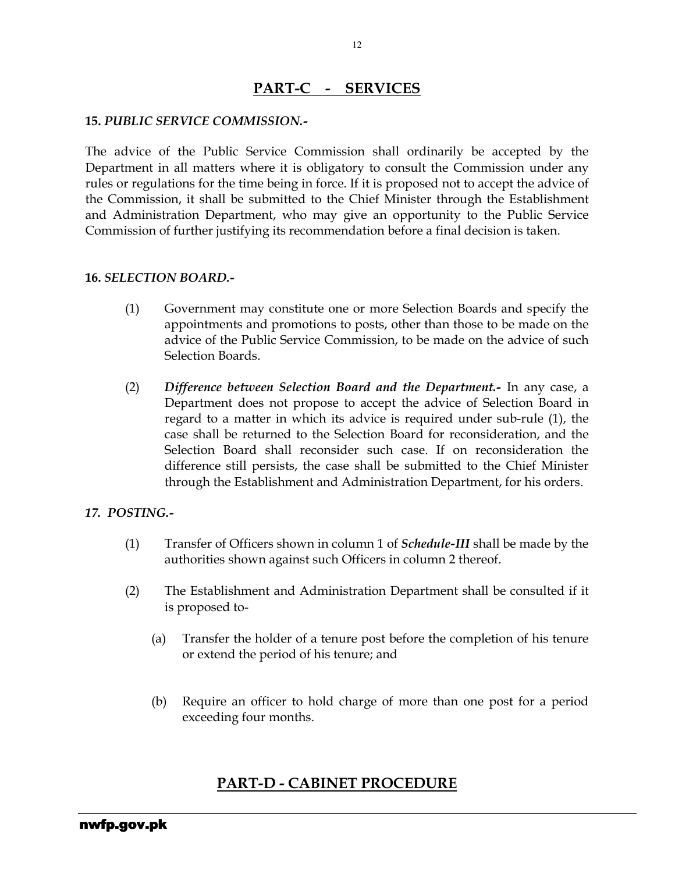### PART-C - SERVICES

#### 15. PUBLIC SERVICE COMMISSION.-

The advice of the Public Service Commission shall ordinarily be accepted by the Department in all matters where it is obligatory to consult the Commission under any rules or regulations for the time being in force. If it is proposed not to accept the advice of the Commission, it shall be submitted to the Chief Minister through the Establishment and Administration Department, who may give an opportunity to the Public Service Commission of further justifying its recommendation before a final decision is taken.

#### 16. SELECTION BOARD.-

- (1) Government may constitute one or more Selection Boards and specify the appointments and promotions to posts, other than those to be made on the advice of the Public Service Commission, to be made on the advice of such Selection Boards.
- (2) Difference between Selection Board and the Department.- In any case, a Department does not propose to accept the advice of Selection Board in regard to a matter in which its advice is required under sub-rule (1), the case shall be returned to the Selection Board for reconsideration, and the Selection Board shall reconsider such case. If on reconsideration the difference still persists, the case shall be submitted to the Chief Minister through the Establishment and Administration Department, for his orders.

#### 17. POSTING.-

- (1) Transfer of Officers shown in column 1 of Schedule-III shall be made by the authorities shown against such Officers in column 2 thereof.
- (2) The Establishment and Administration Department shall be consulted if it is proposed to-
	- (a) Transfer the holder of a tenure post before the completion of his tenure or extend the period of his tenure; and
	- (b) Require an officer to hold charge of more than one post for a period exceeding four months.

### PART-D - CABINET PROCEDURE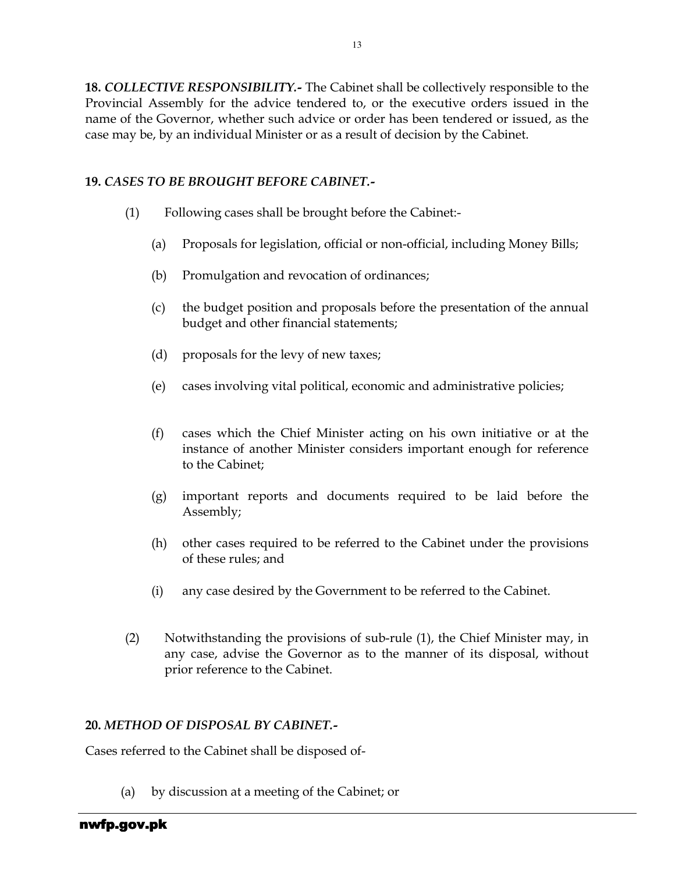**18. COLLECTIVE RESPONSIBILITY.-** The Cabinet shall be collectively responsible to the Provincial Assembly for the advice tendered to, or the executive orders issued in the name of the Governor, whether such advice or order has been tendered or issued, as the case may be, by an individual Minister or as a result of decision by the Cabinet.

### 19. CASES TO BE BROUGHT BEFORE CABINET.-

- (1) Following cases shall be brought before the Cabinet:-
	- (a) Proposals for legislation, official or non-official, including Money Bills;
	- (b) Promulgation and revocation of ordinances;
	- (c) the budget position and proposals before the presentation of the annual budget and other financial statements;
	- (d) proposals for the levy of new taxes;
	- (e) cases involving vital political, economic and administrative policies;
	- (f) cases which the Chief Minister acting on his own initiative or at the instance of another Minister considers important enough for reference to the Cabinet;
	- (g) important reports and documents required to be laid before the Assembly;
	- (h) other cases required to be referred to the Cabinet under the provisions of these rules; and
	- (i) any case desired by the Government to be referred to the Cabinet.
- (2) Notwithstanding the provisions of sub-rule (1), the Chief Minister may, in any case, advise the Governor as to the manner of its disposal, without prior reference to the Cabinet.

### 20. METHOD OF DISPOSAL BY CABINET.-

Cases referred to the Cabinet shall be disposed of-

(a) by discussion at a meeting of the Cabinet; or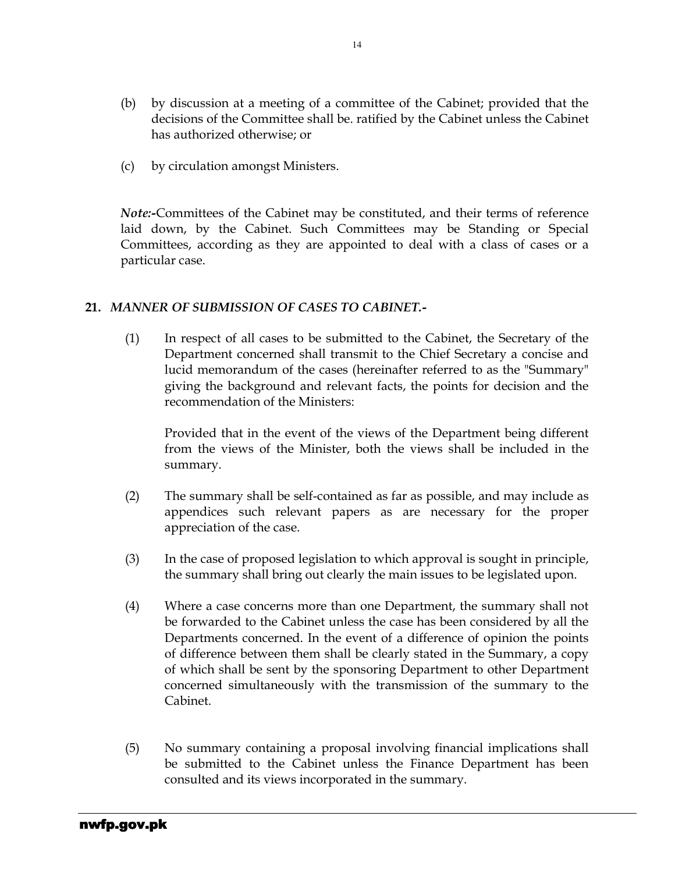- (b) by discussion at a meeting of a committee of the Cabinet; provided that the decisions of the Committee shall be. ratified by the Cabinet unless the Cabinet has authorized otherwise; or
- (c) by circulation amongst Ministers.

Note:-Committees of the Cabinet may be constituted, and their terms of reference laid down, by the Cabinet. Such Committees may be Standing or Special Committees, according as they are appointed to deal with a class of cases or a particular case.

#### 21. MANNER OF SUBMISSION OF CASES TO CABINET.-

(1) In respect of all cases to be submitted to the Cabinet, the Secretary of the Department concerned shall transmit to the Chief Secretary a concise and lucid memorandum of the cases (hereinafter referred to as the "Summary" giving the background and relevant facts, the points for decision and the recommendation of the Ministers:

Provided that in the event of the views of the Department being different from the views of the Minister, both the views shall be included in the summary.

- (2) The summary shall be self-contained as far as possible, and may include as appendices such relevant papers as are necessary for the proper appreciation of the case.
- (3) In the case of proposed legislation to which approval is sought in principle, the summary shall bring out clearly the main issues to be legislated upon.
- (4) Where a case concerns more than one Department, the summary shall not be forwarded to the Cabinet unless the case has been considered by all the Departments concerned. In the event of a difference of opinion the points of difference between them shall be clearly stated in the Summary, a copy of which shall be sent by the sponsoring Department to other Department concerned simultaneously with the transmission of the summary to the Cabinet.
- (5) No summary containing a proposal involving financial implications shall be submitted to the Cabinet unless the Finance Department has been consulted and its views incorporated in the summary.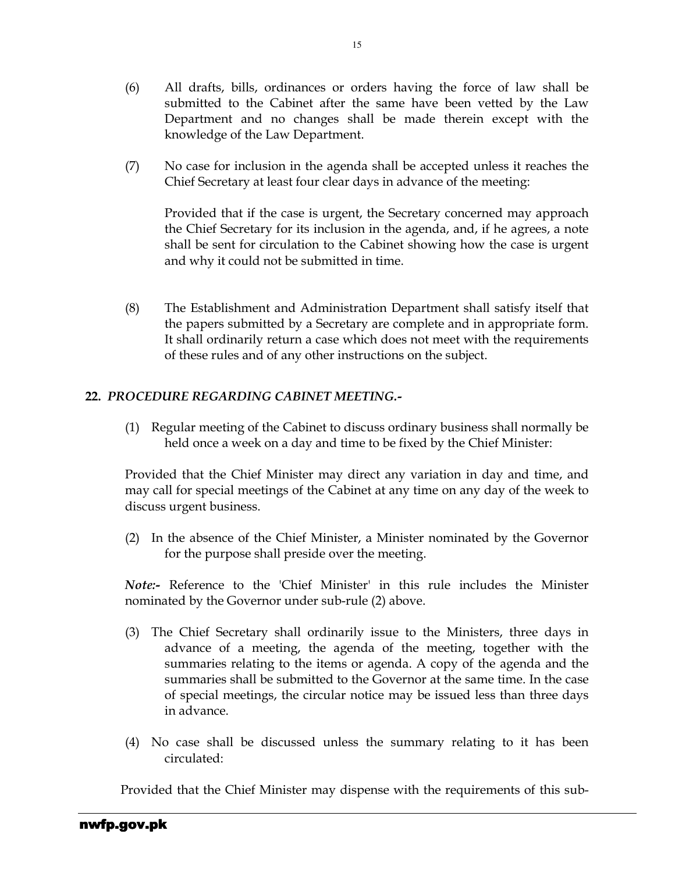- (6) All drafts, bills, ordinances or orders having the force of law shall be submitted to the Cabinet after the same have been vetted by the Law Department and no changes shall be made therein except with the knowledge of the Law Department.
- (7) No case for inclusion in the agenda shall be accepted unless it reaches the Chief Secretary at least four clear days in advance of the meeting:

Provided that if the case is urgent, the Secretary concerned may approach the Chief Secretary for its inclusion in the agenda, and, if he agrees, a note shall be sent for circulation to the Cabinet showing how the case is urgent and why it could not be submitted in time.

(8) The Establishment and Administration Department shall satisfy itself that the papers submitted by a Secretary are complete and in appropriate form. It shall ordinarily return a case which does not meet with the requirements of these rules and of any other instructions on the subject.

### 22. PROCEDURE REGARDING CABINET MEETING.-

(1) Regular meeting of the Cabinet to discuss ordinary business shall normally be held once a week on a day and time to be fixed by the Chief Minister:

Provided that the Chief Minister may direct any variation in day and time, and may call for special meetings of the Cabinet at any time on any day of the week to discuss urgent business.

(2) In the absence of the Chief Minister, a Minister nominated by the Governor for the purpose shall preside over the meeting.

Note:- Reference to the 'Chief Minister' in this rule includes the Minister nominated by the Governor under sub-rule (2) above.

- (3) The Chief Secretary shall ordinarily issue to the Ministers, three days in advance of a meeting, the agenda of the meeting, together with the summaries relating to the items or agenda. A copy of the agenda and the summaries shall be submitted to the Governor at the same time. In the case of special meetings, the circular notice may be issued less than three days in advance.
- (4) No case shall be discussed unless the summary relating to it has been circulated:

Provided that the Chief Minister may dispense with the requirements of this sub-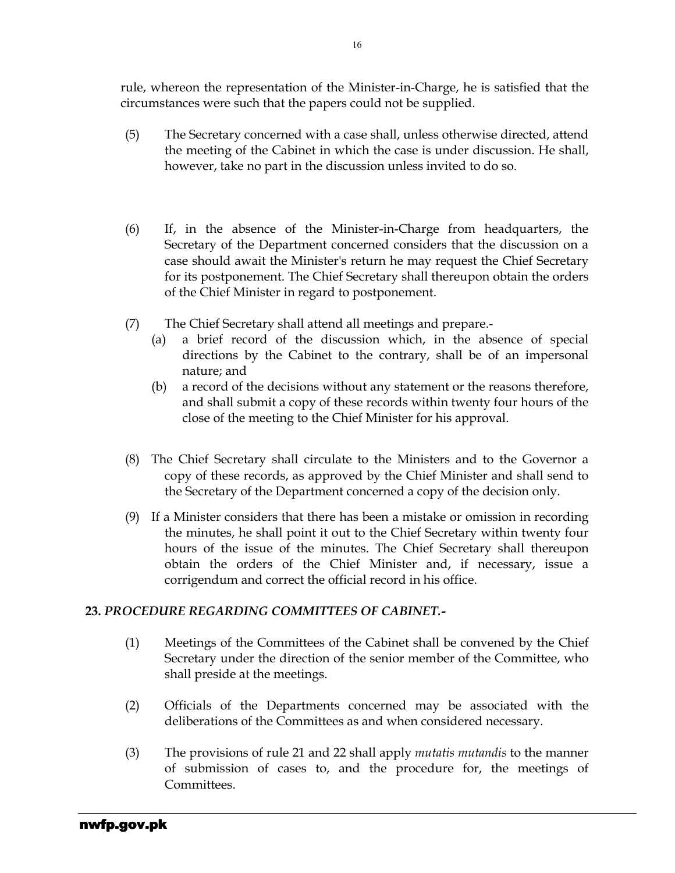rule, whereon the representation of the Minister-in-Charge, he is satisfied that the circumstances were such that the papers could not be supplied.

- (5) The Secretary concerned with a case shall, unless otherwise directed, attend the meeting of the Cabinet in which the case is under discussion. He shall, however, take no part in the discussion unless invited to do so.
- (6) If, in the absence of the Minister-in-Charge from headquarters, the Secretary of the Department concerned considers that the discussion on a case should await the Minister's return he may request the Chief Secretary for its postponement. The Chief Secretary shall thereupon obtain the orders of the Chief Minister in regard to postponement.
- (7) The Chief Secretary shall attend all meetings and prepare.-
	- (a) a brief record of the discussion which, in the absence of special directions by the Cabinet to the contrary, shall be of an impersonal nature; and
	- (b) a record of the decisions without any statement or the reasons therefore, and shall submit a copy of these records within twenty four hours of the close of the meeting to the Chief Minister for his approval.
- (8) The Chief Secretary shall circulate to the Ministers and to the Governor a copy of these records, as approved by the Chief Minister and shall send to the Secretary of the Department concerned a copy of the decision only.
- (9) If a Minister considers that there has been a mistake or omission in recording the minutes, he shall point it out to the Chief Secretary within twenty four hours of the issue of the minutes. The Chief Secretary shall thereupon obtain the orders of the Chief Minister and, if necessary, issue a corrigendum and correct the official record in his office.

### 23. PROCEDURE REGARDING COMMITTEES OF CABINET.-

- (1) Meetings of the Committees of the Cabinet shall be convened by the Chief Secretary under the direction of the senior member of the Committee, who shall preside at the meetings.
- (2) Officials of the Departments concerned may be associated with the deliberations of the Committees as and when considered necessary.
- (3) The provisions of rule 21 and 22 shall apply mutatis mutandis to the manner of submission of cases to, and the procedure for, the meetings of Committees.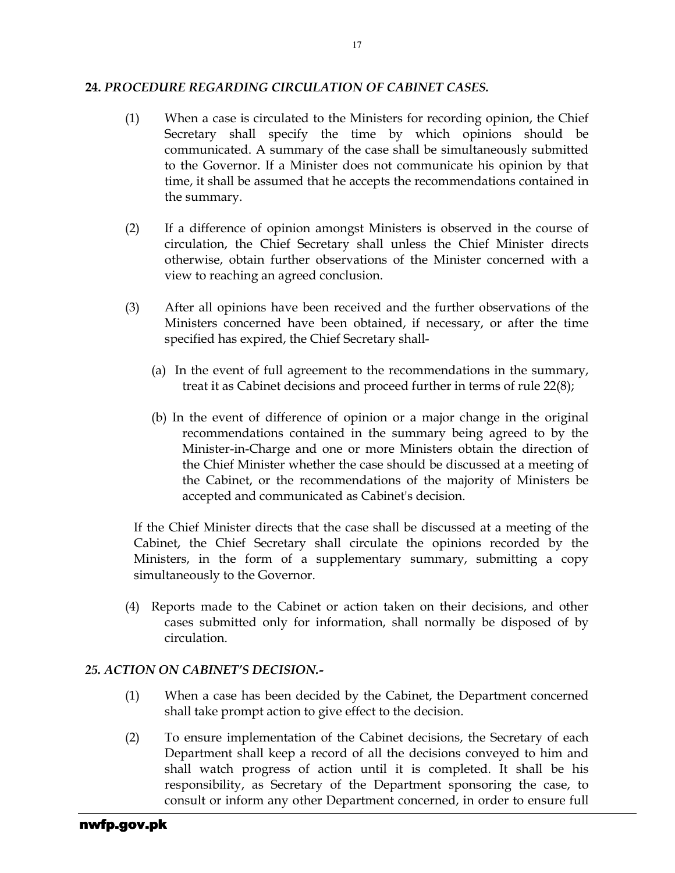#### 24. PROCEDURE REGARDING CIRCULATION OF CABINET CASES.

- (1) When a case is circulated to the Ministers for recording opinion, the Chief Secretary shall specify the time by which opinions should be communicated. A summary of the case shall be simultaneously submitted to the Governor. If a Minister does not communicate his opinion by that time, it shall be assumed that he accepts the recommendations contained in the summary.
- (2) If a difference of opinion amongst Ministers is observed in the course of circulation, the Chief Secretary shall unless the Chief Minister directs otherwise, obtain further observations of the Minister concerned with a view to reaching an agreed conclusion.
- (3) After all opinions have been received and the further observations of the Ministers concerned have been obtained, if necessary, or after the time specified has expired, the Chief Secretary shall-
	- (a) In the event of full agreement to the recommendations in the summary, treat it as Cabinet decisions and proceed further in terms of rule 22(8);
	- (b) In the event of difference of opinion or a major change in the original recommendations contained in the summary being agreed to by the Minister-in-Charge and one or more Ministers obtain the direction of the Chief Minister whether the case should be discussed at a meeting of the Cabinet, or the recommendations of the majority of Ministers be accepted and communicated as Cabinet's decision.

If the Chief Minister directs that the case shall be discussed at a meeting of the Cabinet, the Chief Secretary shall circulate the opinions recorded by the Ministers, in the form of a supplementary summary, submitting a copy simultaneously to the Governor.

(4) Reports made to the Cabinet or action taken on their decisions, and other cases submitted only for information, shall normally be disposed of by circulation.

### 25. ACTION ON CABINET'S DECISION.-

- (1) When a case has been decided by the Cabinet, the Department concerned shall take prompt action to give effect to the decision.
- (2) To ensure implementation of the Cabinet decisions, the Secretary of each Department shall keep a record of all the decisions conveyed to him and shall watch progress of action until it is completed. It shall be his responsibility, as Secretary of the Department sponsoring the case, to consult or inform any other Department concerned, in order to ensure full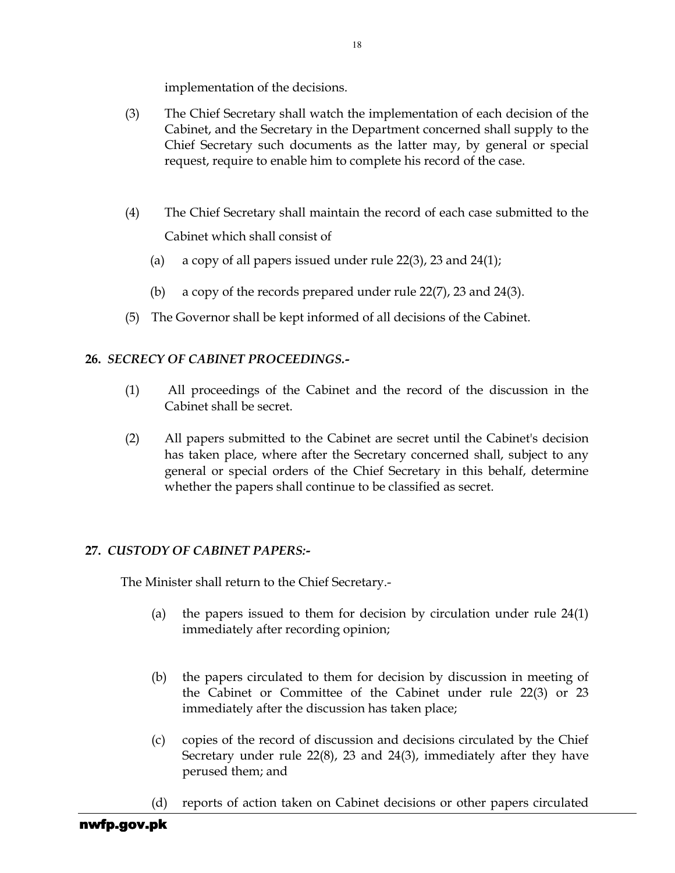implementation of the decisions.

- (3) The Chief Secretary shall watch the implementation of each decision of the Cabinet, and the Secretary in the Department concerned shall supply to the Chief Secretary such documents as the latter may, by general or special request, require to enable him to complete his record of the case.
- (4) The Chief Secretary shall maintain the record of each case submitted to the Cabinet which shall consist of
	- (a) a copy of all papers issued under rule 22(3), 23 and 24(1);
	- (b) a copy of the records prepared under rule 22(7), 23 and 24(3).
- (5) The Governor shall be kept informed of all decisions of the Cabinet.

### 26. SECRECY OF CABINET PROCEEDINGS.-

- (1) All proceedings of the Cabinet and the record of the discussion in the Cabinet shall be secret.
- (2) All papers submitted to the Cabinet are secret until the Cabinet's decision has taken place, where after the Secretary concerned shall, subject to any general or special orders of the Chief Secretary in this behalf, determine whether the papers shall continue to be classified as secret.

### 27. CUSTODY OF CABINET PAPERS:-

The Minister shall return to the Chief Secretary.-

- (a) the papers issued to them for decision by circulation under rule 24(1) immediately after recording opinion;
- (b) the papers circulated to them for decision by discussion in meeting of the Cabinet or Committee of the Cabinet under rule 22(3) or 23 immediately after the discussion has taken place;
- (c) copies of the record of discussion and decisions circulated by the Chief Secretary under rule 22(8), 23 and 24(3), immediately after they have perused them; and
- (d) reports of action taken on Cabinet decisions or other papers circulated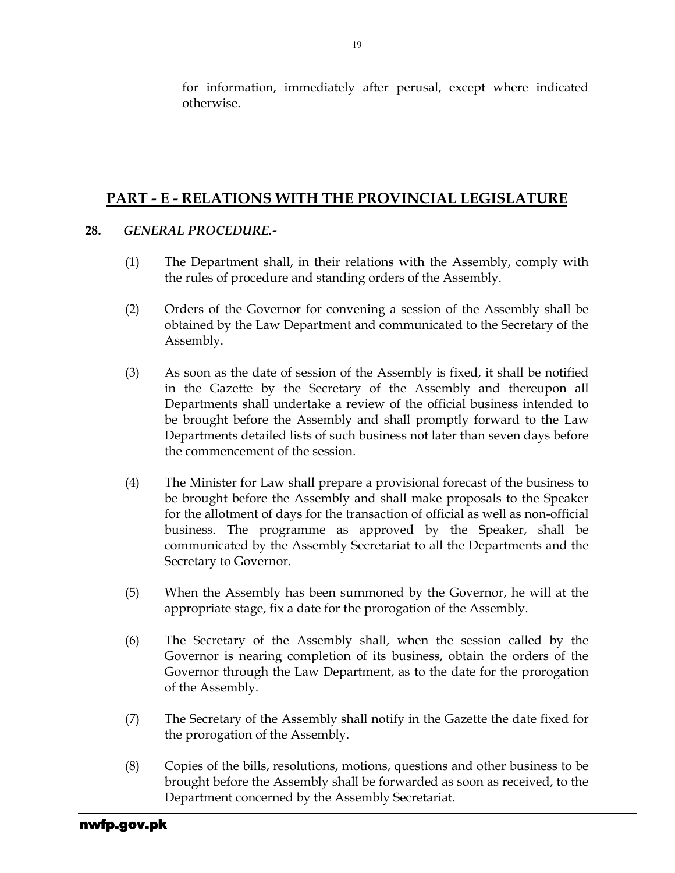for information, immediately after perusal, except where indicated otherwise.

## PART - E - RELATIONS WITH THE PROVINCIAL LEGISLATURE

### 28. GENERAL PROCEDURE.-

- (1) The Department shall, in their relations with the Assembly, comply with the rules of procedure and standing orders of the Assembly.
- (2) Orders of the Governor for convening a session of the Assembly shall be obtained by the Law Department and communicated to the Secretary of the Assembly.
- (3) As soon as the date of session of the Assembly is fixed, it shall be notified in the Gazette by the Secretary of the Assembly and thereupon all Departments shall undertake a review of the official business intended to be brought before the Assembly and shall promptly forward to the Law Departments detailed lists of such business not later than seven days before the commencement of the session.
- (4) The Minister for Law shall prepare a provisional forecast of the business to be brought before the Assembly and shall make proposals to the Speaker for the allotment of days for the transaction of official as well as non-official business. The programme as approved by the Speaker, shall be communicated by the Assembly Secretariat to all the Departments and the Secretary to Governor.
- (5) When the Assembly has been summoned by the Governor, he will at the appropriate stage, fix a date for the prorogation of the Assembly.
- (6) The Secretary of the Assembly shall, when the session called by the Governor is nearing completion of its business, obtain the orders of the Governor through the Law Department, as to the date for the prorogation of the Assembly.
- (7) The Secretary of the Assembly shall notify in the Gazette the date fixed for the prorogation of the Assembly.
- (8) Copies of the bills, resolutions, motions, questions and other business to be brought before the Assembly shall be forwarded as soon as received, to the Department concerned by the Assembly Secretariat.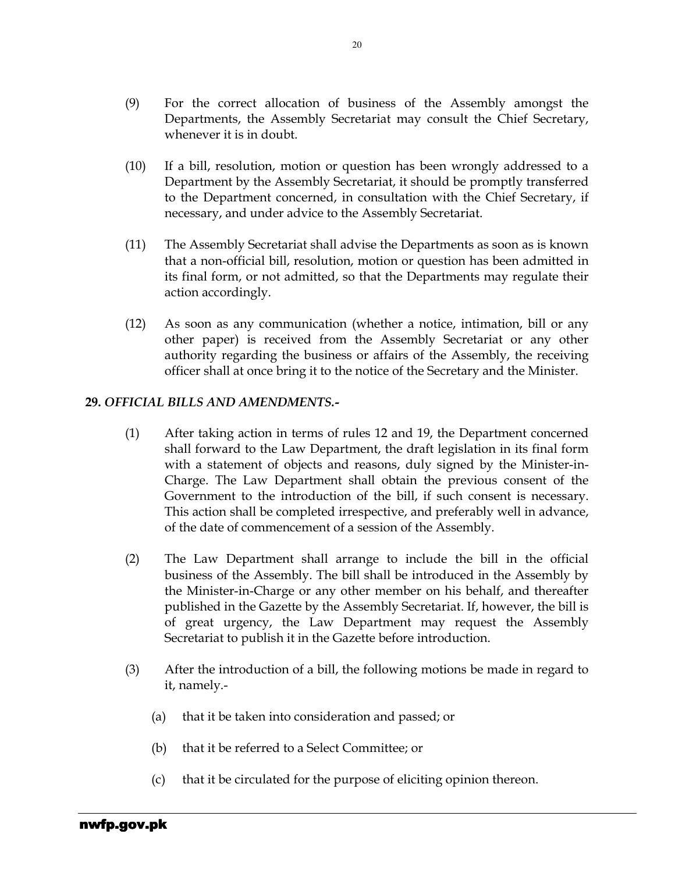- (9) For the correct allocation of business of the Assembly amongst the Departments, the Assembly Secretariat may consult the Chief Secretary, whenever it is in doubt.
- (10) If a bill, resolution, motion or question has been wrongly addressed to a Department by the Assembly Secretariat, it should be promptly transferred to the Department concerned, in consultation with the Chief Secretary, if necessary, and under advice to the Assembly Secretariat.
- (11) The Assembly Secretariat shall advise the Departments as soon as is known that a non-official bill, resolution, motion or question has been admitted in its final form, or not admitted, so that the Departments may regulate their action accordingly.
- (12) As soon as any communication (whether a notice, intimation, bill or any other paper) is received from the Assembly Secretariat or any other authority regarding the business or affairs of the Assembly, the receiving officer shall at once bring it to the notice of the Secretary and the Minister.

#### 29. OFFICIAL BILLS AND AMENDMENTS.-

- (1) After taking action in terms of rules 12 and 19, the Department concerned shall forward to the Law Department, the draft legislation in its final form with a statement of objects and reasons, duly signed by the Minister-in-Charge. The Law Department shall obtain the previous consent of the Government to the introduction of the bill, if such consent is necessary. This action shall be completed irrespective, and preferably well in advance, of the date of commencement of a session of the Assembly.
- (2) The Law Department shall arrange to include the bill in the official business of the Assembly. The bill shall be introduced in the Assembly by the Minister-in-Charge or any other member on his behalf, and thereafter published in the Gazette by the Assembly Secretariat. If, however, the bill is of great urgency, the Law Department may request the Assembly Secretariat to publish it in the Gazette before introduction.
- (3) After the introduction of a bill, the following motions be made in regard to it, namely.-
	- (a) that it be taken into consideration and passed; or
	- (b) that it be referred to a Select Committee; or
	- (c) that it be circulated for the purpose of eliciting opinion thereon.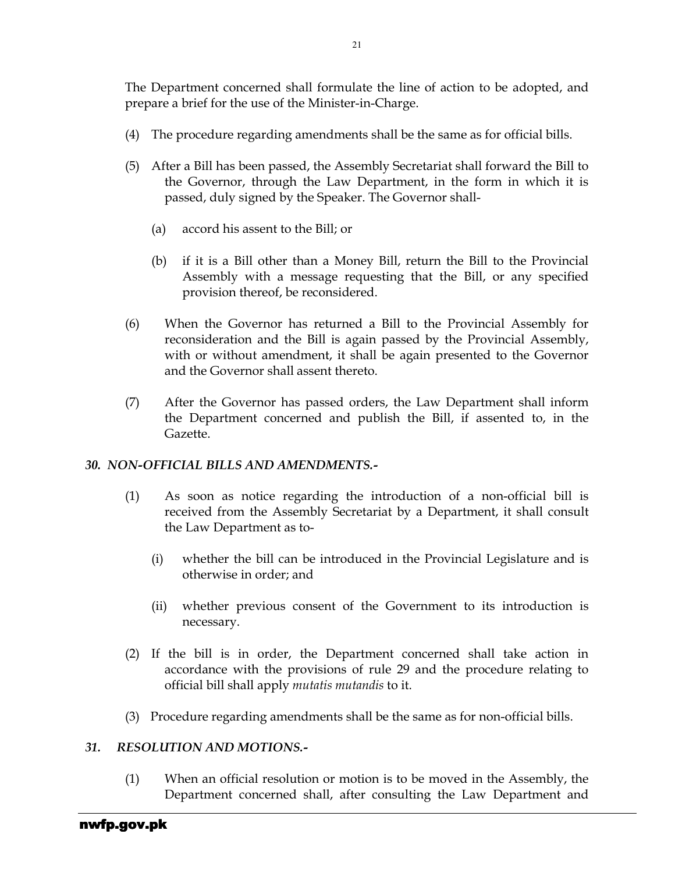The Department concerned shall formulate the line of action to be adopted, and prepare a brief for the use of the Minister-in-Charge.

- (4) The procedure regarding amendments shall be the same as for official bills.
- (5) After a Bill has been passed, the Assembly Secretariat shall forward the Bill to the Governor, through the Law Department, in the form in which it is passed, duly signed by the Speaker. The Governor shall-
	- (a) accord his assent to the Bill; or
	- (b) if it is a Bill other than a Money Bill, return the Bill to the Provincial Assembly with a message requesting that the Bill, or any specified provision thereof, be reconsidered.
- (6) When the Governor has returned a Bill to the Provincial Assembly for reconsideration and the Bill is again passed by the Provincial Assembly, with or without amendment, it shall be again presented to the Governor and the Governor shall assent thereto.
- (7) After the Governor has passed orders, the Law Department shall inform the Department concerned and publish the Bill, if assented to, in the Gazette.

### 30. NON-OFFICIAL BILLS AND AMENDMENTS.-

- (1) As soon as notice regarding the introduction of a non-official bill is received from the Assembly Secretariat by a Department, it shall consult the Law Department as to-
	- (i) whether the bill can be introduced in the Provincial Legislature and is otherwise in order; and
	- (ii) whether previous consent of the Government to its introduction is necessary.
- (2) If the bill is in order, the Department concerned shall take action in accordance with the provisions of rule 29 and the procedure relating to official bill shall apply mutatis mutandis to it.
- (3) Procedure regarding amendments shall be the same as for non-official bills.

### 31. RESOLUTION AND MOTIONS.-

(1) When an official resolution or motion is to be moved in the Assembly, the Department concerned shall, after consulting the Law Department and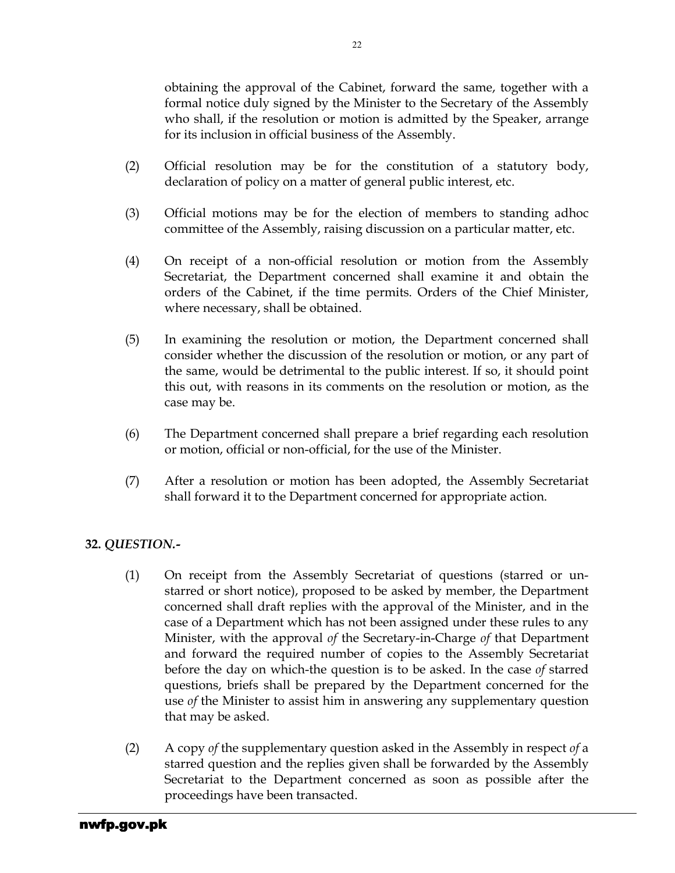obtaining the approval of the Cabinet, forward the same, together with a formal notice duly signed by the Minister to the Secretary of the Assembly who shall, if the resolution or motion is admitted by the Speaker, arrange for its inclusion in official business of the Assembly.

- (2) Official resolution may be for the constitution of a statutory body, declaration of policy on a matter of general public interest, etc.
- (3) Official motions may be for the election of members to standing adhoc committee of the Assembly, raising discussion on a particular matter, etc.
- (4) On receipt of a non-official resolution or motion from the Assembly Secretariat, the Department concerned shall examine it and obtain the orders of the Cabinet, if the time permits. Orders of the Chief Minister, where necessary, shall be obtained.
- (5) In examining the resolution or motion, the Department concerned shall consider whether the discussion of the resolution or motion, or any part of the same, would be detrimental to the public interest. If so, it should point this out, with reasons in its comments on the resolution or motion, as the case may be.
- (6) The Department concerned shall prepare a brief regarding each resolution or motion, official or non-official, for the use of the Minister.
- (7) After a resolution or motion has been adopted, the Assembly Secretariat shall forward it to the Department concerned for appropriate action.

### 32. QUESTION.-

- (1) On receipt from the Assembly Secretariat of questions (starred or unstarred or short notice), proposed to be asked by member, the Department concerned shall draft replies with the approval of the Minister, and in the case of a Department which has not been assigned under these rules to any Minister, with the approval of the Secretary-in-Charge of that Department and forward the required number of copies to the Assembly Secretariat before the day on which-the question is to be asked. In the case of starred questions, briefs shall be prepared by the Department concerned for the use of the Minister to assist him in answering any supplementary question that may be asked.
- (2) A copy of the supplementary question asked in the Assembly in respect of a starred question and the replies given shall be forwarded by the Assembly Secretariat to the Department concerned as soon as possible after the proceedings have been transacted.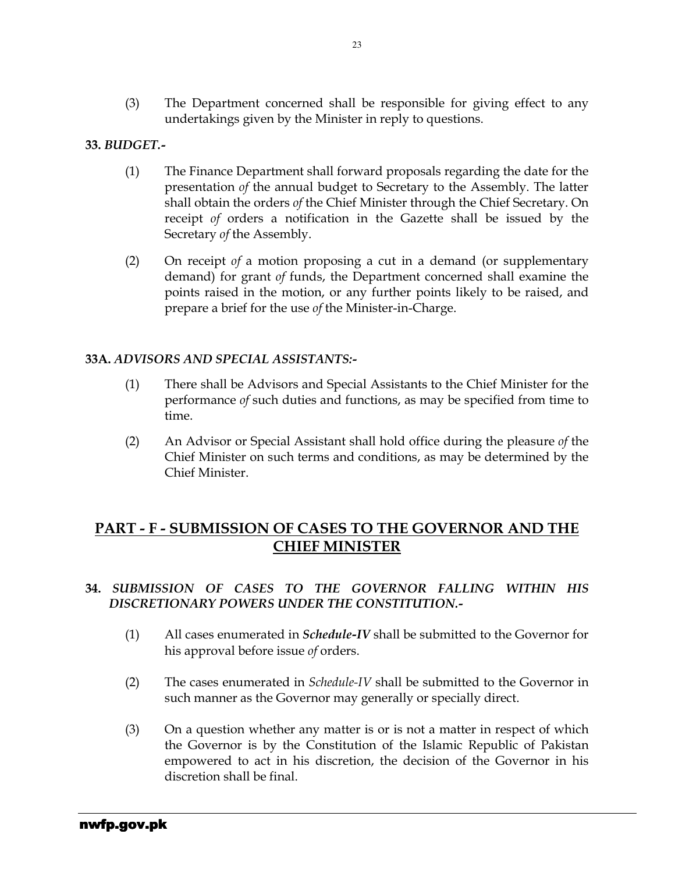(3) The Department concerned shall be responsible for giving effect to any undertakings given by the Minister in reply to questions.

### 33. BUDGET.-

- (1) The Finance Department shall forward proposals regarding the date for the presentation of the annual budget to Secretary to the Assembly. The latter shall obtain the orders of the Chief Minister through the Chief Secretary. On receipt of orders a notification in the Gazette shall be issued by the Secretary of the Assembly.
- (2) On receipt of a motion proposing a cut in a demand (or supplementary demand) for grant of funds, the Department concerned shall examine the points raised in the motion, or any further points likely to be raised, and prepare a brief for the use of the Minister-in-Charge.

### 33A. ADVISORS AND SPECIAL ASSISTANTS:-

- (1) There shall be Advisors and Special Assistants to the Chief Minister for the performance of such duties and functions, as may be specified from time to time.
- (2) An Advisor or Special Assistant shall hold office during the pleasure of the Chief Minister on such terms and conditions, as may be determined by the Chief Minister.

## PART - F - SUBMISSION OF CASES TO THE GOVERNOR AND THE CHIEF MINISTER

### 34. SUBMISSION OF CASES TO THE GOVERNOR FALLING WITHIN HIS DISCRETIONARY POWERS UNDER THE CONSTITUTION.-

- (1) All cases enumerated in Schedule-IV shall be submitted to the Governor for his approval before issue of orders.
- (2) The cases enumerated in Schedule-IV shall be submitted to the Governor in such manner as the Governor may generally or specially direct.
- (3) On a question whether any matter is or is not a matter in respect of which the Governor is by the Constitution of the Islamic Republic of Pakistan empowered to act in his discretion, the decision of the Governor in his discretion shall be final.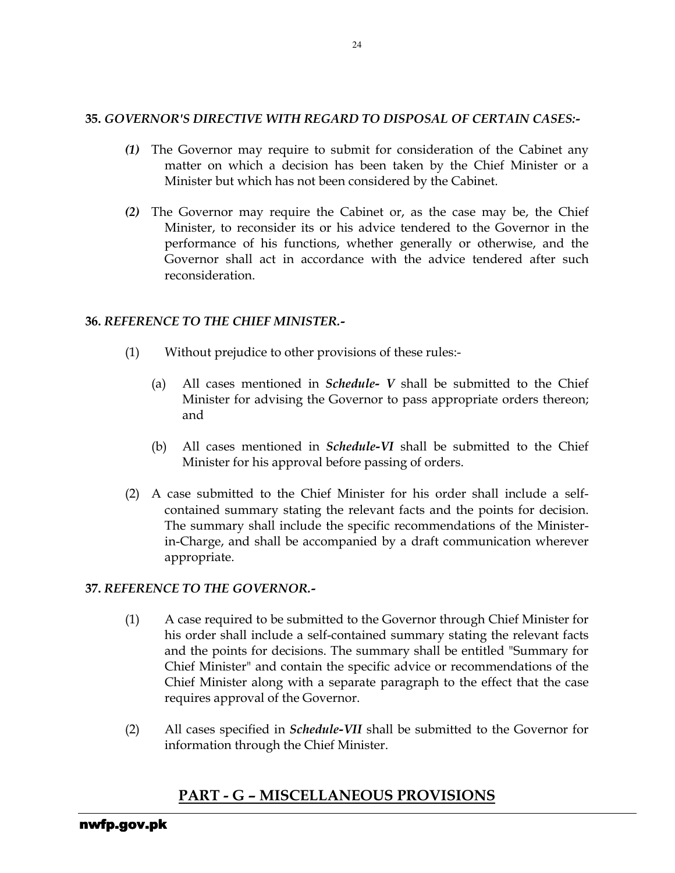### 35. GOVERNOR'S DIRECTIVE WITH REGARD TO DISPOSAL OF CERTAIN CASES:-

- (1) The Governor may require to submit for consideration of the Cabinet any matter on which a decision has been taken by the Chief Minister or a Minister but which has not been considered by the Cabinet.
- (2) The Governor may require the Cabinet or, as the case may be, the Chief Minister, to reconsider its or his advice tendered to the Governor in the performance of his functions, whether generally or otherwise, and the Governor shall act in accordance with the advice tendered after such reconsideration.

### 36. REFERENCE TO THE CHIEF MINISTER.-

- (1) Without prejudice to other provisions of these rules:-
	- (a) All cases mentioned in *Schedule- V* shall be submitted to the Chief Minister for advising the Governor to pass appropriate orders thereon; and
	- (b) All cases mentioned in *Schedule-VI* shall be submitted to the Chief Minister for his approval before passing of orders.
- (2) A case submitted to the Chief Minister for his order shall include a selfcontained summary stating the relevant facts and the points for decision. The summary shall include the specific recommendations of the Ministerin-Charge, and shall be accompanied by a draft communication wherever appropriate.

### 37. REFERENCE TO THE GOVERNOR.-

- (1) A case required to be submitted to the Governor through Chief Minister for his order shall include a self-contained summary stating the relevant facts and the points for decisions. The summary shall be entitled "Summary for Chief Minister" and contain the specific advice or recommendations of the Chief Minister along with a separate paragraph to the effect that the case requires approval of the Governor.
- (2) All cases specified in Schedule-VII shall be submitted to the Governor for information through the Chief Minister.

## PART - G – MISCELLANEOUS PROVISIONS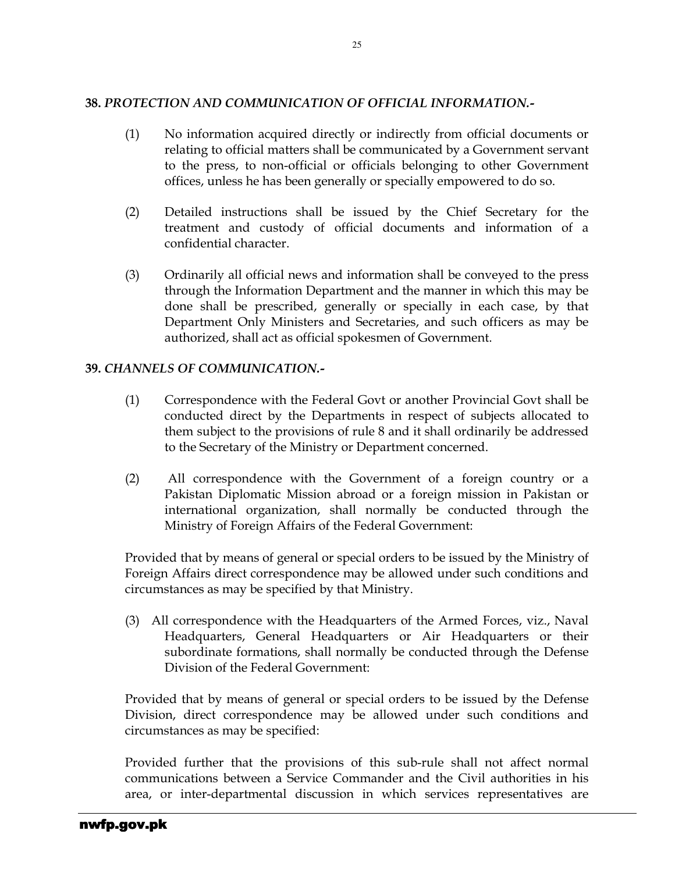### 38. PROTECTION AND COMMUNICATION OF OFFICIAL INFORMATION.-

- (1) No information acquired directly or indirectly from official documents or relating to official matters shall be communicated by a Government servant to the press, to non-official or officials belonging to other Government offices, unless he has been generally or specially empowered to do so.
- (2) Detailed instructions shall be issued by the Chief Secretary for the treatment and custody of official documents and information of a confidential character.
- (3) Ordinarily all official news and information shall be conveyed to the press through the Information Department and the manner in which this may be done shall be prescribed, generally or specially in each case, by that Department Only Ministers and Secretaries, and such officers as may be authorized, shall act as official spokesmen of Government.

### 39. CHANNELS OF COMMUNICATION.-

- (1) Correspondence with the Federal Govt or another Provincial Govt shall be conducted direct by the Departments in respect of subjects allocated to them subject to the provisions of rule 8 and it shall ordinarily be addressed to the Secretary of the Ministry or Department concerned.
- (2) All correspondence with the Government of a foreign country or a Pakistan Diplomatic Mission abroad or a foreign mission in Pakistan or international organization, shall normally be conducted through the Ministry of Foreign Affairs of the Federal Government:

Provided that by means of general or special orders to be issued by the Ministry of Foreign Affairs direct correspondence may be allowed under such conditions and circumstances as may be specified by that Ministry.

(3) All correspondence with the Headquarters of the Armed Forces, viz., Naval Headquarters, General Headquarters or Air Headquarters or their subordinate formations, shall normally be conducted through the Defense Division of the Federal Government:

Provided that by means of general or special orders to be issued by the Defense Division, direct correspondence may be allowed under such conditions and circumstances as may be specified:

Provided further that the provisions of this sub-rule shall not affect normal communications between a Service Commander and the Civil authorities in his area, or inter-departmental discussion in which services representatives are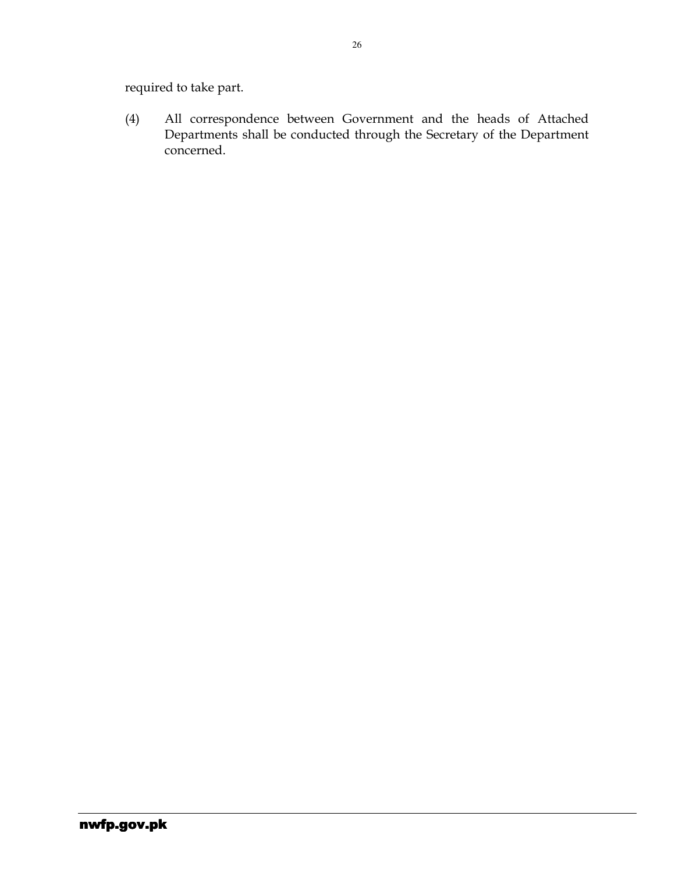required to take part.

(4) All correspondence between Government and the heads of Attached Departments shall be conducted through the Secretary of the Department concerned.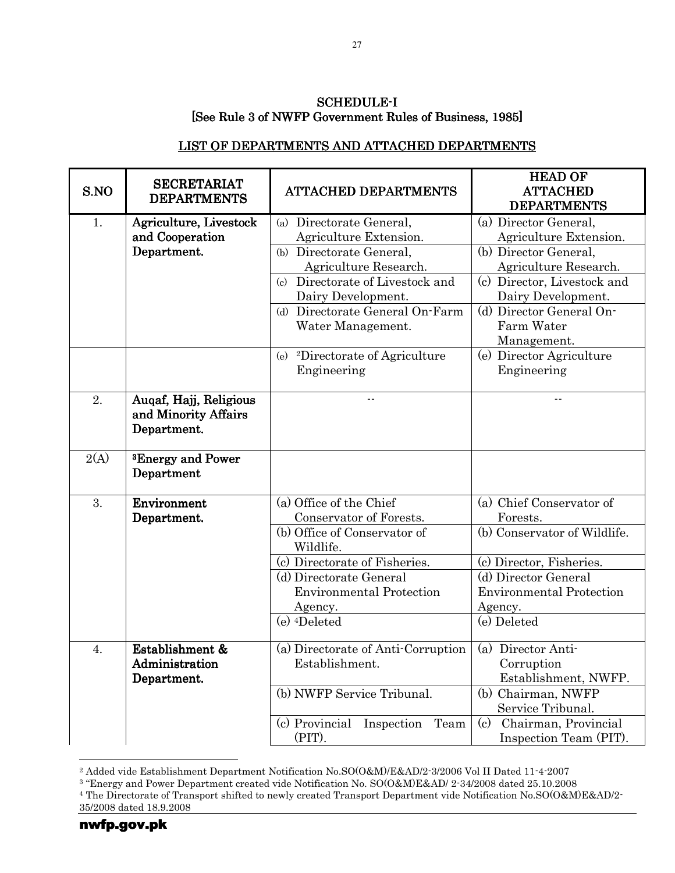#### SCHEDULE-I [See Rule 3 of NWFP Government Rules of Business, 1985]

#### LIST OF DEPARTMENTS AND ATTACHED DEPARTMENTS

| S.NO | <b>SECRETARIAT</b><br><b>DEPARTMENTS</b>                      | <b>ATTACHED DEPARTMENTS</b>                                                    | <b>HEAD OF</b><br><b>ATTACHED</b><br><b>DEPARTMENTS</b>                  |
|------|---------------------------------------------------------------|--------------------------------------------------------------------------------|--------------------------------------------------------------------------|
| 1.   | Agriculture, Livestock<br>and Cooperation<br>Department.      | (a) Directorate General,<br>Agriculture Extension.<br>(b) Directorate General, | (a) Director General,<br>Agriculture Extension.<br>(b) Director General, |
|      |                                                               | Agriculture Research.                                                          | Agriculture Research.                                                    |
|      |                                                               | Directorate of Livestock and<br>$\left($ c $\right)$<br>Dairy Development.     | (c) Director, Livestock and<br>Dairy Development.                        |
|      |                                                               | Directorate General On-Farm<br>(b)<br>Water Management.                        | (d) Director General On-<br>Farm Water<br>Management.                    |
|      |                                                               | (e) <sup>2</sup> Directorate of Agriculture                                    | (e) Director Agriculture                                                 |
|      |                                                               | Engineering                                                                    | Engineering                                                              |
| 2.   | Augaf, Hajj, Religious<br>and Minority Affairs<br>Department. |                                                                                |                                                                          |
| 2(A) | <sup>3</sup> Energy and Power<br>Department                   |                                                                                |                                                                          |
| 3.   | Environment                                                   | (a) Office of the Chief<br>Conservator of Forests.                             | $\overline{(a)}$ Chief Conservator of<br>Forests.                        |
|      | Department.                                                   | (b) Office of Conservator of<br>Wildlife.                                      | (b) Conservator of Wildlife.                                             |
|      |                                                               | (c) Directorate of Fisheries.                                                  | (c) Director, Fisheries.                                                 |
|      |                                                               | (d) Directorate General<br><b>Environmental Protection</b>                     | (d) Director General<br><b>Environmental Protection</b>                  |
|      |                                                               | Agency.                                                                        | Agency.                                                                  |
|      |                                                               | (e) <sup>4</sup> Deleted                                                       | (e) Deleted                                                              |
| 4.   | Establishment &                                               | (a) Directorate of Anti-Corruption                                             | (a) Director Anti-                                                       |
|      | Administration<br>Department.                                 | Establishment.                                                                 | Corruption<br>Establishment, NWFP.                                       |
|      |                                                               | (b) NWFP Service Tribunal.                                                     | (b) Chairman, NWFP<br>Service Tribunal.                                  |
|      |                                                               | (c) Provincial<br>Inspection<br>Team<br>$(PIT)$ .                              | $\rm(c)$<br>Chairman, Provincial<br>Inspection Team (PIT).               |

 2 Added vide Establishment Department Notification No.SO(O&M)/E&AD/2-3/2006 Vol II Dated 11-4-2007 3 "Energy and Power Department created vide Notification No. SO(O&M)E&AD/ 2-34/2008 dated 25.10.2008

<sup>4</sup> The Directorate of Transport shifted to newly created Transport Department vide Notification No.SO(O&M)E&AD/2- 35/2008 dated 18.9.2008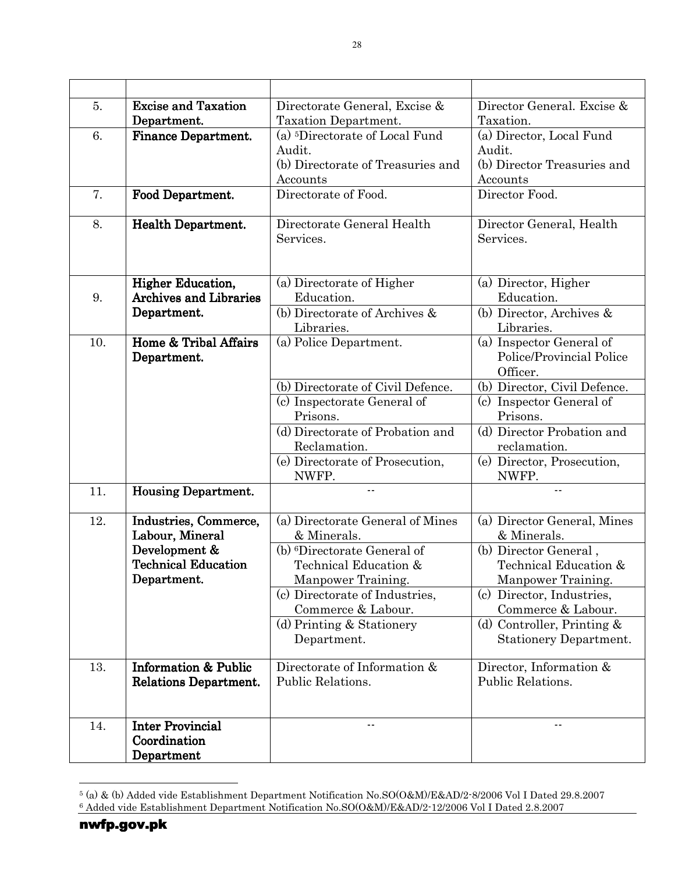| 5.  | <b>Excise and Taxation</b><br>Department.                                                              | Directorate General, Excise &<br>Taxation Department.                                                                                                                                                                                           | Director General. Excise &<br>Taxation.                                                                                                                                                                                                |
|-----|--------------------------------------------------------------------------------------------------------|-------------------------------------------------------------------------------------------------------------------------------------------------------------------------------------------------------------------------------------------------|----------------------------------------------------------------------------------------------------------------------------------------------------------------------------------------------------------------------------------------|
| 6.  | <b>Finance Department.</b>                                                                             | (a) <sup>5</sup> Directorate of Local Fund<br>Audit.<br>(b) Directorate of Treasuries and<br>Accounts                                                                                                                                           | (a) Director, Local Fund<br>Audit.<br>(b) Director Treasuries and<br>Accounts                                                                                                                                                          |
| 7.  | Food Department.                                                                                       | Directorate of Food.                                                                                                                                                                                                                            | Director Food.                                                                                                                                                                                                                         |
| 8.  | <b>Health Department.</b>                                                                              | Directorate General Health<br>Services.                                                                                                                                                                                                         | Director General, Health<br>Services.                                                                                                                                                                                                  |
| 9.  | <b>Higher Education,</b><br><b>Archives and Libraries</b><br>Department.                               | (a) Directorate of Higher<br>Education.<br>(b) Directorate of Archives &<br>Libraries.                                                                                                                                                          | (a) Director, Higher<br>Education.<br>(b) Director, Archives &<br>Libraries.                                                                                                                                                           |
| 10. | Home & Tribal Affairs<br>Department.                                                                   | (a) Police Department.<br>(b) Directorate of Civil Defence.                                                                                                                                                                                     | (a) Inspector General of<br>Police/Provincial Police<br>Officer.<br>(b) Director, Civil Defence.                                                                                                                                       |
|     |                                                                                                        | (c) Inspectorate General of<br>Prisons.<br>(d) Directorate of Probation and                                                                                                                                                                     | (c) Inspector General of<br>Prisons.<br>(d) Director Probation and                                                                                                                                                                     |
|     |                                                                                                        | Reclamation.<br>(e) Directorate of Prosecution,<br>NWFP.                                                                                                                                                                                        | reclamation.<br>(e) Director, Prosecution,<br>NWFP.                                                                                                                                                                                    |
| 11. | <b>Housing Department.</b>                                                                             | $-$                                                                                                                                                                                                                                             | $-$                                                                                                                                                                                                                                    |
| 12. | Industries, Commerce,<br>Labour, Mineral<br>Development &<br><b>Technical Education</b><br>Department. | (a) Directorate General of Mines<br>& Minerals.<br>(b) <sup>6</sup> Directorate General of<br>Technical Education &<br>Manpower Training.<br>(c) Directorate of Industries,<br>Commerce & Labour.<br>(d) Printing $&$ Stationery<br>Department. | (a) Director General, Mines<br>& Minerals.<br>(b) Director General,<br>Technical Education &<br>Manpower Training.<br>(c) Director, Industries,<br>Commerce & Labour.<br>(d) Controller, Printing $&$<br><b>Stationery Department.</b> |
| 13. | <b>Information &amp; Public</b><br>Relations Department.                                               | Directorate of Information &<br>Public Relations.                                                                                                                                                                                               | Director, Information &<br>Public Relations.                                                                                                                                                                                           |
| 14. | <b>Inter Provincial</b><br>Coordination<br>Department                                                  |                                                                                                                                                                                                                                                 |                                                                                                                                                                                                                                        |

 5 (a) & (b) Added vide Establishment Department Notification No.SO(O&M)/E&AD/2-8/2006 Vol I Dated 29.8.2007 6 Added vide Establishment Department Notification No.SO(O&M)/E&AD/2-12/2006 Vol I Dated 2.8.2007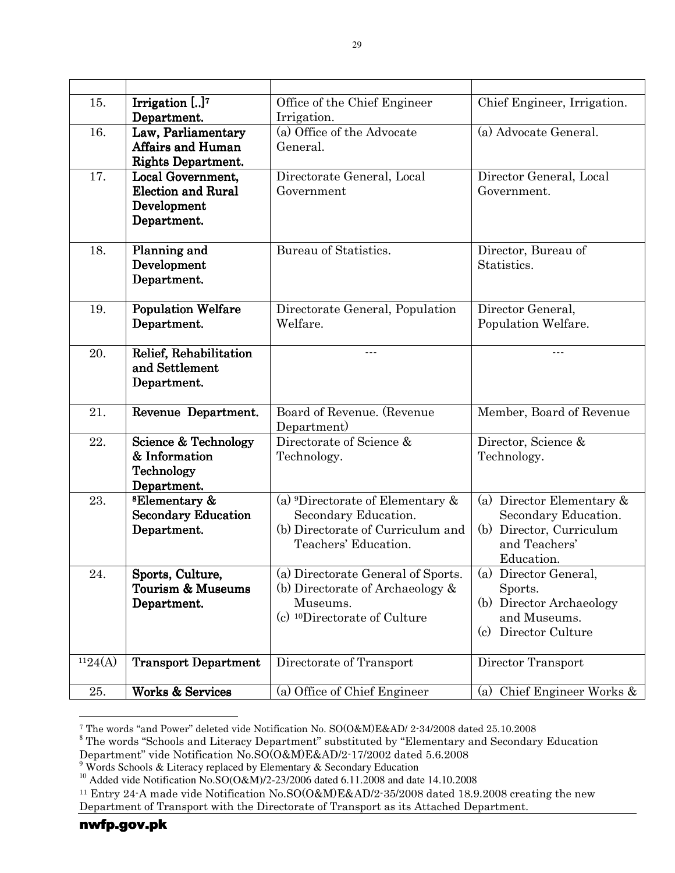| 15.     | Irrigation $[]^7$<br>Department.                                             | Office of the Chief Engineer<br>Irrigation.                                                                                          | Chief Engineer, Irrigation.                                                                                  |  |
|---------|------------------------------------------------------------------------------|--------------------------------------------------------------------------------------------------------------------------------------|--------------------------------------------------------------------------------------------------------------|--|
| 16.     | Law, Parliamentary<br><b>Affairs and Human</b><br><b>Rights Department.</b>  | (a) Office of the Advocate<br>General.                                                                                               | (a) Advocate General.                                                                                        |  |
| 17.     | Local Government,<br><b>Election and Rural</b><br>Development<br>Department. | Directorate General, Local<br>Government                                                                                             | Director General, Local<br>Government.                                                                       |  |
| 18.     | Planning and<br>Development<br>Department.                                   | Bureau of Statistics.                                                                                                                | Director, Bureau of<br>Statistics.                                                                           |  |
| 19.     | <b>Population Welfare</b><br>Department.                                     | Directorate General, Population<br>Welfare.                                                                                          | Director General,<br>Population Welfare.                                                                     |  |
| 20.     | Relief, Rehabilitation<br>and Settlement<br>Department.                      | $- - -$                                                                                                                              | $- - -$                                                                                                      |  |
| 21.     | Revenue Department.                                                          | Board of Revenue. (Revenue<br>Department)                                                                                            | Member, Board of Revenue                                                                                     |  |
| 22.     | Science & Technology<br>& Information<br>Technology<br>Department.           | Directorate of Science &<br>Technology.                                                                                              | Director, Science &<br>Technology.                                                                           |  |
| 23.     | <sup>8</sup> Elementary &<br><b>Secondary Education</b><br>Department.       | (a) <sup>9</sup> Directorate of Elementary $\&$<br>Secondary Education.<br>(b) Directorate of Curriculum and<br>Teachers' Education. | (a) Director Elementary &<br>Secondary Education.<br>(b) Director, Curriculum<br>and Teachers'<br>Education. |  |
| 24.     | Sports, Culture,<br>Tourism & Museums<br>Department.                         | (a) Directorate General of Sports.<br>(b) Directorate of Archaeology $\&$<br>Museums.<br>(c) <sup>10</sup> Directorate of Culture    | (a) Director General,<br>Sports.<br>(b) Director Archaeology<br>and Museums.<br>(c) Director Culture         |  |
| 1124(A) | <b>Transport Department</b>                                                  | Directorate of Transport                                                                                                             | Director Transport                                                                                           |  |
| 25.     | <b>Works &amp; Services</b>                                                  | (a) Office of Chief Engineer                                                                                                         | Chief Engineer Works &<br>(a)                                                                                |  |

 7 The words "and Power" deleted vide Notification No. SO(O&M)E&AD/ 2-34/2008 dated 25.10.2008

<sup>&</sup>lt;sup>8</sup> The words "Schools and Literacy Department" substituted by "Elementary and Secondary Education

Department" vide Notification No.SO(O&M)E&AD/2-17/2002 dated 5.6.2008 9 Words Schools & Literacy replaced by Elementary & Secondary Education

<sup>&</sup>lt;sup>10</sup> Added vide Notification No.SO(O&M)/2-23/2006 dated 6.11.2008 and date 14.10.2008

<sup>11</sup> Entry 24-A made vide Notification No.SO(O&M)E&AD/2-35/2008 dated 18.9.2008 creating the new Department of Transport with the Directorate of Transport as its Attached Department.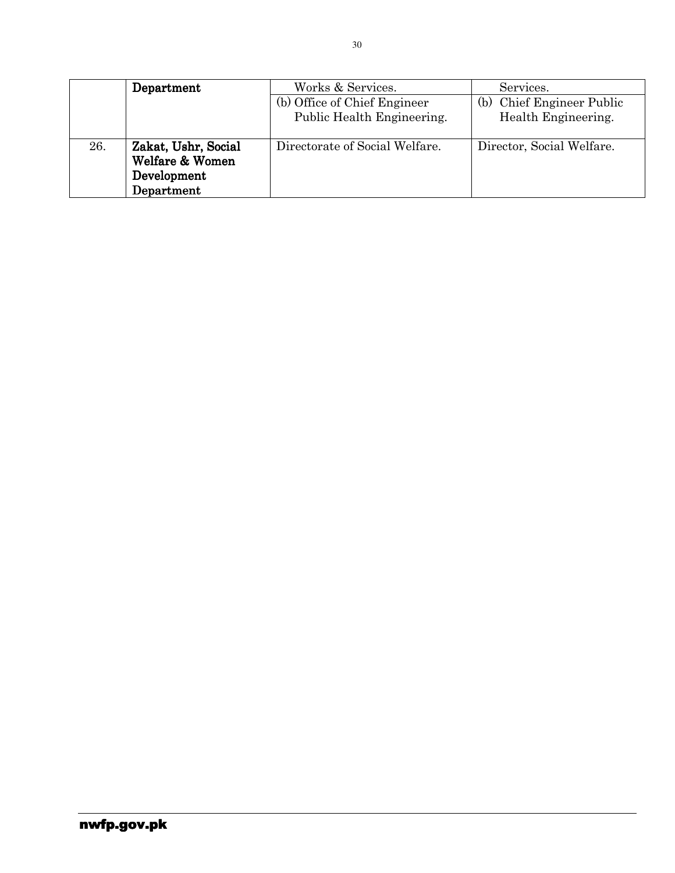|     | Department                                                          | Works & Services.<br>(b) Office of Chief Engineer<br>Public Health Engineering. | Services.<br>(b) Chief Engineer Public<br>Health Engineering. |
|-----|---------------------------------------------------------------------|---------------------------------------------------------------------------------|---------------------------------------------------------------|
| 26. | Zakat, Ushr, Social<br>Welfare & Women<br>Development<br>Department | Directorate of Social Welfare.                                                  | Director, Social Welfare.                                     |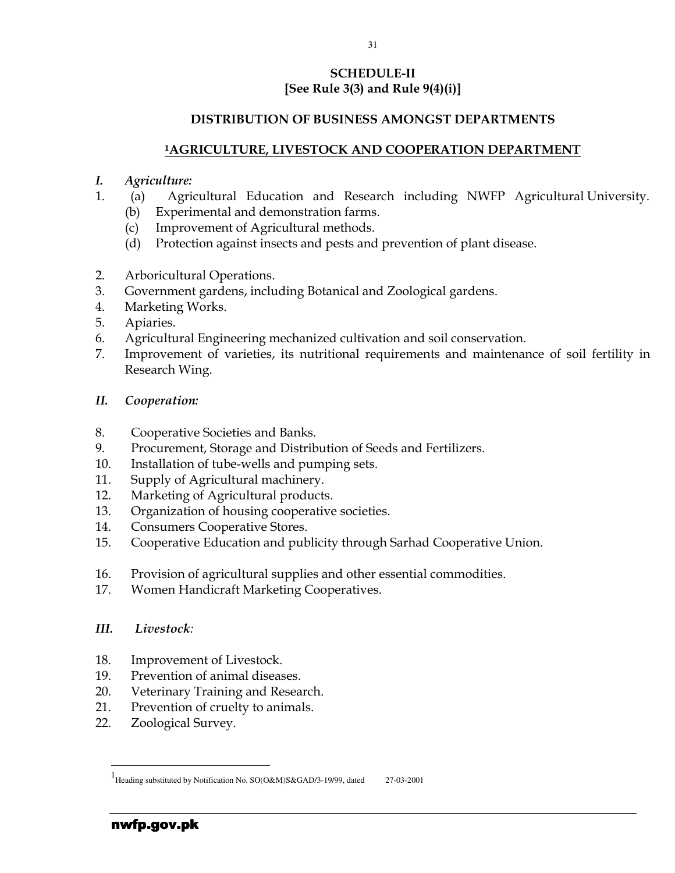### SCHEDULE-II [See Rule 3(3) and Rule  $9(4)(i)$ ]

### DISTRIBUTION OF BUSINESS AMONGST DEPARTMENTS

#### <sup>1</sup>AGRICULTURE, LIVESTOCK AND COOPERATION DEPARTMENT

#### I. Agriculture:

- 1. (a) Agricultural Education and Research including NWFP Agricultural University. (b) Experimental and demonstration farms.
	- (c) Improvement of Agricultural methods.
	- (d) Protection against insects and pests and prevention of plant disease.
- 2. Arboricultural Operations.
- 3. Government gardens, including Botanical and Zoological gardens.
- 4. Marketing Works.
- 5. Apiaries.
- 6. Agricultural Engineering mechanized cultivation and soil conservation.
- 7. Improvement of varieties, its nutritional requirements and maintenance of soil fertility in Research Wing.

#### II. Cooperation:

- 8. Cooperative Societies and Banks.
- 9. Procurement, Storage and Distribution of Seeds and Fertilizers.
- 10. Installation of tube-wells and pumping sets.
- 11. Supply of Agricultural machinery.
- 12. Marketing of Agricultural products.
- 13. Organization of housing cooperative societies.
- 14. Consumers Cooperative Stores.
- 15. Cooperative Education and publicity through Sarhad Cooperative Union.
- 16. Provision of agricultural supplies and other essential commodities.
- 17. Women Handicraft Marketing Cooperatives.
- III. Livestock:
- 18. Improvement of Livestock.
- 19. Prevention of animal diseases.
- 20. Veterinary Training and Research.
- 21. Prevention of cruelty to animals.
- 22. Zoological Survey.

l

<sup>1&</sup>lt;br>Heading substituted by Notification No. SO(O&M)S&GAD/3-19/99, dated 27-03-2001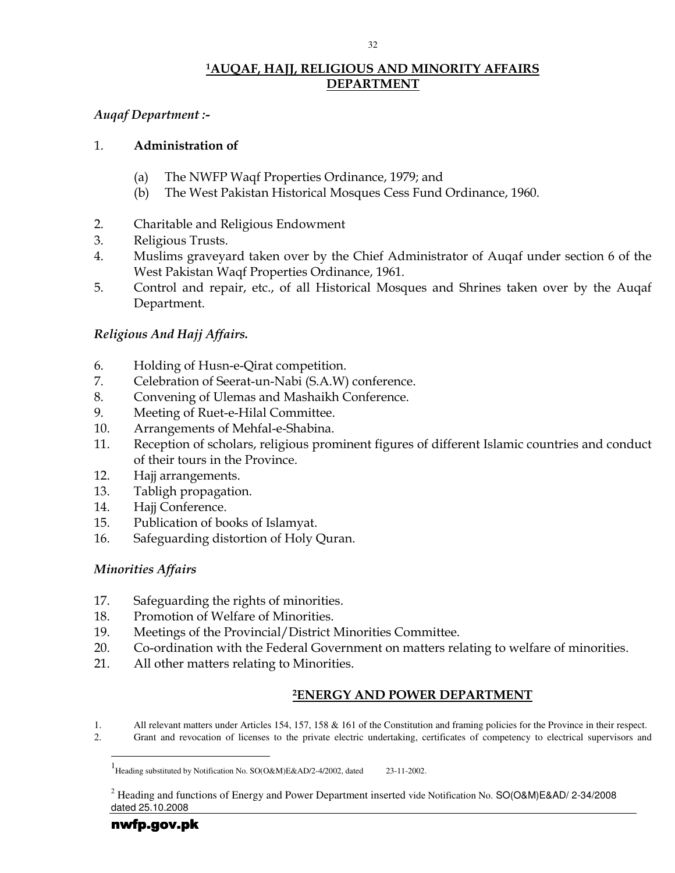### <sup>1</sup>AUQAF, HAJJ, RELIGIOUS AND MINORITY AFFAIRS DEPARTMENT

### Auqaf Department :-

### 1. Administration of

- (a) The NWFP Waqf Properties Ordinance, 1979; and
- (b) The West Pakistan Historical Mosques Cess Fund Ordinance, 1960.
- 2. Charitable and Religious Endowment
- 3. Religious Trusts.
- 4. Muslims graveyard taken over by the Chief Administrator of Auqaf under section 6 of the West Pakistan Waqf Properties Ordinance, 1961.
- 5. Control and repair, etc., of all Historical Mosques and Shrines taken over by the Auqaf Department.

### Religious And Hajj Affairs.

- 6. Holding of Husn-e-Qirat competition.
- 7. Celebration of Seerat-un-Nabi (S.A.W) conference.
- 8. Convening of Ulemas and Mashaikh Conference.
- 9. Meeting of Ruet-e-Hilal Committee.
- 10. Arrangements of Mehfal-e-Shabina.
- 11. Reception of scholars, religious prominent figures of different Islamic countries and conduct of their tours in the Province.
- 12. Hajj arrangements.
- 13. Tabligh propagation.
- 14. Hajj Conference.
- 15. Publication of books of Islamyat.
- 16. Safeguarding distortion of Holy Quran.

### Minorities Affairs

- 17. Safeguarding the rights of minorities.
- 18. Promotion of Welfare of Minorities.
- 19. Meetings of the Provincial/District Minorities Committee.
- 20. Co-ordination with the Federal Government on matters relating to welfare of minorities.
- 21. All other matters relating to Minorities.

### <sup>2</sup>ENERGY AND POWER DEPARTMENT

1. All relevant matters under Articles 154, 157, 158 & 161 of the Constitution and framing policies for the Province in their respect. 2. Grant and revocation of licenses to the private electric undertaking, certificates of competency to electrical supervisors and

l

<sup>1&</sup>lt;br>Heading substituted by Notification No. SO(O&M)E&AD/2-4/2002, dated 23-11-2002.

<sup>&</sup>lt;sup>2</sup> Heading and functions of Energy and Power Department inserted vide Notification No. SO(O&M)E&AD/ 2-34/2008 dated 25.10.2008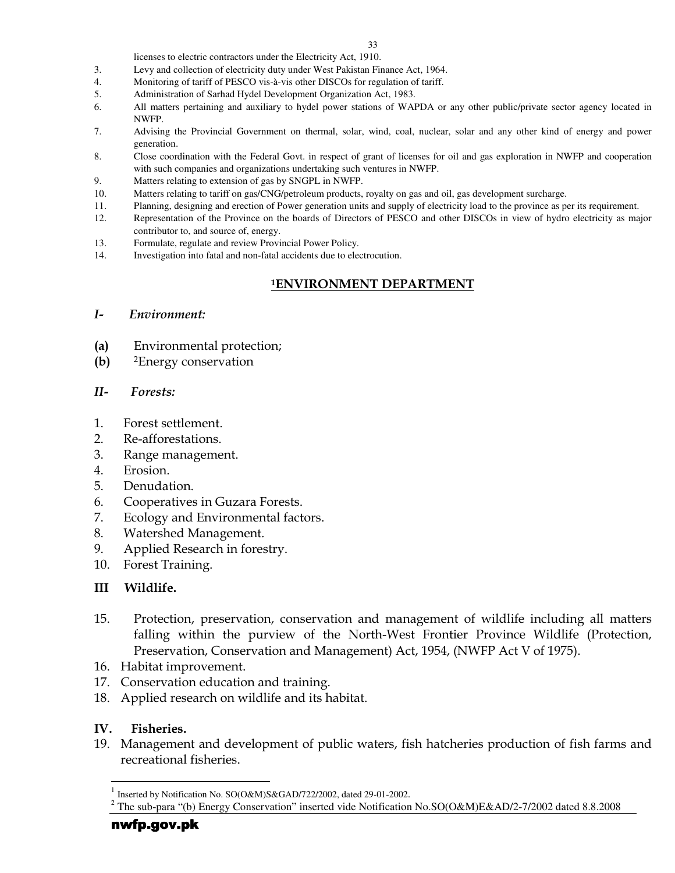licenses to electric contractors under the Electricity Act, 1910.

- 3. Levy and collection of electricity duty under West Pakistan Finance Act, 1964.
- 4. Monitoring of tariff of PESCO vis-à-vis other DISCOs for regulation of tariff.
- 5. Administration of Sarhad Hydel Development Organization Act, 1983.
- 6. All matters pertaining and auxiliary to hydel power stations of WAPDA or any other public/private sector agency located in NWFP.
- 7. Advising the Provincial Government on thermal, solar, wind, coal, nuclear, solar and any other kind of energy and power generation.
- 8. Close coordination with the Federal Govt. in respect of grant of licenses for oil and gas exploration in NWFP and cooperation with such companies and organizations undertaking such ventures in NWFP.
- 9. Matters relating to extension of gas by SNGPL in NWFP.
- 10. Matters relating to tariff on gas/CNG/petroleum products, royalty on gas and oil, gas development surcharge.
- 11. Planning, designing and erection of Power generation units and supply of electricity load to the province as per its requirement.
- 12. Representation of the Province on the boards of Directors of PESCO and other DISCOs in view of hydro electricity as major contributor to, and source of, energy.
- 13. Formulate, regulate and review Provincial Power Policy.
- 14. Investigation into fatal and non-fatal accidents due to electrocution.

### <sup>1</sup>ENVIRONMENT DEPARTMENT

#### I- Environment:

- (a) Environmental protection;
- (b) <sup>2</sup>Energy conservation

#### II- Forests:

- 1. Forest settlement.
- 2. Re-afforestations.
- 3. Range management.
- 4. Erosion.
- 5. Denudation.
- 6. Cooperatives in Guzara Forests.
- 7. Ecology and Environmental factors.
- 8. Watershed Management.
- 9. Applied Research in forestry.
- 10. Forest Training.

### III Wildlife.

- 15. Protection, preservation, conservation and management of wildlife including all matters falling within the purview of the North-West Frontier Province Wildlife (Protection, Preservation, Conservation and Management) Act, 1954, (NWFP Act V of 1975).
- 16. Habitat improvement.
- 17. Conservation education and training.
- 18. Applied research on wildlife and its habitat.

#### IV. Fisheries.

l

19. Management and development of public waters, fish hatcheries production of fish farms and recreational fisheries.

<sup>1</sup> Inserted by Notification No. SO(O&M)S&GAD/722/2002, dated 29-01-2002.

<sup>&</sup>lt;sup>2</sup> The sub-para "(b) Energy Conservation" inserted vide Notification No.SO(O&M)E&AD/2-7/2002 dated 8.8.2008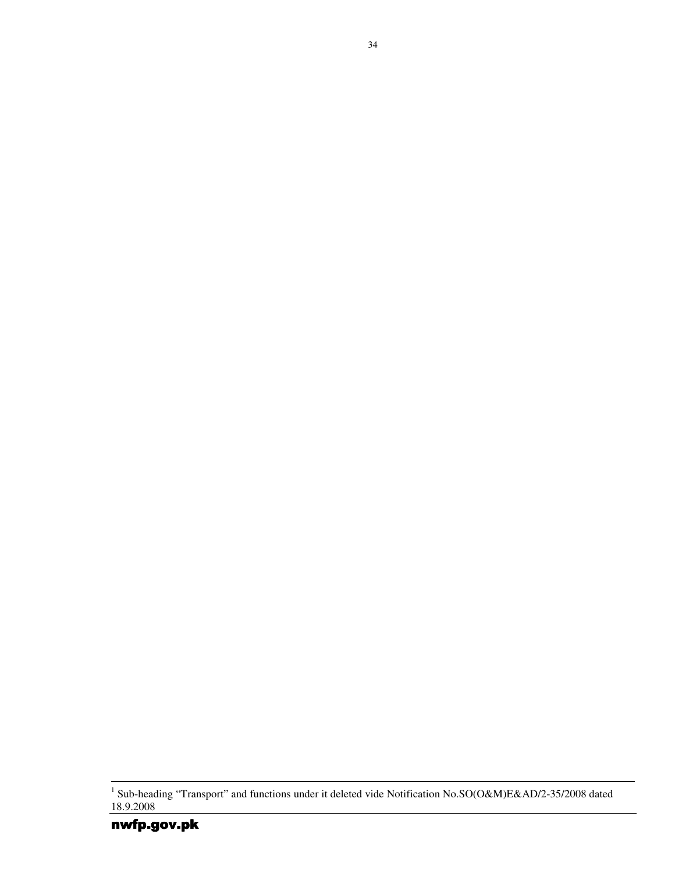<sup>&</sup>lt;sup>1</sup> Sub-heading "Transport" and functions under it deleted vide Notification No.SO(O&M)E&AD/2-35/2008 dated 18.9.2008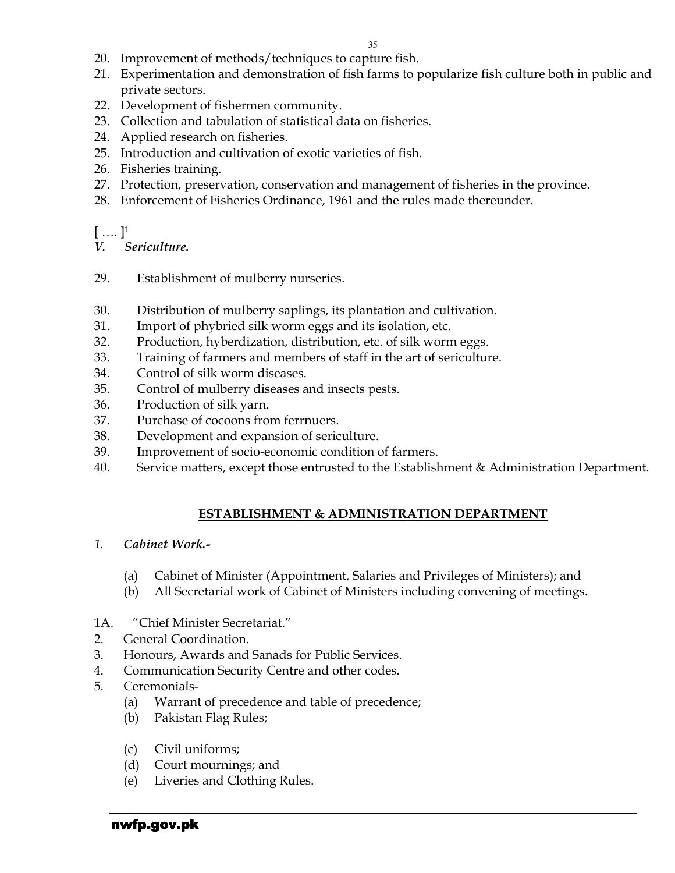- 20. Improvement of methods/techniques to capture fish.
- 21. Experimentation and demonstration of fish farms to popularize fish culture both in public and private sectors.
- 22. Development of fishermen community.
- 23. Collection and tabulation of statistical data on fisheries.
- 24. Applied research on fisheries.
- 25. Introduction and cultivation of exotic varieties of fish.
- 26. Fisheries training.
- 27. Protection, preservation, conservation and management of fisheries in the province.
- 28. Enforcement of Fisheries Ordinance, 1961 and the rules made thereunder.

 $[ ... ]<sup>1</sup>$ 

- V. Sericulture.
- 29. Establishment of mulberry nurseries.
- 30. Distribution of mulberry saplings, its plantation and cultivation.
- 31. Import of phybried silk worm eggs and its isolation, etc.
- 32. Production, hyberdization, distribution, etc. of silk worm eggs.
- 33. Training of farmers and members of staff in the art of sericulture.
- 34. Control of silk worm diseases.
- 35. Control of mulberry diseases and insects pests.
- 36. Production of silk yarn.
- 37. Purchase of cocoons from ferrnuers.
- 38. Development and expansion of sericulture.
- 39. Improvement of socio-economic condition of farmers.
- 40. Service matters, except those entrusted to the Establishment & Administration Department.

## ESTABLISHMENT & ADMINISTRATION DEPARTMENT

### 1. Cabinet Work.-

- (a) Cabinet of Minister (Appointment, Salaries and Privileges of Ministers); and
- (b) All Secretarial work of Cabinet of Ministers including convening of meetings.

## 1A. "Chief Minister Secretariat."

- 2. General Coordination.
- 3. Honours, Awards and Sanads for Public Services.
- 4. Communication Security Centre and other codes.
- 5. Ceremonials-
	- (a) Warrant of precedence and table of precedence;
	- (b) Pakistan Flag Rules;
	- (c) Civil uniforms;
	- (d) Court mournings; and
	- (e) Liveries and Clothing Rules.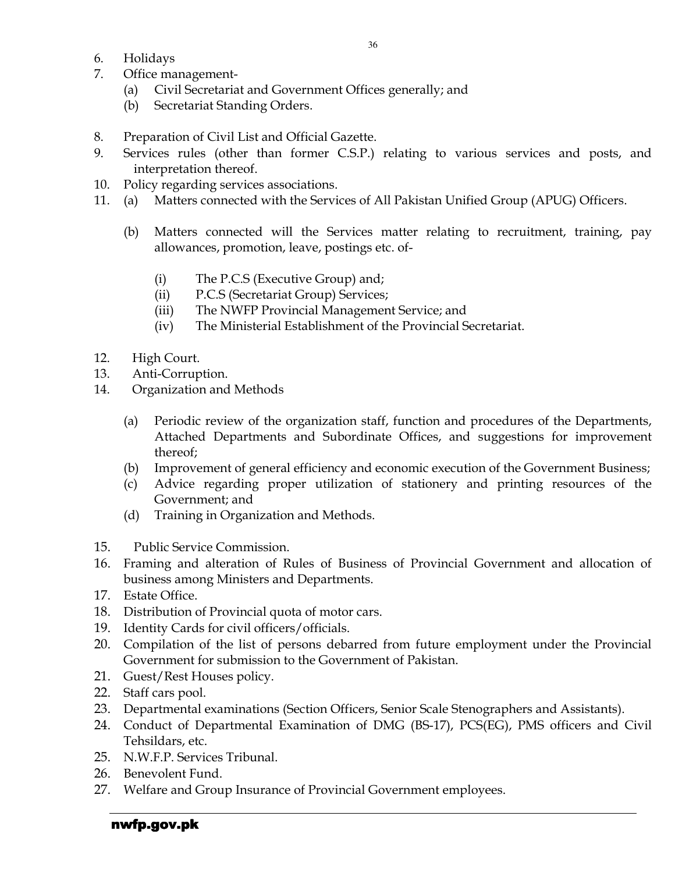- 6. Holidays
- 7. Office management-
	- (a) Civil Secretariat and Government Offices generally; and
	- (b) Secretariat Standing Orders.
- 8. Preparation of Civil List and Official Gazette.
- 9. Services rules (other than former C.S.P.) relating to various services and posts, and interpretation thereof.
- 10. Policy regarding services associations.
- 11. (a) Matters connected with the Services of All Pakistan Unified Group (APUG) Officers.
	- (b) Matters connected will the Services matter relating to recruitment, training, pay allowances, promotion, leave, postings etc. of-
		- (i) The P.C.S (Executive Group) and;
		- (ii) P.C.S (Secretariat Group) Services;
		- (iii) The NWFP Provincial Management Service; and
		- (iv) The Ministerial Establishment of the Provincial Secretariat.
- 12. High Court.
- 13. Anti-Corruption.
- 14. Organization and Methods
	- (a) Periodic review of the organization staff, function and procedures of the Departments, Attached Departments and Subordinate Offices, and suggestions for improvement thereof;
	- (b) Improvement of general efficiency and economic execution of the Government Business;
	- (c) Advice regarding proper utilization of stationery and printing resources of the Government; and
	- (d) Training in Organization and Methods.
- 15. Public Service Commission.
- 16. Framing and alteration of Rules of Business of Provincial Government and allocation of business among Ministers and Departments.
- 17. Estate Office.
- 18. Distribution of Provincial quota of motor cars.
- 19. Identity Cards for civil officers/officials.
- 20. Compilation of the list of persons debarred from future employment under the Provincial Government for submission to the Government of Pakistan.
- 21. Guest/Rest Houses policy.
- 22. Staff cars pool.
- 23. Departmental examinations (Section Officers, Senior Scale Stenographers and Assistants).
- 24. Conduct of Departmental Examination of DMG (BS-17), PCS(EG), PMS officers and Civil Tehsildars, etc.
- 25. N.W.F.P. Services Tribunal.
- 26. Benevolent Fund.
- 27. Welfare and Group Insurance of Provincial Government employees.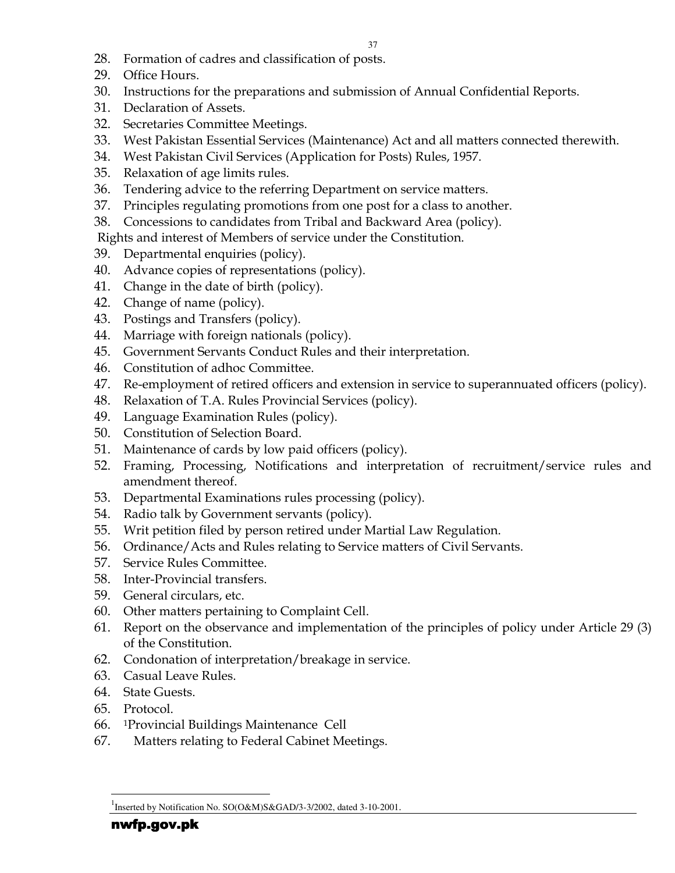- 28. Formation of cadres and classification of posts.
- 29. Office Hours.
- 30. Instructions for the preparations and submission of Annual Confidential Reports.
- 31. Declaration of Assets.
- 32. Secretaries Committee Meetings.
- 33. West Pakistan Essential Services (Maintenance) Act and all matters connected therewith.
- 34. West Pakistan Civil Services (Application for Posts) Rules, 1957.
- 35. Relaxation of age limits rules.
- 36. Tendering advice to the referring Department on service matters.
- 37. Principles regulating promotions from one post for a class to another.
- 38. Concessions to candidates from Tribal and Backward Area (policy).

Rights and interest of Members of service under the Constitution.

- 39. Departmental enquiries (policy).
- 40. Advance copies of representations (policy).
- 41. Change in the date of birth (policy).
- 42. Change of name (policy).
- 43. Postings and Transfers (policy).
- 44. Marriage with foreign nationals (policy).
- 45. Government Servants Conduct Rules and their interpretation.
- 46. Constitution of adhoc Committee.
- 47. Re-employment of retired officers and extension in service to superannuated officers (policy).
- 48. Relaxation of T.A. Rules Provincial Services (policy).
- 49. Language Examination Rules (policy).
- 50. Constitution of Selection Board.
- 51. Maintenance of cards by low paid officers (policy).
- 52. Framing, Processing, Notifications and interpretation of recruitment/service rules and amendment thereof.
- 53. Departmental Examinations rules processing (policy).
- 54. Radio talk by Government servants (policy).
- 55. Writ petition filed by person retired under Martial Law Regulation.
- 56. Ordinance/Acts and Rules relating to Service matters of Civil Servants.
- 57. Service Rules Committee.
- 58. Inter-Provincial transfers.
- 59. General circulars, etc.
- 60. Other matters pertaining to Complaint Cell.
- 61. Report on the observance and implementation of the principles of policy under Article 29 (3) of the Constitution.
- 62. Condonation of interpretation/breakage in service.
- 63. Casual Leave Rules.
- 64. State Guests.
- 65. Protocol.
- 66. <sup>1</sup>Provincial Buildings Maintenance Cell
- 67. Matters relating to Federal Cabinet Meetings.

<sup>-</sup><sup>1</sup>Inserted by Notification No. SO(O&M)S&GAD/3-3/2002, dated 3-10-2001.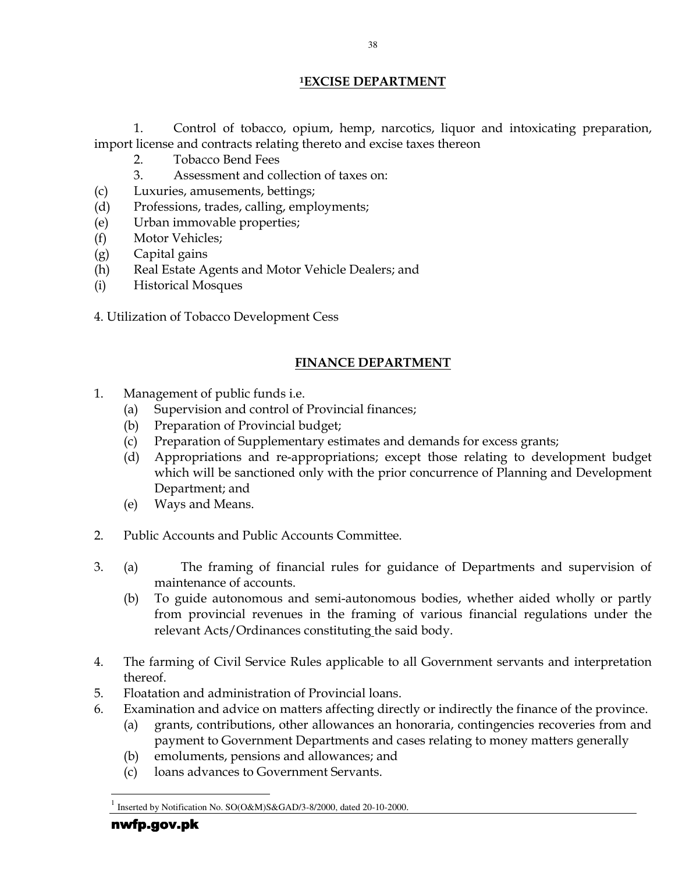### <sup>1</sup>EXCISE DEPARTMENT

1. Control of tobacco, opium, hemp, narcotics, liquor and intoxicating preparation, import license and contracts relating thereto and excise taxes thereon

- 2. Tobacco Bend Fees
- 3. Assessment and collection of taxes on:
- (c) Luxuries, amusements, bettings;
- (d) Professions, trades, calling, employments;
- (e) Urban immovable properties;
- (f) Motor Vehicles;
- (g) Capital gains
- (h) Real Estate Agents and Motor Vehicle Dealers; and
- (i) Historical Mosques
- 4. Utilization of Tobacco Development Cess

### FINANCE DEPARTMENT

- 1. Management of public funds i.e.
	- (a) Supervision and control of Provincial finances;
	- (b) Preparation of Provincial budget;
	- (c) Preparation of Supplementary estimates and demands for excess grants;
	- (d) Appropriations and re-appropriations; except those relating to development budget which will be sanctioned only with the prior concurrence of Planning and Development Department; and
	- (e) Ways and Means.
- 2. Public Accounts and Public Accounts Committee.
- 3. (a) The framing of financial rules for guidance of Departments and supervision of maintenance of accounts.
	- (b) To guide autonomous and semi-autonomous bodies, whether aided wholly or partly from provincial revenues in the framing of various financial regulations under the relevant Acts/Ordinances constituting the said body.
- 4. The farming of Civil Service Rules applicable to all Government servants and interpretation thereof.
- 5. Floatation and administration of Provincial loans.
- 6. Examination and advice on matters affecting directly or indirectly the finance of the province.
	- (a) grants, contributions, other allowances an honoraria, contingencies recoveries from and payment to Government Departments and cases relating to money matters generally
	- (b) emoluments, pensions and allowances; and
	- (c) loans advances to Government Servants.

-

<sup>1</sup> Inserted by Notification No. SO(O&M)S&GAD/3-8/2000, dated 20-10-2000.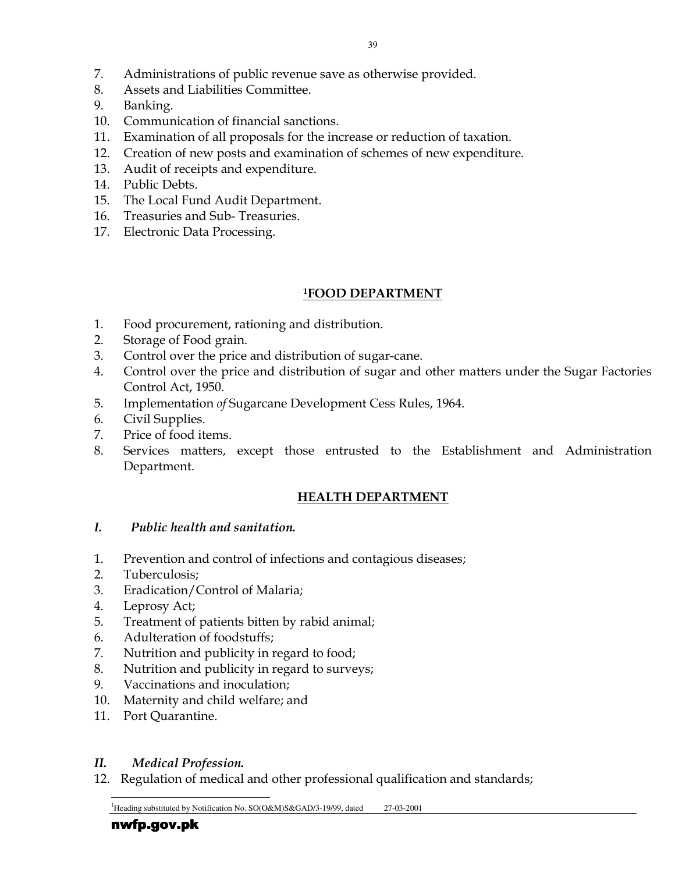- 7. Administrations of public revenue save as otherwise provided.
- 8. Assets and Liabilities Committee.
- 9. Banking.
- 10. Communication of financial sanctions.
- 11. Examination of all proposals for the increase or reduction of taxation.
- 12. Creation of new posts and examination of schemes of new expenditure.
- 13. Audit of receipts and expenditure.
- 14. Public Debts.
- 15. The Local Fund Audit Department.
- 16. Treasuries and Sub- Treasuries.
- 17. Electronic Data Processing.

### <sup>1</sup>FOOD DEPARTMENT

- 1. Food procurement, rationing and distribution.
- 2. Storage of Food grain.
- 3. Control over the price and distribution of sugar-cane.
- 4. Control over the price and distribution of sugar and other matters under the Sugar Factories Control Act, 1950.
- 5. Implementation of Sugarcane Development Cess Rules, 1964.
- 6. Civil Supplies.
- 7. Price of food items.
- 8. Services matters, except those entrusted to the Establishment and Administration Department.

### HEALTH DEPARTMENT

- I. Public health and sanitation.
- 1. Prevention and control of infections and contagious diseases;
- 2. Tuberculosis;
- 3. Eradication/Control of Malaria;
- 4. Leprosy Act;
- 5. Treatment of patients bitten by rabid animal;
- 6. Adulteration of foodstuffs;
- 7. Nutrition and publicity in regard to food;
- 8. Nutrition and publicity in regard to surveys;
- 9. Vaccinations and inoculation;
- 10. Maternity and child welfare; and
- 11. Port Quarantine.

### II. Medical Profession.

12. Regulation of medical and other professional qualification and standards;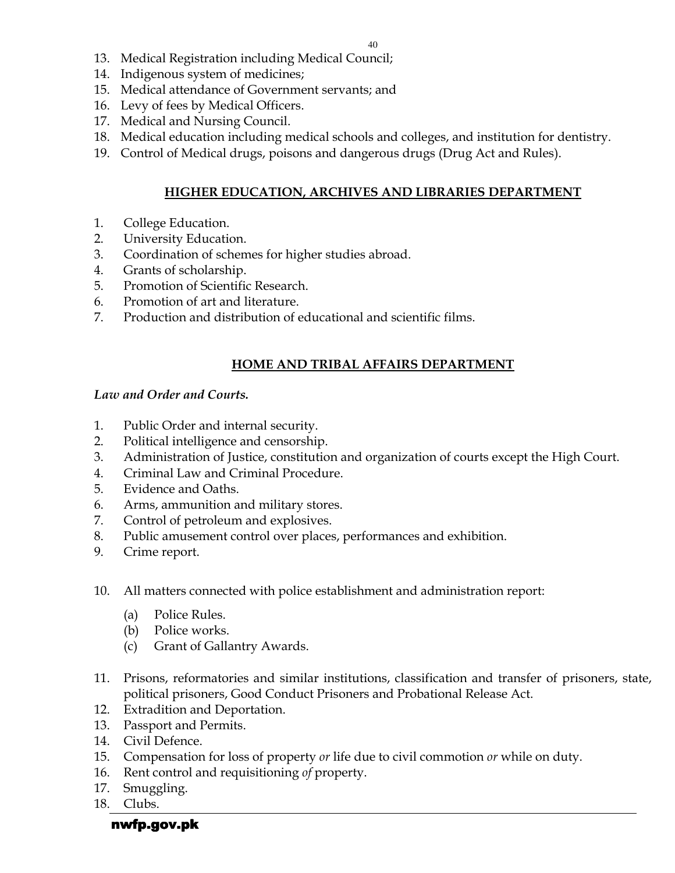- 13. Medical Registration including Medical Council;
- 14. Indigenous system of medicines;
- 15. Medical attendance of Government servants; and
- 16. Levy of fees by Medical Officers.
- 17. Medical and Nursing Council.
- 18. Medical education including medical schools and colleges, and institution for dentistry.
- 19. Control of Medical drugs, poisons and dangerous drugs (Drug Act and Rules).

### HIGHER EDUCATION, ARCHIVES AND LIBRARIES DEPARTMENT

- 1. College Education.
- 2. University Education.
- 3. Coordination of schemes for higher studies abroad.
- 4. Grants of scholarship.
- 5. Promotion of Scientific Research.
- 6. Promotion of art and literature.
- 7. Production and distribution of educational and scientific films.

### HOME AND TRIBAL AFFAIRS DEPARTMENT

### Law and Order and Courts.

- 1. Public Order and internal security.
- 2. Political intelligence and censorship.
- 3. Administration of Justice, constitution and organization of courts except the High Court.
- 4. Criminal Law and Criminal Procedure.
- 5. Evidence and Oaths.
- 6. Arms, ammunition and military stores.
- 7. Control of petroleum and explosives.
- 8. Public amusement control over places, performances and exhibition.
- 9. Crime report.
- 10. All matters connected with police establishment and administration report:
	- (a) Police Rules.
	- (b) Police works.
	- (c) Grant of Gallantry Awards.
- 11. Prisons, reformatories and similar institutions, classification and transfer of prisoners, state, political prisoners, Good Conduct Prisoners and Probational Release Act.
- 12. Extradition and Deportation.
- 13. Passport and Permits.
- 14. Civil Defence.
- 15. Compensation for loss of property or life due to civil commotion or while on duty.
- 16. Rent control and requisitioning of property.
- 17. Smuggling.
- 18. Clubs.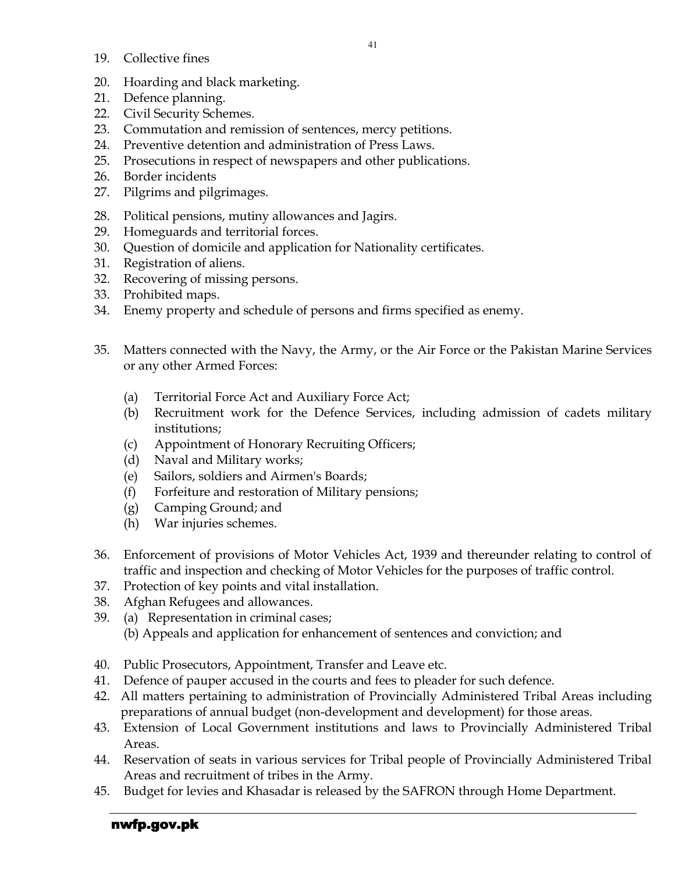- 19. Collective fines
- 20. Hoarding and black marketing.
- 21. Defence planning.
- 22. Civil Security Schemes.
- 23. Commutation and remission of sentences, mercy petitions.
- 24. Preventive detention and administration of Press Laws.
- 25. Prosecutions in respect of newspapers and other publications.
- 26. Border incidents
- 27. Pilgrims and pilgrimages.
- 28. Political pensions, mutiny allowances and Jagirs.
- 29. Homeguards and territorial forces.
- 30. Question of domicile and application for Nationality certificates.
- 31. Registration of aliens.
- 32. Recovering of missing persons.
- 33. Prohibited maps.
- 34. Enemy property and schedule of persons and firms specified as enemy.
- 35. Matters connected with the Navy, the Army, or the Air Force or the Pakistan Marine Services or any other Armed Forces:
	- (a) Territorial Force Act and Auxiliary Force Act;
	- (b) Recruitment work for the Defence Services, including admission of cadets military institutions;
	- (c) Appointment of Honorary Recruiting Officers;
	- (d) Naval and Military works;
	- (e) Sailors, soldiers and Airmen's Boards;
	- (f) Forfeiture and restoration of Military pensions;
	- (g) Camping Ground; and
	- (h) War injuries schemes.
- 36. Enforcement of provisions of Motor Vehicles Act, 1939 and thereunder relating to control of traffic and inspection and checking of Motor Vehicles for the purposes of traffic control.
- 37. Protection of key points and vital installation.
- 38. Afghan Refugees and allowances.
- 39. (a) Representation in criminal cases; (b) Appeals and application for enhancement of sentences and conviction; and
- 40. Public Prosecutors, Appointment, Transfer and Leave etc.
- 41. Defence of pauper accused in the courts and fees to pleader for such defence.
- 42. All matters pertaining to administration of Provincially Administered Tribal Areas including preparations of annual budget (non-development and development) for those areas.
- 43. Extension of Local Government institutions and laws to Provincially Administered Tribal Areas.
- 44. Reservation of seats in various services for Tribal people of Provincially Administered Tribal Areas and recruitment of tribes in the Army.
- 45. Budget for levies and Khasadar is released by the SAFRON through Home Department.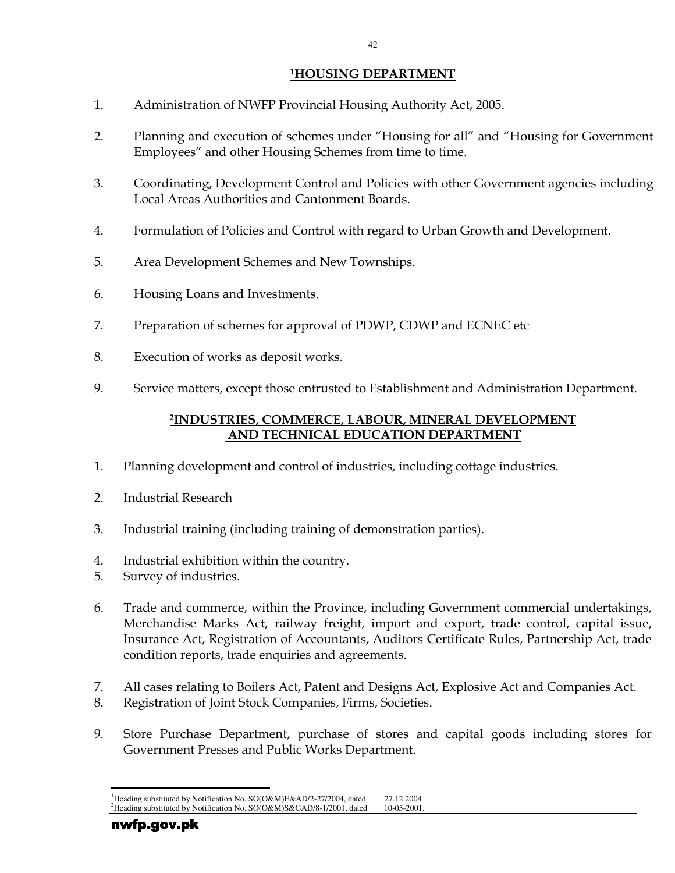### <sup>1</sup>HOUSING DEPARTMENT

- 1. Administration of NWFP Provincial Housing Authority Act, 2005.
- 2. Planning and execution of schemes under "Housing for all" and "Housing for Government Employees" and other Housing Schemes from time to time.
- 3. Coordinating, Development Control and Policies with other Government agencies including Local Areas Authorities and Cantonment Boards.
- 4. Formulation of Policies and Control with regard to Urban Growth and Development.
- 5. Area Development Schemes and New Townships.
- 6. Housing Loans and Investments.
- 7. Preparation of schemes for approval of PDWP, CDWP and ECNEC etc
- 8. Execution of works as deposit works.
- 9. Service matters, except those entrusted to Establishment and Administration Department.

### <sup>2</sup>INDUSTRIES, COMMERCE, LABOUR, MINERAL DEVELOPMENT AND TECHNICAL EDUCATION DEPARTMENT

- 1. Planning development and control of industries, including cottage industries.
- 2. Industrial Research
- 3. Industrial training (including training of demonstration parties).
- 4. Industrial exhibition within the country.
- 5. Survey of industries.
- 6. Trade and commerce, within the Province, including Government commercial undertakings, Merchandise Marks Act, railway freight, import and export, trade control, capital issue, Insurance Act, Registration of Accountants, Auditors Certificate Rules, Partnership Act, trade condition reports, trade enquiries and agreements.
- 7. All cases relating to Boilers Act, Patent and Designs Act, Explosive Act and Companies Act.
- 8. Registration of Joint Stock Companies, Firms, Societies.
- 9. Store Purchase Department, purchase of stores and capital goods including stores for Government Presses and Public Works Department.

 $\overline{a}$ <sup>1</sup>Heading substituted by Notification No. SO(O&M)E&AD/2-27/2004, dated 27.12.2004 <sup>2</sup>Heading substituted by Notification No.  $SO(O\&M)S\&GAD/8-1/2001$ , dated 10-05-2001.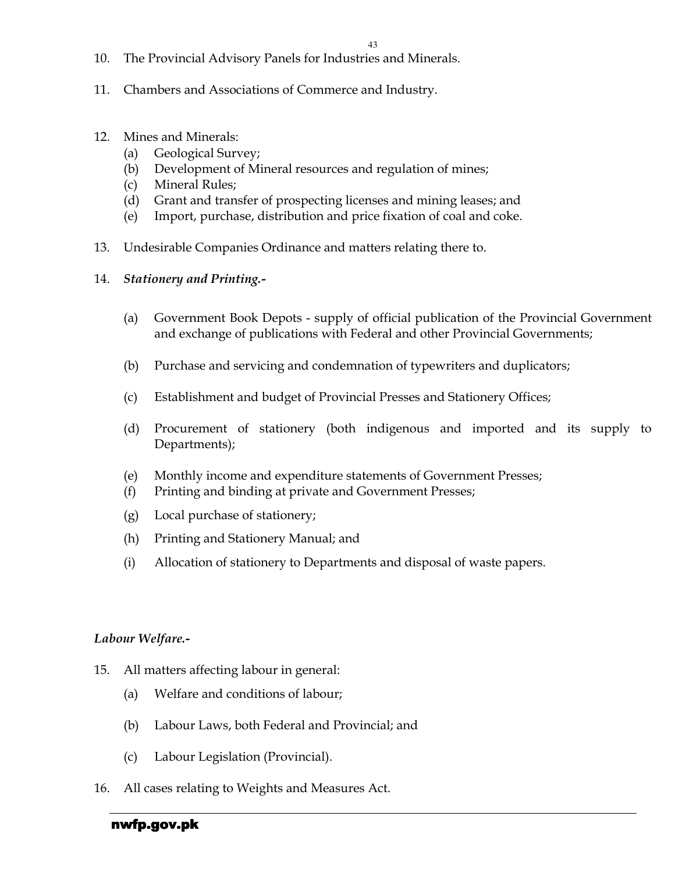- 10. The Provincial Advisory Panels for Industries and Minerals.
- 11. Chambers and Associations of Commerce and Industry.
- 12. Mines and Minerals:
	- (a) Geological Survey;
	- (b) Development of Mineral resources and regulation of mines;
	- (c) Mineral Rules;
	- (d) Grant and transfer of prospecting licenses and mining leases; and
	- (e) Import, purchase, distribution and price fixation of coal and coke.
- 13. Undesirable Companies Ordinance and matters relating there to.
- 14. Stationery and Printing.-
	- (a) Government Book Depots supply of official publication of the Provincial Government and exchange of publications with Federal and other Provincial Governments;
	- (b) Purchase and servicing and condemnation of typewriters and duplicators;
	- (c) Establishment and budget of Provincial Presses and Stationery Offices;
	- (d) Procurement of stationery (both indigenous and imported and its supply to Departments);
	- (e) Monthly income and expenditure statements of Government Presses;
	- (f) Printing and binding at private and Government Presses;
	- (g) Local purchase of stationery;
	- (h) Printing and Stationery Manual; and
	- (i) Allocation of stationery to Departments and disposal of waste papers.

### Labour Welfare.-

- 15. All matters affecting labour in general:
	- (a) Welfare and conditions of labour;
	- (b) Labour Laws, both Federal and Provincial; and
	- (c) Labour Legislation (Provincial).
- 16. All cases relating to Weights and Measures Act.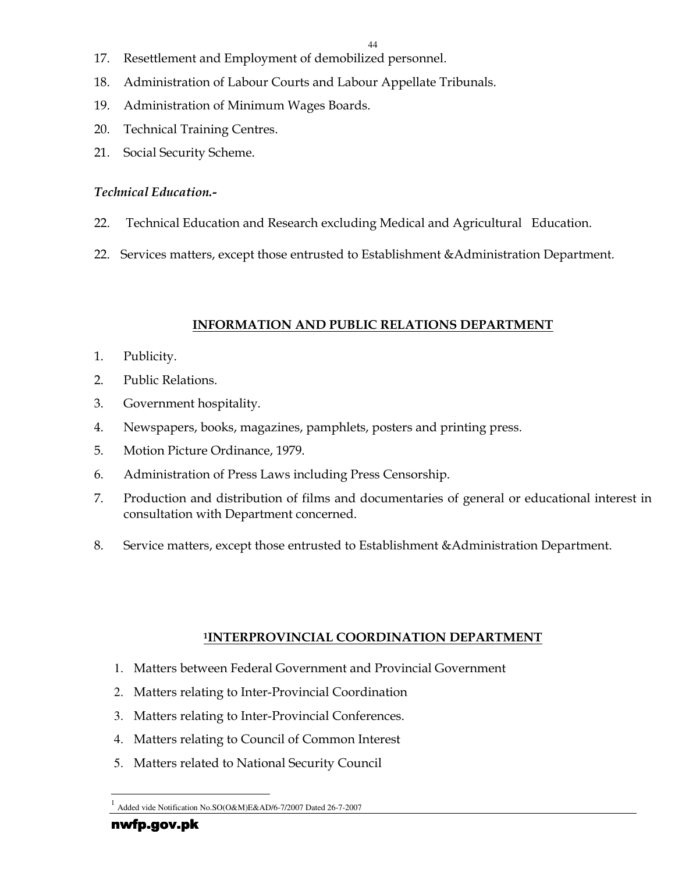- 17. Resettlement and Employment of demobilized personnel.
- 18. Administration of Labour Courts and Labour Appellate Tribunals.
- 19. Administration of Minimum Wages Boards.
- 20. Technical Training Centres.
- 21. Social Security Scheme.

### Technical Education.-

- 22. Technical Education and Research excluding Medical and Agricultural Education.
- 22. Services matters, except those entrusted to Establishment &Administration Department.

## INFORMATION AND PUBLIC RELATIONS DEPARTMENT

- 1. Publicity.
- 2. Public Relations.
- 3. Government hospitality.
- 4. Newspapers, books, magazines, pamphlets, posters and printing press.
- 5. Motion Picture Ordinance, 1979.
- 6. Administration of Press Laws including Press Censorship.
- 7. Production and distribution of films and documentaries of general or educational interest in consultation with Department concerned.
- 8. Service matters, except those entrusted to Establishment &Administration Department.

## <sup>1</sup>INTERPROVINCIAL COORDINATION DEPARTMENT

- 1. Matters between Federal Government and Provincial Government
- 2. Matters relating to Inter-Provincial Coordination
- 3. Matters relating to Inter-Provincial Conferences.
- 4. Matters relating to Council of Common Interest
- 5. Matters related to National Security Council

<sup>-</sup>1 Added vide Notification No.SO(O&M)E&AD/6-7/2007 Dated 26-7-2007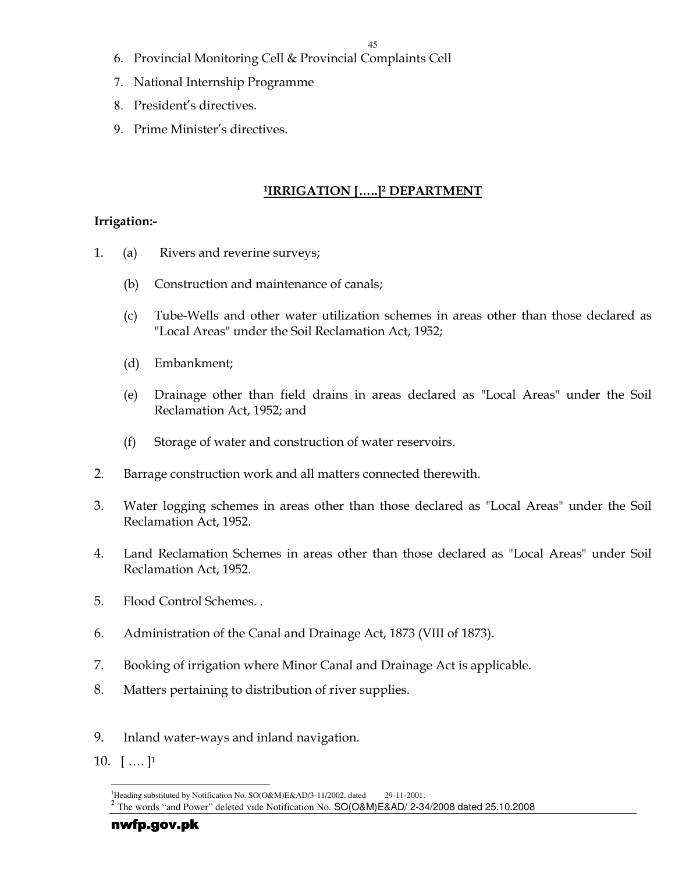- 6. Provincial Monitoring Cell & Provincial Complaints Cell
- 7. National Internship Programme
- 8. President's directives.
- 9. Prime Minister's directives.

### <u>1IRRIGATION [.....]2 DEPARTMENT</u>

### Irrigation:-

- 1. (a) Rivers and reverine surveys;
	- (b) Construction and maintenance of canals;
	- (c) Tube-Wells and other water utilization schemes in areas other than those declared as "Local Areas" under the Soil Reclamation Act, 1952;
	- (d) Embankment;
	- (e) Drainage other than field drains in areas declared as "Local Areas" under the Soil Reclamation Act, 1952; and
	- (f) Storage of water and construction of water reservoirs.
- 2. Barrage construction work and all matters connected therewith.
- 3. Water logging schemes in areas other than those declared as "Local Areas" under the Soil Reclamation Act, 1952.
- 4. Land Reclamation Schemes in areas other than those declared as "Local Areas" under Soil Reclamation Act, 1952.
- 5. Flood Control Schemes. .
- 6. Administration of the Canal and Drainage Act, 1873 (VIII of 1873).
- 7. Booking of irrigation where Minor Canal and Drainage Act is applicable.
- 8. Matters pertaining to distribution of river supplies.
- 9. Inland water-ways and inland navigation.
- 10.  $[\,\dots\,]$ <sup>1</sup>

 $\overline{a}$ <sup>1</sup>Heading substituted by Notification No. SO(O&M)E&AD/3-11/2002, dated 29-11-2001.

<sup>2</sup> The words "and Power" deleted vide Notification No. SO(O&M)E&AD/ 2-34/2008 dated 25.10.2008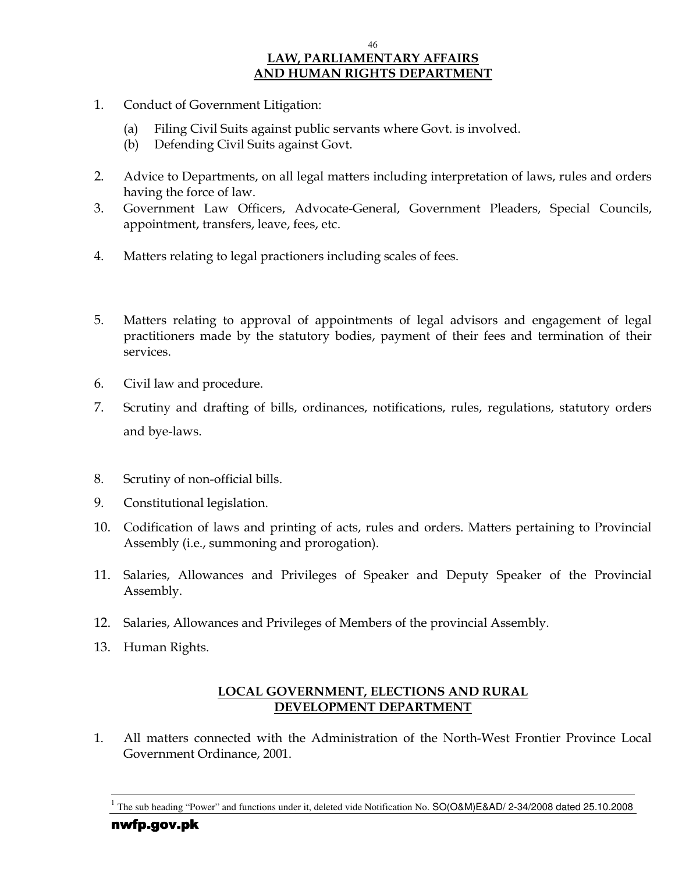#### 46 LAW, PARLIAMENTARY AFFAIRS AND HUMAN RIGHTS DEPARTMENT

- 1. Conduct of Government Litigation:
	- (a) Filing Civil Suits against public servants where Govt. is involved.
	- (b) Defending Civil Suits against Govt.
- 2. Advice to Departments, on all legal matters including interpretation of laws, rules and orders having the force of law.
- 3. Government Law Officers, Advocate-General, Government Pleaders, Special Councils, appointment, transfers, leave, fees, etc.
- 4. Matters relating to legal practioners including scales of fees.
- 5. Matters relating to approval of appointments of legal advisors and engagement of legal practitioners made by the statutory bodies, payment of their fees and termination of their services.
- 6. Civil law and procedure.
- 7. Scrutiny and drafting of bills, ordinances, notifications, rules, regulations, statutory orders and bye-laws.
- 8. Scrutiny of non-official bills.
- 9. Constitutional legislation.
- 10. Codification of laws and printing of acts, rules and orders. Matters pertaining to Provincial Assembly (i.e., summoning and prorogation).
- 11. Salaries, Allowances and Privileges of Speaker and Deputy Speaker of the Provincial Assembly.
- 12. Salaries, Allowances and Privileges of Members of the provincial Assembly.
- 13. Human Rights.

### LOCAL GOVERNMENT, ELECTIONS AND RURAL DEVELOPMENT DEPARTMENT

1. All matters connected with the Administration of the North-West Frontier Province Local Government Ordinance, 2001.

-

<sup>1</sup> The sub heading "Power" and functions under it, deleted vide Notification No. SO(O&M)E&AD/ 2-34/2008 dated 25.10.2008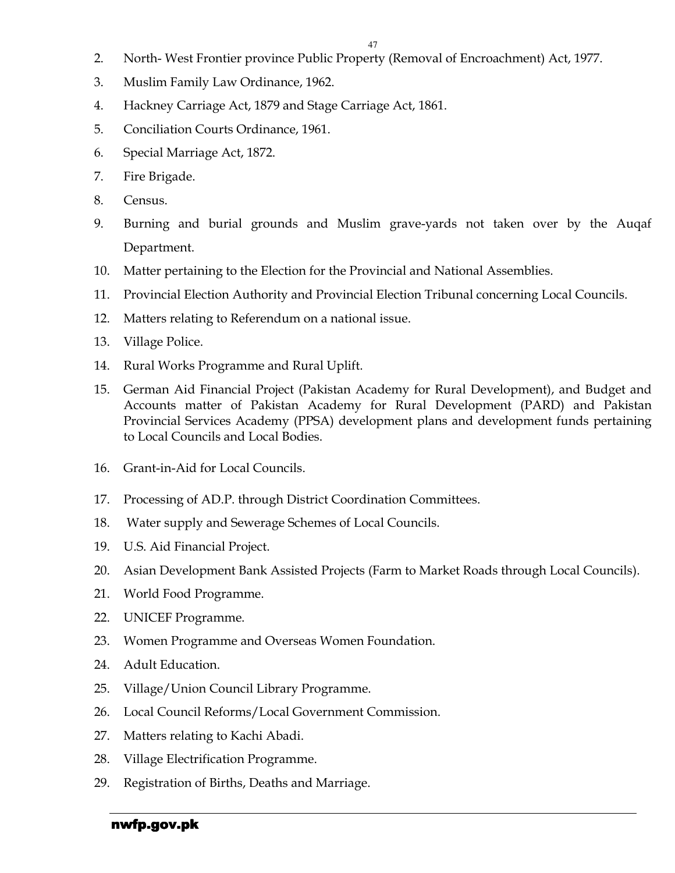- 2. North- West Frontier province Public Property (Removal of Encroachment) Act, 1977.
- 3. Muslim Family Law Ordinance, 1962.
- 4. Hackney Carriage Act, 1879 and Stage Carriage Act, 1861.
- 5. Conciliation Courts Ordinance, 1961.
- 6. Special Marriage Act, 1872.
- 7. Fire Brigade.
- 8. Census.
- 9. Burning and burial grounds and Muslim grave-yards not taken over by the Auqaf Department.
- 10. Matter pertaining to the Election for the Provincial and National Assemblies.
- 11. Provincial Election Authority and Provincial Election Tribunal concerning Local Councils.
- 12. Matters relating to Referendum on a national issue.
- 13. Village Police.
- 14. Rural Works Programme and Rural Uplift.
- 15. German Aid Financial Project (Pakistan Academy for Rural Development), and Budget and Accounts matter of Pakistan Academy for Rural Development (PARD) and Pakistan Provincial Services Academy (PPSA) development plans and development funds pertaining to Local Councils and Local Bodies.
- 16. Grant-in-Aid for Local Councils.
- 17. Processing of AD.P. through District Coordination Committees.
- 18. Water supply and Sewerage Schemes of Local Councils.
- 19. U.S. Aid Financial Project.
- 20. Asian Development Bank Assisted Projects (Farm to Market Roads through Local Councils).
- 21. World Food Programme.
- 22. UNICEF Programme.
- 23. Women Programme and Overseas Women Foundation.
- 24. Adult Education.
- 25. Village/Union Council Library Programme.
- 26. Local Council Reforms/Local Government Commission.
- 27. Matters relating to Kachi Abadi.
- 28. Village Electrification Programme.
- 29. Registration of Births, Deaths and Marriage.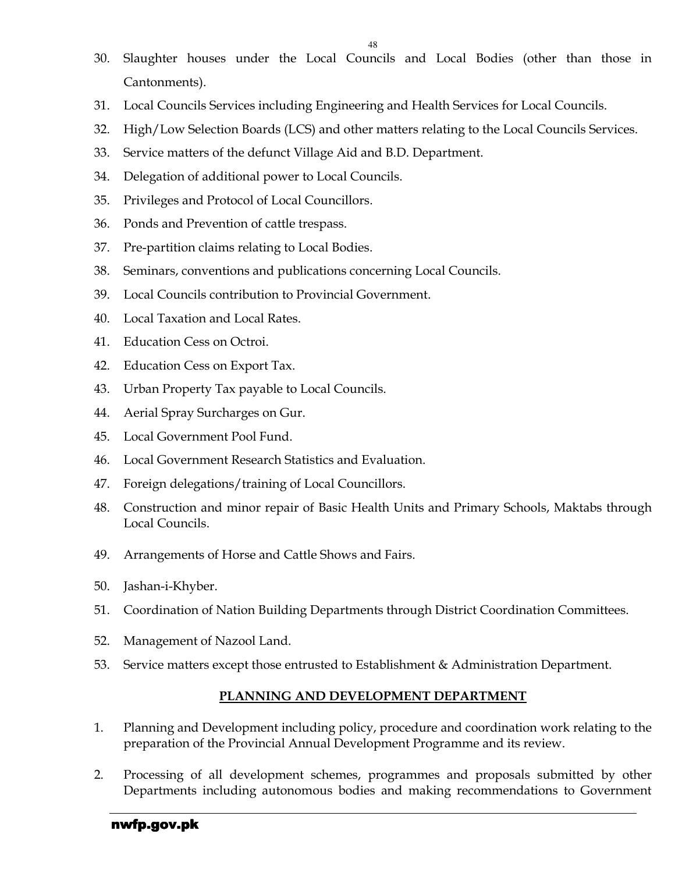- 30. Slaughter houses under the Local Councils and Local Bodies (other than those in Cantonments).
- 31. Local Councils Services including Engineering and Health Services for Local Councils.
- 32. High/Low Selection Boards (LCS) and other matters relating to the Local Councils Services.
- 33. Service matters of the defunct Village Aid and B.D. Department.
- 34. Delegation of additional power to Local Councils.
- 35. Privileges and Protocol of Local Councillors.
- 36. Ponds and Prevention of cattle trespass.
- 37. Pre-partition claims relating to Local Bodies.
- 38. Seminars, conventions and publications concerning Local Councils.
- 39. Local Councils contribution to Provincial Government.
- 40. Local Taxation and Local Rates.
- 41. Education Cess on Octroi.
- 42. Education Cess on Export Tax.
- 43. Urban Property Tax payable to Local Councils.
- 44. Aerial Spray Surcharges on Gur.
- 45. Local Government Pool Fund.
- 46. Local Government Research Statistics and Evaluation.
- 47. Foreign delegations/training of Local Councillors.
- 48. Construction and minor repair of Basic Health Units and Primary Schools, Maktabs through Local Councils.
- 49. Arrangements of Horse and Cattle Shows and Fairs.
- 50. Jashan-i-Khyber.
- 51. Coordination of Nation Building Departments through District Coordination Committees.
- 52. Management of Nazool Land.
- 53. Service matters except those entrusted to Establishment & Administration Department.

#### PLANNING AND DEVELOPMENT DEPARTMENT

- 1. Planning and Development including policy, procedure and coordination work relating to the preparation of the Provincial Annual Development Programme and its review.
- 2. Processing of all development schemes, programmes and proposals submitted by other Departments including autonomous bodies and making recommendations to Government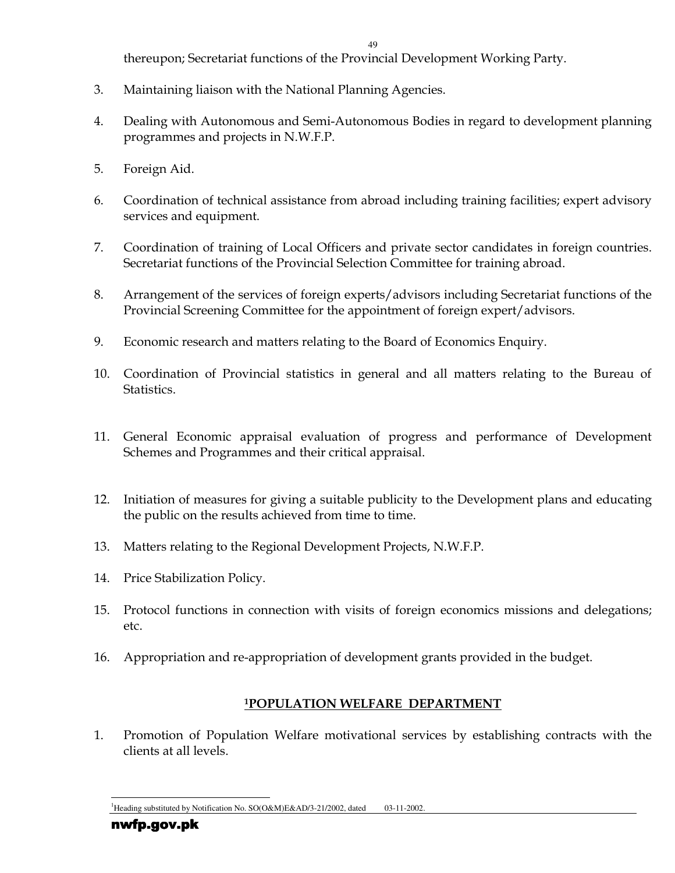thereupon; Secretariat functions of the Provincial Development Working Party.

- 3. Maintaining liaison with the National Planning Agencies.
- 4. Dealing with Autonomous and Semi-Autonomous Bodies in regard to development planning programmes and projects in N.W.F.P.
- 5. Foreign Aid.
- 6. Coordination of technical assistance from abroad including training facilities; expert advisory services and equipment.
- 7. Coordination of training of Local Officers and private sector candidates in foreign countries. Secretariat functions of the Provincial Selection Committee for training abroad.
- 8. Arrangement of the services of foreign experts/advisors including Secretariat functions of the Provincial Screening Committee for the appointment of foreign expert/advisors.
- 9. Economic research and matters relating to the Board of Economics Enquiry.
- 10. Coordination of Provincial statistics in general and all matters relating to the Bureau of Statistics.
- 11. General Economic appraisal evaluation of progress and performance of Development Schemes and Programmes and their critical appraisal.
- 12. Initiation of measures for giving a suitable publicity to the Development plans and educating the public on the results achieved from time to time.
- 13. Matters relating to the Regional Development Projects, N.W.F.P.
- 14. Price Stabilization Policy.
- 15. Protocol functions in connection with visits of foreign economics missions and delegations; etc.
- 16. Appropriation and re-appropriation of development grants provided in the budget.

## <sup>1</sup>POPULATION WELFARE DEPARTMENT

1. Promotion of Population Welfare motivational services by establishing contracts with the clients at all levels.

l <sup>1</sup>Heading substituted by Notification No. SO(O&M)E&AD/3-21/2002, dated 03-11-2002.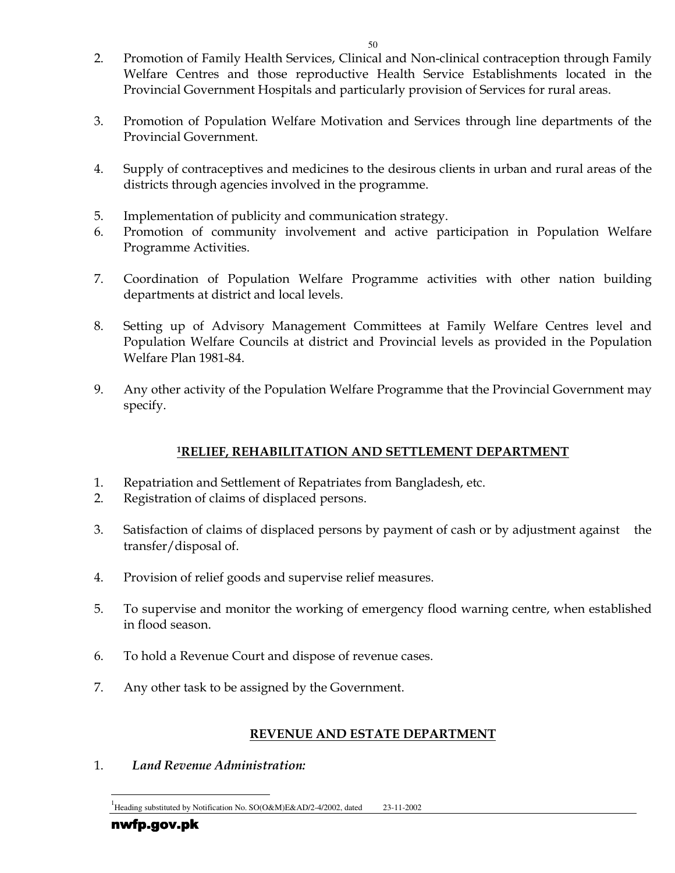- 2. Promotion of Family Health Services, Clinical and Non-clinical contraception through Family Welfare Centres and those reproductive Health Service Establishments located in the Provincial Government Hospitals and particularly provision of Services for rural areas.
- 3. Promotion of Population Welfare Motivation and Services through line departments of the Provincial Government.
- 4. Supply of contraceptives and medicines to the desirous clients in urban and rural areas of the districts through agencies involved in the programme.
- 5. Implementation of publicity and communication strategy.
- 6. Promotion of community involvement and active participation in Population Welfare Programme Activities.
- 7. Coordination of Population Welfare Programme activities with other nation building departments at district and local levels.
- 8. Setting up of Advisory Management Committees at Family Welfare Centres level and Population Welfare Councils at district and Provincial levels as provided in the Population Welfare Plan 1981-84.
- 9. Any other activity of the Population Welfare Programme that the Provincial Government may specify.

### <sup>1</sup>RELIEF, REHABILITATION AND SETTLEMENT DEPARTMENT

- 1. Repatriation and Settlement of Repatriates from Bangladesh, etc.
- 2. Registration of claims of displaced persons.
- 3. Satisfaction of claims of displaced persons by payment of cash or by adjustment against the transfer/disposal of.
- 4. Provision of relief goods and supervise relief measures.
- 5. To supervise and monitor the working of emergency flood warning centre, when established in flood season.
- 6. To hold a Revenue Court and dispose of revenue cases.
- 7. Any other task to be assigned by the Government.

### REVENUE AND ESTATE DEPARTMENT

1. Land Revenue Administration: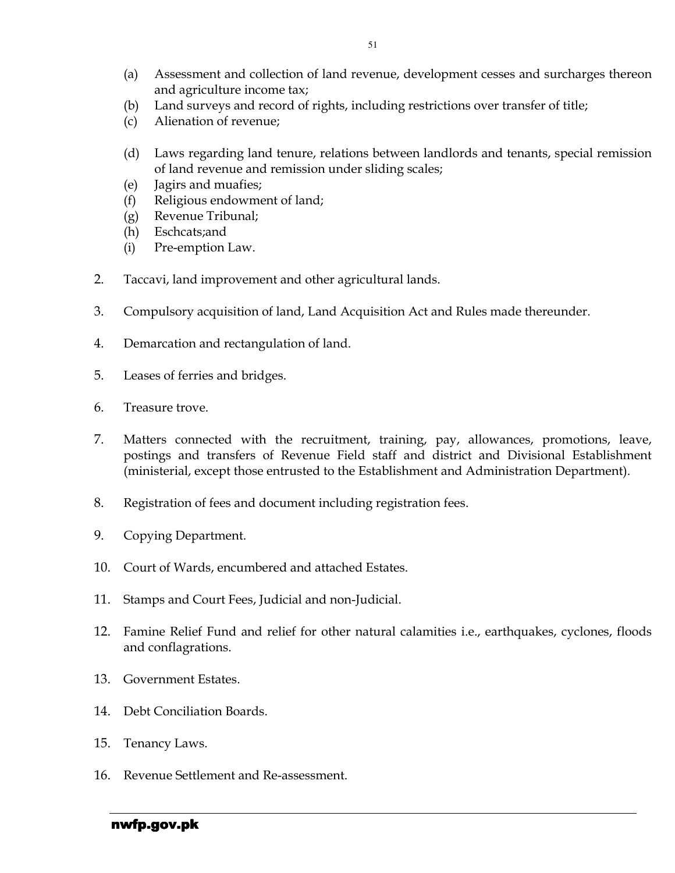- (a) Assessment and collection of land revenue, development cesses and surcharges thereon and agriculture income tax;
- (b) Land surveys and record of rights, including restrictions over transfer of title;
- (c) Alienation of revenue;
- (d) Laws regarding land tenure, relations between landlords and tenants, special remission of land revenue and remission under sliding scales;
- (e) Jagirs and muafies;
- (f) Religious endowment of land;
- (g) Revenue Tribunal;
- (h) Eschcats;and
- (i) Pre-emption Law.
- 2. Taccavi, land improvement and other agricultural lands.
- 3. Compulsory acquisition of land, Land Acquisition Act and Rules made thereunder.
- 4. Demarcation and rectangulation of land.
- 5. Leases of ferries and bridges.
- 6. Treasure trove.
- 7. Matters connected with the recruitment, training, pay, allowances, promotions, leave, postings and transfers of Revenue Field staff and district and Divisional Establishment (ministerial, except those entrusted to the Establishment and Administration Department).
- 8. Registration of fees and document including registration fees.
- 9. Copying Department.
- 10. Court of Wards, encumbered and attached Estates.
- 11. Stamps and Court Fees, Judicial and non-Judicial.
- 12. Famine Relief Fund and relief for other natural calamities i.e., earthquakes, cyclones, floods and conflagrations.
- 13. Government Estates.
- 14. Debt Conciliation Boards.
- 15. Tenancy Laws.
- 16. Revenue Settlement and Re-assessment.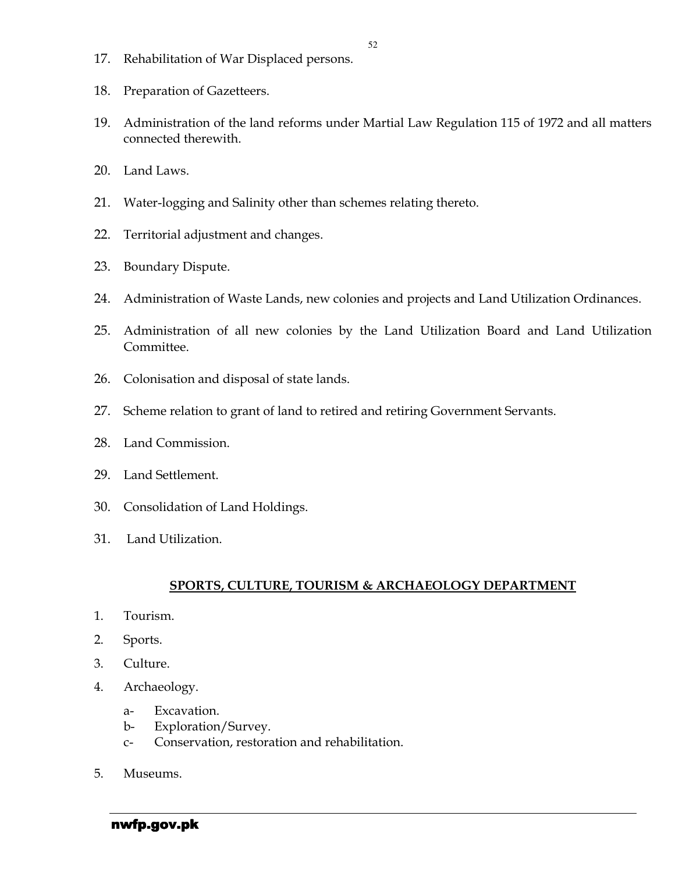- 17. Rehabilitation of War Displaced persons.
- 18. Preparation of Gazetteers.
- 19. Administration of the land reforms under Martial Law Regulation 115 of 1972 and all matters connected therewith.
- 20. Land Laws.
- 21. Water-logging and Salinity other than schemes relating thereto.
- 22. Territorial adjustment and changes.
- 23. Boundary Dispute.
- 24. Administration of Waste Lands, new colonies and projects and Land Utilization Ordinances.
- 25. Administration of all new colonies by the Land Utilization Board and Land Utilization Committee.
- 26. Colonisation and disposal of state lands.
- 27. Scheme relation to grant of land to retired and retiring Government Servants.
- 28. Land Commission.
- 29. Land Settlement.
- 30. Consolidation of Land Holdings.
- 31. Land Utilization.

#### SPORTS, CULTURE, TOURISM & ARCHAEOLOGY DEPARTMENT

- 1. Tourism.
- 2. Sports.
- 3. Culture.
- 4. Archaeology.
	- a- Excavation.
	- b- Exploration/Survey.
	- c- Conservation, restoration and rehabilitation.
- 5. Museums.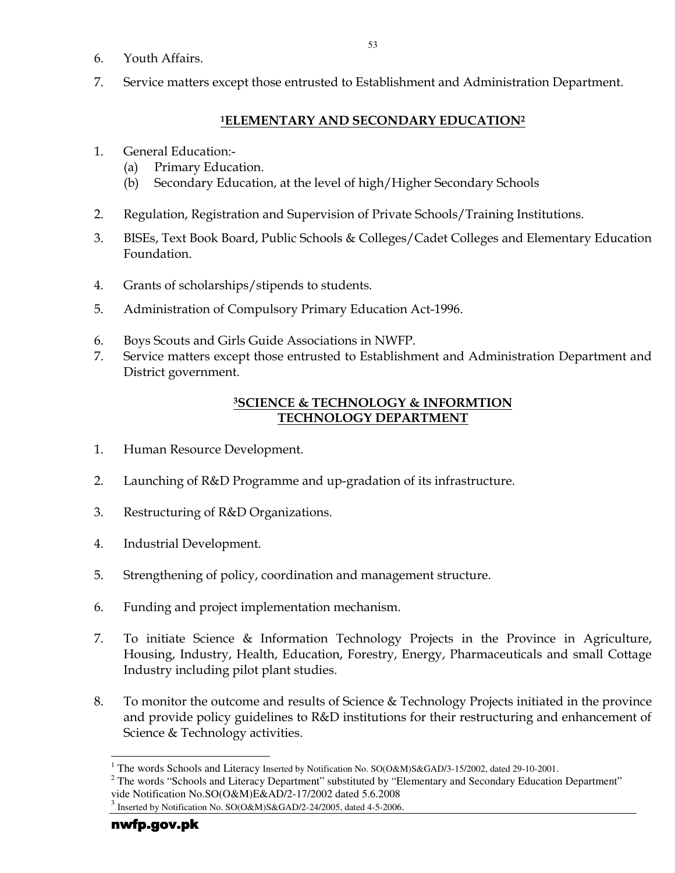- 6. Youth Affairs.
- 7. Service matters except those entrusted to Establishment and Administration Department.

### <sup>1</sup>ELEMENTARY AND SECONDARY EDUCATION<sup>2</sup>

- 1. General Education:-
	- (a) Primary Education.
	- (b) Secondary Education, at the level of high/Higher Secondary Schools
- 2. Regulation, Registration and Supervision of Private Schools/Training Institutions.
- 3. BISEs, Text Book Board, Public Schools & Colleges/Cadet Colleges and Elementary Education Foundation.
- 4. Grants of scholarships/stipends to students.
- 5. Administration of Compulsory Primary Education Act-1996.
- 6. Boys Scouts and Girls Guide Associations in NWFP.
- 7. Service matters except those entrusted to Establishment and Administration Department and District government.

### <sup>3</sup>SCIENCE & TECHNOLOGY & INFORMTION TECHNOLOGY DEPARTMENT

- 1. Human Resource Development.
- 2. Launching of R&D Programme and up-gradation of its infrastructure.
- 3. Restructuring of R&D Organizations.
- 4. Industrial Development.
- 5. Strengthening of policy, coordination and management structure.
- 6. Funding and project implementation mechanism.
- 7. To initiate Science & Information Technology Projects in the Province in Agriculture, Housing, Industry, Health, Education, Forestry, Energy, Pharmaceuticals and small Cottage Industry including pilot plant studies.
- 8. To monitor the outcome and results of Science & Technology Projects initiated in the province and provide policy guidelines to R&D institutions for their restructuring and enhancement of Science & Technology activities.

l <sup>1</sup> The words Schools and Literacy Inserted by Notification No. SO(O&M)S&GAD/3-15/2002, dated 29-10-2001.

<sup>&</sup>lt;sup>2</sup> The words "Schools and Literacy Department" substituted by "Elementary and Secondary Education Department" vide Notification No.SO(O&M)E&AD/2-17/2002 dated 5.6.2008

 $3$  Inserted by Notification No. SO(O&M)S&GAD/2-24/2005, dated 4-5-2006.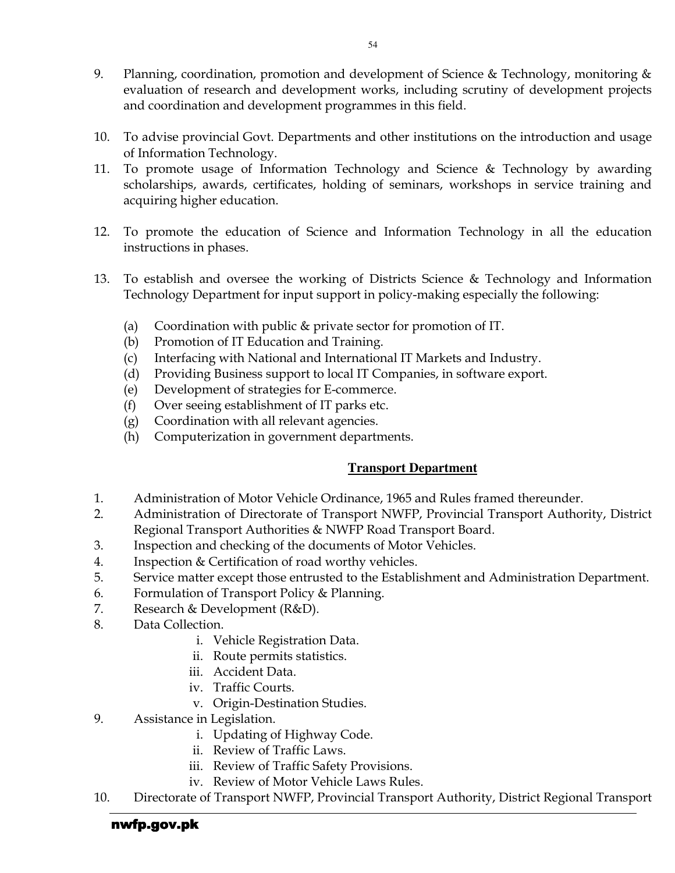- 9. Planning, coordination, promotion and development of Science & Technology, monitoring & evaluation of research and development works, including scrutiny of development projects and coordination and development programmes in this field.
- 10. To advise provincial Govt. Departments and other institutions on the introduction and usage of Information Technology.
- 11. To promote usage of Information Technology and Science & Technology by awarding scholarships, awards, certificates, holding of seminars, workshops in service training and acquiring higher education.
- 12. To promote the education of Science and Information Technology in all the education instructions in phases.
- 13. To establish and oversee the working of Districts Science & Technology and Information Technology Department for input support in policy-making especially the following:
	- (a) Coordination with public & private sector for promotion of IT.
	- (b) Promotion of IT Education and Training.
	- (c) Interfacing with National and International IT Markets and Industry.
	- (d) Providing Business support to local IT Companies, in software export.
	- (e) Development of strategies for E-commerce.
	- (f) Over seeing establishment of IT parks etc.
	- (g) Coordination with all relevant agencies.
	- (h) Computerization in government departments.

### **Transport Department**

- 1. Administration of Motor Vehicle Ordinance, 1965 and Rules framed thereunder.
- 2. Administration of Directorate of Transport NWFP, Provincial Transport Authority, District Regional Transport Authorities & NWFP Road Transport Board.
- 3. Inspection and checking of the documents of Motor Vehicles.
- 4. Inspection & Certification of road worthy vehicles.
- 5. Service matter except those entrusted to the Establishment and Administration Department.
- 6. Formulation of Transport Policy & Planning.
- 7. Research & Development (R&D).
- 8. Data Collection.
	- i. Vehicle Registration Data.
	- ii. Route permits statistics.
	- iii. Accident Data.
	- iv. Traffic Courts.
	- v. Origin-Destination Studies.
- 9. Assistance in Legislation.
	- i. Updating of Highway Code.
	- ii. Review of Traffic Laws.
	- iii. Review of Traffic Safety Provisions.
	- iv. Review of Motor Vehicle Laws Rules.
- 10. Directorate of Transport NWFP, Provincial Transport Authority, District Regional Transport

### nwfp.gov.pk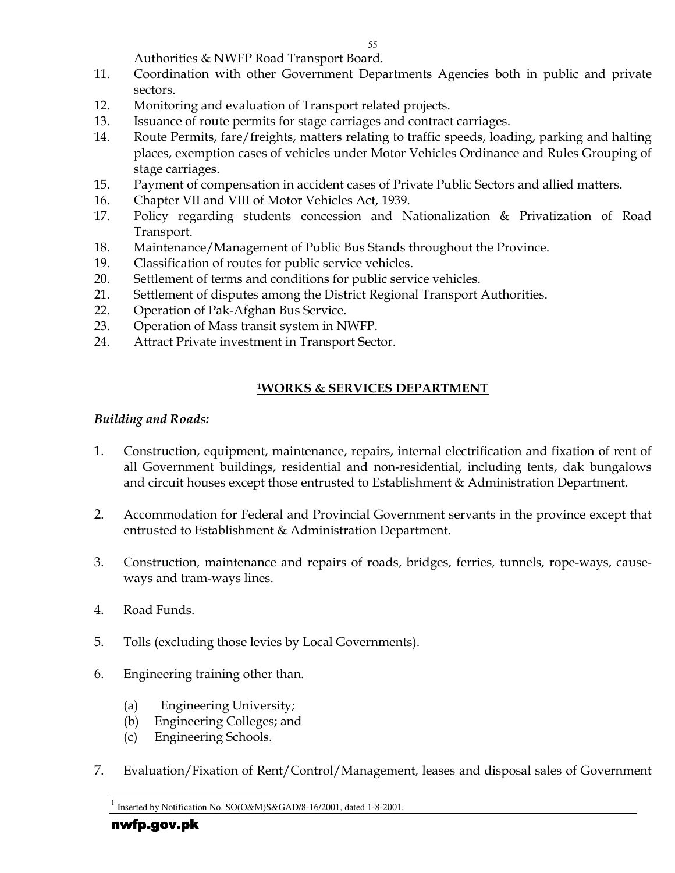Authorities & NWFP Road Transport Board.

- 11. Coordination with other Government Departments Agencies both in public and private sectors.
- 12. Monitoring and evaluation of Transport related projects.
- 13. Issuance of route permits for stage carriages and contract carriages.
- 14. Route Permits, fare/freights, matters relating to traffic speeds, loading, parking and halting places, exemption cases of vehicles under Motor Vehicles Ordinance and Rules Grouping of stage carriages.
- 15. Payment of compensation in accident cases of Private Public Sectors and allied matters.
- 16. Chapter VII and VIII of Motor Vehicles Act, 1939.
- 17. Policy regarding students concession and Nationalization & Privatization of Road Transport.
- 18. Maintenance/Management of Public Bus Stands throughout the Province.
- 19. Classification of routes for public service vehicles.
- 20. Settlement of terms and conditions for public service vehicles.
- 21. Settlement of disputes among the District Regional Transport Authorities.
- 22. Operation of Pak-Afghan Bus Service.
- 23. Operation of Mass transit system in NWFP.
- 24. Attract Private investment in Transport Sector.

### <sup>1</sup>WORKS & SERVICES DEPARTMENT

### Building and Roads:

- 1. Construction, equipment, maintenance, repairs, internal electrification and fixation of rent of all Government buildings, residential and non-residential, including tents, dak bungalows and circuit houses except those entrusted to Establishment & Administration Department.
- 2. Accommodation for Federal and Provincial Government servants in the province except that entrusted to Establishment & Administration Department.
- 3. Construction, maintenance and repairs of roads, bridges, ferries, tunnels, rope-ways, causeways and tram-ways lines.
- 4. Road Funds.
- 5. Tolls (excluding those levies by Local Governments).
- 6. Engineering training other than.
	- (a) Engineering University;
	- (b) Engineering Colleges; and
	- (c) Engineering Schools.
- 7. Evaluation/Fixation of Rent/Control/Management, leases and disposal sales of Government

-

<sup>1</sup> Inserted by Notification No. SO(O&M)S&GAD/8-16/2001, dated 1-8-2001.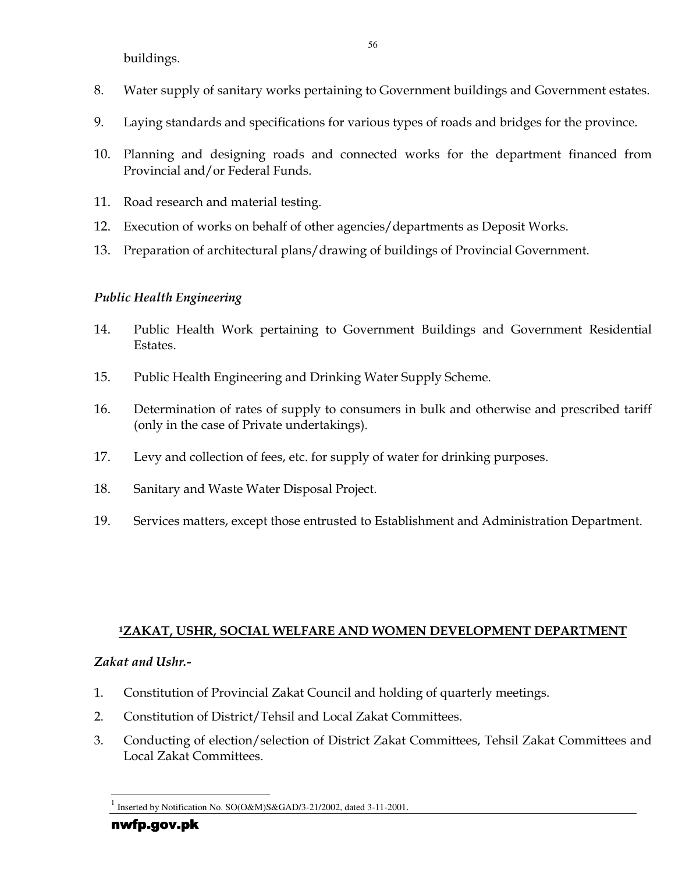buildings.

- 8. Water supply of sanitary works pertaining to Government buildings and Government estates.
- 9. Laying standards and specifications for various types of roads and bridges for the province.
- 10. Planning and designing roads and connected works for the department financed from Provincial and/or Federal Funds.
- 11. Road research and material testing.
- 12. Execution of works on behalf of other agencies/departments as Deposit Works.
- 13. Preparation of architectural plans/drawing of buildings of Provincial Government.

### Public Health Engineering

- 14. Public Health Work pertaining to Government Buildings and Government Residential Estates.
- 15. Public Health Engineering and Drinking Water Supply Scheme.
- 16. Determination of rates of supply to consumers in bulk and otherwise and prescribed tariff (only in the case of Private undertakings).
- 17. Levy and collection of fees, etc. for supply of water for drinking purposes.
- 18. Sanitary and Waste Water Disposal Project.
- 19. Services matters, except those entrusted to Establishment and Administration Department.

### <sup>1</sup>ZAKAT, USHR, SOCIAL WELFARE AND WOMEN DEVELOPMENT DEPARTMENT

### Zakat and Ushr.-

- 1. Constitution of Provincial Zakat Council and holding of quarterly meetings.
- 2. Constitution of District/Tehsil and Local Zakat Committees.
- 3. Conducting of election/selection of District Zakat Committees, Tehsil Zakat Committees and Local Zakat Committees.

-

<sup>1</sup> Inserted by Notification No. SO(O&M)S&GAD/3-21/2002, dated 3-11-2001.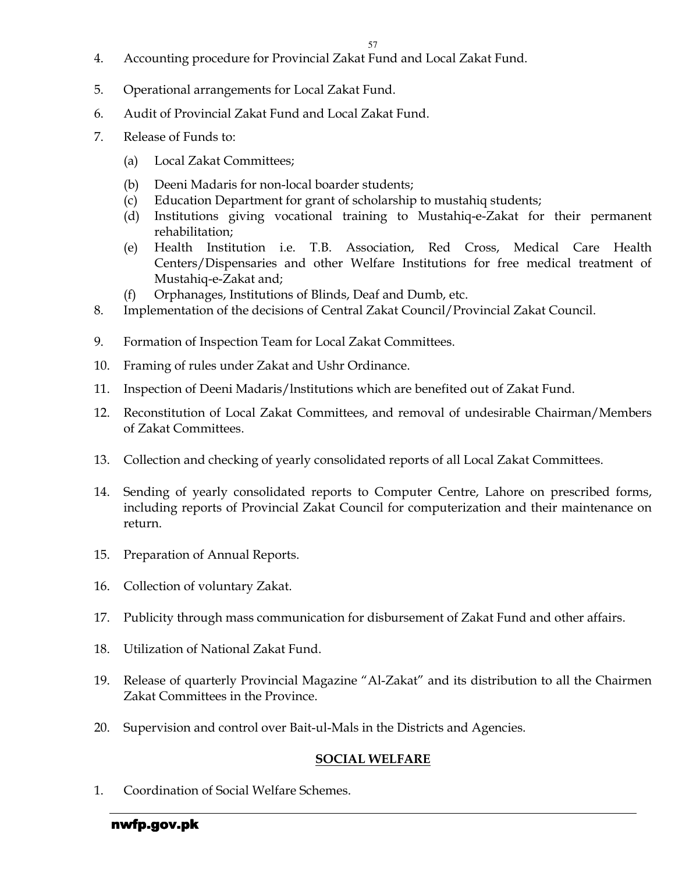- 4. Accounting procedure for Provincial Zakat Fund and Local Zakat Fund.
- 5. Operational arrangements for Local Zakat Fund.
- 6. Audit of Provincial Zakat Fund and Local Zakat Fund.
- 7. Release of Funds to:
	- (a) Local Zakat Committees;
	- (b) Deeni Madaris for non-local boarder students;
	- (c) Education Department for grant of scholarship to mustahiq students;
	- (d) Institutions giving vocational training to Mustahiq-e-Zakat for their permanent rehabilitation;
	- (e) Health Institution i.e. T.B. Association, Red Cross, Medical Care Health Centers/Dispensaries and other Welfare Institutions for free medical treatment of Mustahiq-e-Zakat and;
	- (f) Orphanages, Institutions of Blinds, Deaf and Dumb, etc.
- 8. Implementation of the decisions of Central Zakat Council/Provincial Zakat Council.
- 9. Formation of Inspection Team for Local Zakat Committees.
- 10. Framing of rules under Zakat and Ushr Ordinance.
- 11. Inspection of Deeni Madaris/lnstitutions which are benefited out of Zakat Fund.
- 12. Reconstitution of Local Zakat Committees, and removal of undesirable Chairman/Members of Zakat Committees.
- 13. Collection and checking of yearly consolidated reports of all Local Zakat Committees.
- 14. Sending of yearly consolidated reports to Computer Centre, Lahore on prescribed forms, including reports of Provincial Zakat Council for computerization and their maintenance on return.
- 15. Preparation of Annual Reports.
- 16. Collection of voluntary Zakat.
- 17. Publicity through mass communication for disbursement of Zakat Fund and other affairs.
- 18. Utilization of National Zakat Fund.
- 19. Release of quarterly Provincial Magazine "Al-Zakat" and its distribution to all the Chairmen Zakat Committees in the Province.
- 20. Supervision and control over Bait-ul-Mals in the Districts and Agencies.

## SOCIAL WELFARE

1. Coordination of Social Welfare Schemes.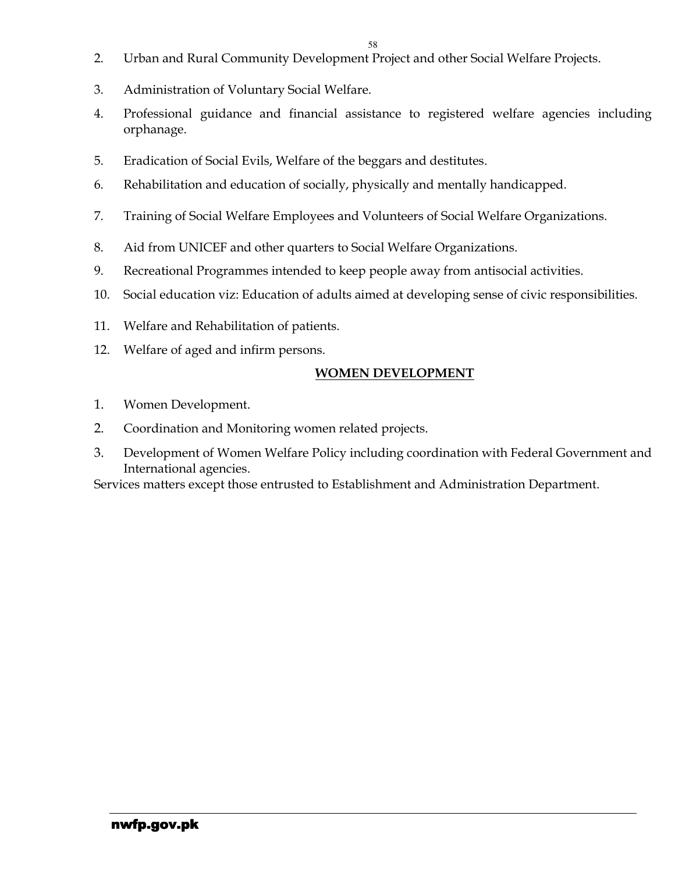- 2. Urban and Rural Community Development Project and other Social Welfare Projects.
- 3. Administration of Voluntary Social Welfare.
- 4. Professional guidance and financial assistance to registered welfare agencies including orphanage.
- 5. Eradication of Social Evils, Welfare of the beggars and destitutes.
- 6. Rehabilitation and education of socially, physically and mentally handicapped.
- 7. Training of Social Welfare Employees and Volunteers of Social Welfare Organizations.
- 8. Aid from UNICEF and other quarters to Social Welfare Organizations.
- 9. Recreational Programmes intended to keep people away from antisocial activities.
- 10. Social education viz: Education of adults aimed at developing sense of civic responsibilities.
- 11. Welfare and Rehabilitation of patients.
- 12. Welfare of aged and infirm persons.

### WOMEN DEVELOPMENT

- 1. Women Development.
- 2. Coordination and Monitoring women related projects.
- 3. Development of Women Welfare Policy including coordination with Federal Government and International agencies.

Services matters except those entrusted to Establishment and Administration Department.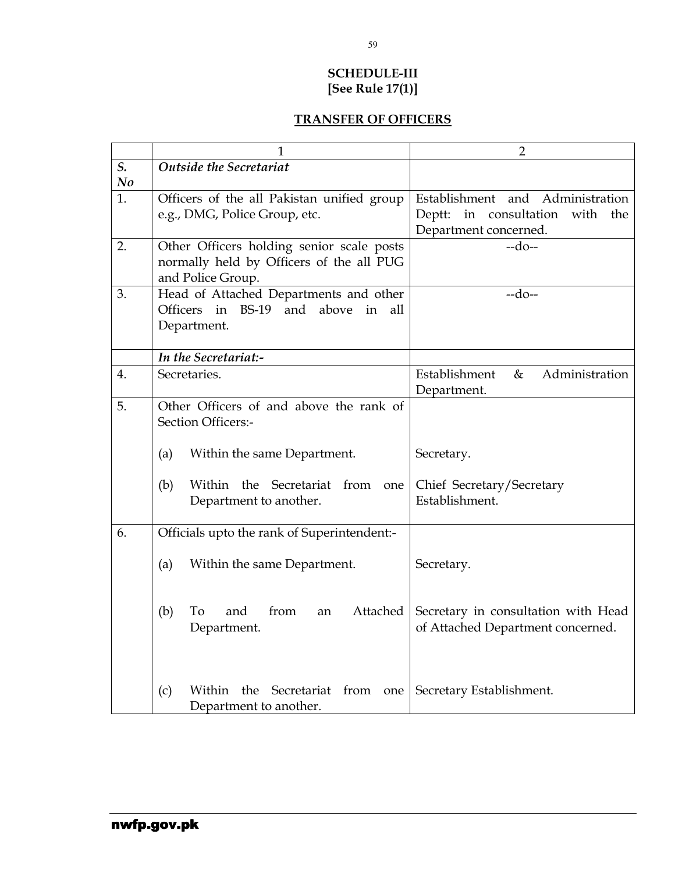### SCHEDULE-III [See Rule 17(1)]

### TRANSFER OF OFFICERS

|                | 1                                                                                     | $\overline{2}$                              |  |
|----------------|---------------------------------------------------------------------------------------|---------------------------------------------|--|
| S.             | <b>Outside the Secretariat</b>                                                        |                                             |  |
| N <sub>o</sub> |                                                                                       |                                             |  |
| 1.             | Officers of the all Pakistan unified group                                            | Establishment and Administration            |  |
|                | e.g., DMG, Police Group, etc.                                                         | in consultation<br>with<br>Deptt:<br>the    |  |
|                |                                                                                       | Department concerned.                       |  |
| 2.             | Other Officers holding senior scale posts                                             | $-do-$                                      |  |
|                | normally held by Officers of the all PUG                                              |                                             |  |
| 3.             | and Police Group.                                                                     | $-do-$                                      |  |
|                | Head of Attached Departments and other<br>BS-19 and<br>Officers in<br>above in<br>all |                                             |  |
|                | Department.                                                                           |                                             |  |
|                |                                                                                       |                                             |  |
|                | In the Secretariat:-                                                                  |                                             |  |
| 4.             | Secretaries.                                                                          | Establishment<br>Administration<br>&        |  |
|                |                                                                                       | Department.                                 |  |
| 5.             | Other Officers of and above the rank of                                               |                                             |  |
|                | Section Officers:-                                                                    |                                             |  |
|                |                                                                                       |                                             |  |
|                | Within the same Department.<br>(a)                                                    | Secretary.                                  |  |
|                |                                                                                       |                                             |  |
|                | Within the Secretariat from one<br>(b)                                                | Chief Secretary/Secretary<br>Establishment. |  |
|                | Department to another.                                                                |                                             |  |
| 6.             | Officials upto the rank of Superintendent:-                                           |                                             |  |
|                |                                                                                       |                                             |  |
|                | (a)<br>Within the same Department.                                                    | Secretary.                                  |  |
|                |                                                                                       |                                             |  |
|                |                                                                                       |                                             |  |
|                | from<br>Attached<br>(b)<br>To<br>and<br>an                                            | Secretary in consultation with Head         |  |
|                | Department.                                                                           | of Attached Department concerned.           |  |
|                |                                                                                       |                                             |  |
|                |                                                                                       |                                             |  |
|                |                                                                                       |                                             |  |
|                | (c)<br>Within<br>the Secretariat from<br>one                                          | Secretary Establishment.                    |  |
|                | Department to another.                                                                |                                             |  |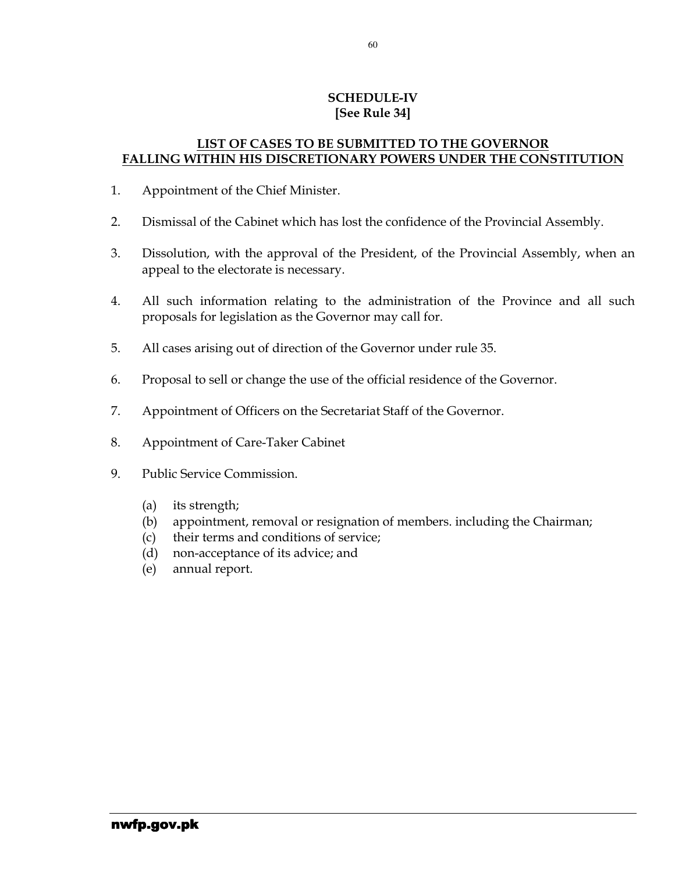### SCHEDULE-IV [See Rule 34]

#### LIST OF CASES TO BE SUBMITTED TO THE GOVERNOR FALLING WITHIN HIS DISCRETIONARY POWERS UNDER THE CONSTITUTION

- 1. Appointment of the Chief Minister.
- 2. Dismissal of the Cabinet which has lost the confidence of the Provincial Assembly.
- 3. Dissolution, with the approval of the President, of the Provincial Assembly, when an appeal to the electorate is necessary.
- 4. All such information relating to the administration of the Province and all such proposals for legislation as the Governor may call for.
- 5. All cases arising out of direction of the Governor under rule 35.
- 6. Proposal to sell or change the use of the official residence of the Governor.
- 7. Appointment of Officers on the Secretariat Staff of the Governor.
- 8. Appointment of Care-Taker Cabinet
- 9. Public Service Commission.
	- (a) its strength;
	- (b) appointment, removal or resignation of members. including the Chairman;
	- (c) their terms and conditions of service;
	- (d) non-acceptance of its advice; and
	- (e) annual report.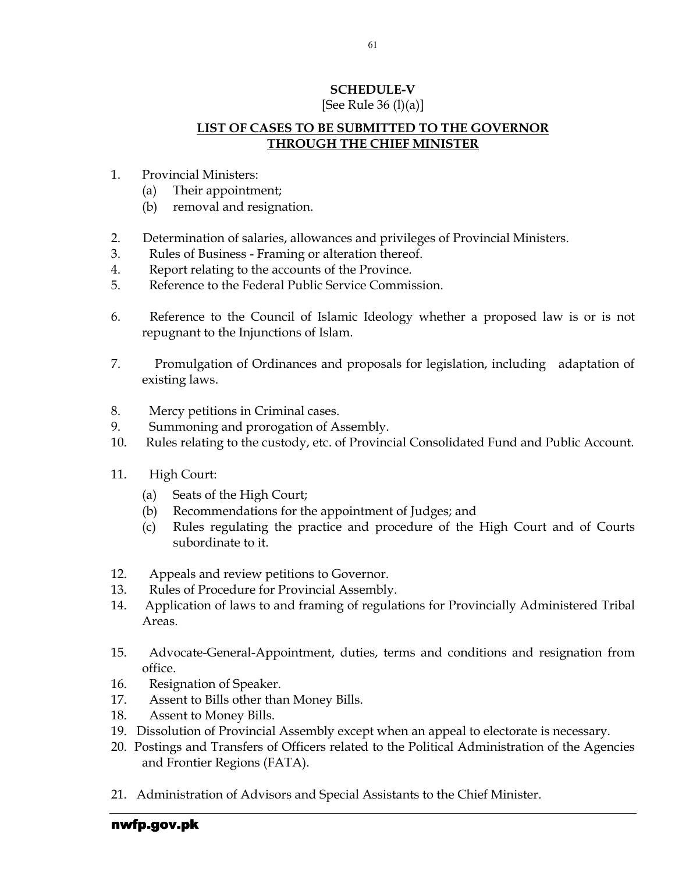# SCHEDULE-V

### [See Rule 36 (l)(a)]

### LIST OF CASES TO BE SUBMITTED TO THE GOVERNOR THROUGH THE CHIEF MINISTER

- 1. Provincial Ministers:
	- (a) Their appointment;
	- (b) removal and resignation.
- 2. Determination of salaries, allowances and privileges of Provincial Ministers.
- 3. Rules of Business Framing or alteration thereof.
- 4. Report relating to the accounts of the Province.
- 5. Reference to the Federal Public Service Commission.
- 6. Reference to the Council of Islamic Ideology whether a proposed law is or is not repugnant to the Injunctions of Islam.
- 7. Promulgation of Ordinances and proposals for legislation, including adaptation of existing laws.
- 8. Mercy petitions in Criminal cases.
- 9. Summoning and prorogation of Assembly.
- 10. Rules relating to the custody, etc. of Provincial Consolidated Fund and Public Account.
- 11. High Court:
	- (a) Seats of the High Court;
	- (b) Recommendations for the appointment of Judges; and
	- (c) Rules regulating the practice and procedure of the High Court and of Courts subordinate to it.
- 12. Appeals and review petitions to Governor.
- 13. Rules of Procedure for Provincial Assembly.
- 14. Application of laws to and framing of regulations for Provincially Administered Tribal Areas.
- 15. Advocate-General-Appointment, duties, terms and conditions and resignation from office.
- 16. Resignation of Speaker.
- 17. Assent to Bills other than Money Bills.
- 18. Assent to Money Bills.
- 19. Dissolution of Provincial Assembly except when an appeal to electorate is necessary.
- 20. Postings and Transfers of Officers related to the Political Administration of the Agencies and Frontier Regions (FATA).
- 21. Administration of Advisors and Special Assistants to the Chief Minister.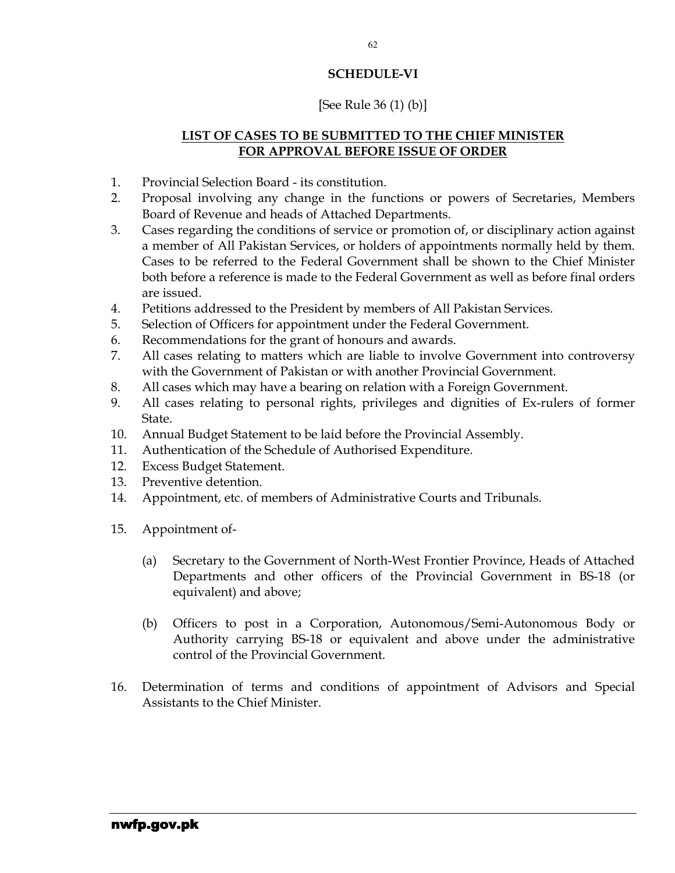### SCHEDULE-VI

### [See Rule 36 (1) (b)]

### LIST OF CASES TO BE SUBMITTED TO THE CHIEF MINISTER FOR APPROVAL BEFORE ISSUE OF ORDER

- 1. Provincial Selection Board its constitution.
- 2. Proposal involving any change in the functions or powers of Secretaries, Members Board of Revenue and heads of Attached Departments.
- 3. Cases regarding the conditions of service or promotion of, or disciplinary action against a member of All Pakistan Services, or holders of appointments normally held by them. Cases to be referred to the Federal Government shall be shown to the Chief Minister both before a reference is made to the Federal Government as well as before final orders are issued.
- 4. Petitions addressed to the President by members of All Pakistan Services.
- 5. Selection of Officers for appointment under the Federal Government.
- 6. Recommendations for the grant of honours and awards.
- 7. All cases relating to matters which are liable to involve Government into controversy with the Government of Pakistan or with another Provincial Government.
- 8. All cases which may have a bearing on relation with a Foreign Government.
- 9. All cases relating to personal rights, privileges and dignities of Ex-rulers of former State.
- 10. Annual Budget Statement to be laid before the Provincial Assembly.
- 11. Authentication of the Schedule of Authorised Expenditure.
- 12. Excess Budget Statement.
- 13. Preventive detention.
- 14. Appointment, etc. of members of Administrative Courts and Tribunals.
- 15. Appointment of-
	- (a) Secretary to the Government of North-West Frontier Province, Heads of Attached Departments and other officers of the Provincial Government in BS-18 (or equivalent) and above;
	- (b) Officers to post in a Corporation, Autonomous/Semi-Autonomous Body or Authority carrying BS-18 or equivalent and above under the administrative control of the Provincial Government.
- 16. Determination of terms and conditions of appointment of Advisors and Special Assistants to the Chief Minister.